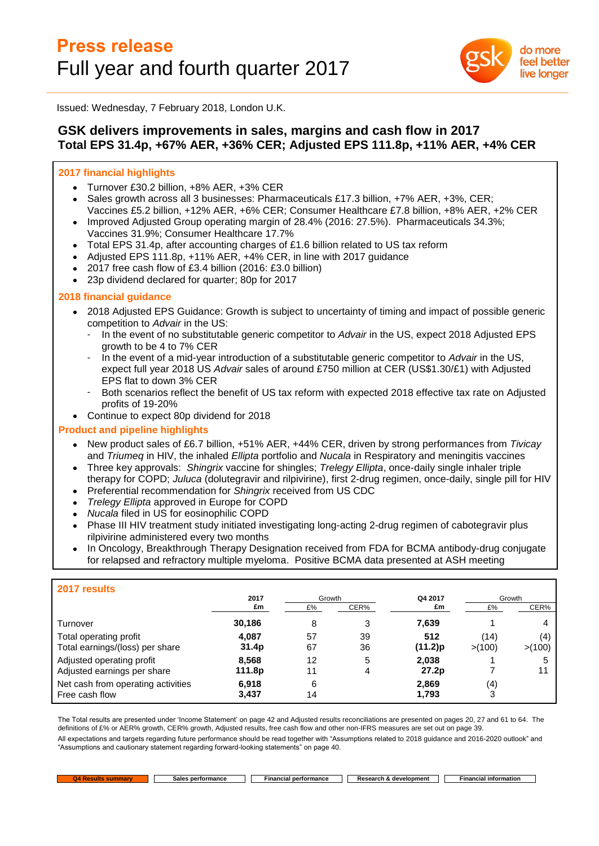

Issued: Wednesday, 7 February 2018, London U.K.

# **GSK delivers improvements in sales, margins and cash flow in 2017 Total EPS 31.4p, +67% AER, +36% CER; Adjusted EPS 111.8p, +11% AER, +4% CER**

## **2017 financial highlights**

- Turnover £30.2 billion, +8% AER, +3% CER
- Sales growth across all 3 businesses: Pharmaceuticals £17.3 billion, +7% AER, +3%, CER; Vaccines £5.2 billion, +12% AER, +6% CER; Consumer Healthcare £7.8 billion, +8% AER, +2% CER
- Improved Adjusted Group operating margin of 28.4% (2016: 27.5%). Pharmaceuticals 34.3%; Vaccines 31.9%; Consumer Healthcare 17.7%
- Total EPS 31.4p, after accounting charges of £1.6 billion related to US tax reform
- Adjusted EPS 111.8p, +11% AER, +4% CER, in line with 2017 guidance
- 2017 free cash flow of £3.4 billion (2016: £3.0 billion)
- 23p dividend declared for quarter; 80p for 2017

## **2018 financial guidance**

- 2018 Adjusted EPS Guidance: Growth is subject to uncertainty of timing and impact of possible generic competition to *Advair* in the US:
	- In the event of no substitutable generic competitor to *Advair* in the US, expect 2018 Adjusted EPS growth to be 4 to 7% CER
	- In the event of a mid-year introduction of a substitutable generic competitor to *Advair* in the US, expect full year 2018 US *Advair* sales of around £750 million at CER (US\$1.30/£1) with Adjusted EPS flat to down 3% CER
	- Both scenarios reflect the benefit of US tax reform with expected 2018 effective tax rate on Adjusted profits of 19-20%
- Continue to expect 80p dividend for 2018

## **Product and pipeline highlights**

- New product sales of £6.7 billion, +51% AER, +44% CER, driven by strong performances from *Tivicay* and *Triumeq* in HIV, the inhaled *Ellipta* portfolio and *Nucala* in Respiratory and meningitis vaccines
- Three key approvals: *Shingrix* vaccine for shingles; *Trelegy Ellipta*, once-daily single inhaler triple therapy for COPD; *Juluca* (dolutegravir and rilpivirine), first 2-drug regimen, once-daily, single pill for HIV
- Preferential recommendation for *Shingrix* received from US CDC
- *Trelegy Ellipta* approved in Europe for COPD
- *Nucala* filed in US for eosinophilic COPD
- Phase III HIV treatment study initiated investigating long-acting 2-drug regimen of cabotegravir plus rilpivirine administered every two months
- In Oncology, Breakthrough Therapy Designation received from FDA for BCMA antibody-drug conjugate for relapsed and refractory multiple myeloma. Positive BCMA data presented at ASH meeting

| 2017 results                                              |                 |              |          |                |                 |                |
|-----------------------------------------------------------|-----------------|--------------|----------|----------------|-----------------|----------------|
|                                                           | 2017<br>£m      | Growth<br>£% | CER%     | Q4 2017<br>£m  | Growth<br>£%    | CER%           |
| Turnover                                                  | 30,186          | 8            | 3        | 7,639          |                 |                |
| Total operating profit<br>Total earnings/(loss) per share | 4,087<br>31.4p  | 57<br>67     | 39<br>36 | 512<br>(11.2)p | (14)<br>> (100) | (4,<br>> (100) |
| Adjusted operating profit<br>Adjusted earnings per share  | 8,568<br>111.8p | 12<br>11     | 5<br>4   | 2,038<br>27.2p |                 |                |
| Net cash from operating activities<br>Free cash flow      | 6.918<br>3,437  | 6<br>14      |          | 2,869<br>1,793 | (4)<br>3        |                |

The Total results are presented under 'Income Statement' on page 42 and Adjusted results reconciliations are presented on pages 20, 27 and 61 to 64. The definitions of £% or AER% growth, CER% growth, Adjusted results, free cash flow and other non-IFRS measures are set out on page 39.

All expectations and targets regarding future performance should be read together with "Assumptions related to 2018 guidance and 2016-2020 outlook" and "Assumptions and cautionary statement regarding forward-looking statements" on page 40.

**Tara** 

**C4 C4 Results Sales performance Financial performance Research &** development **Financial information**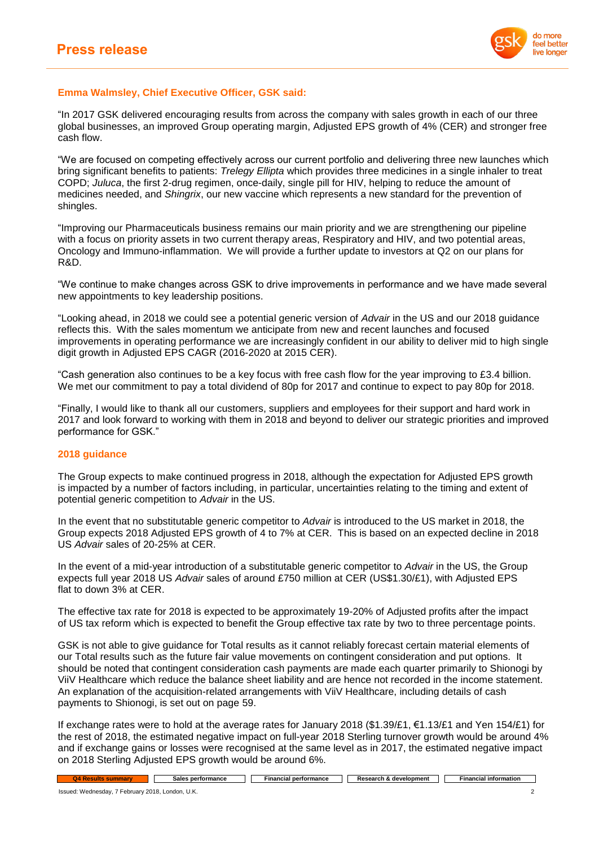

## **Emma Walmsley, Chief Executive Officer, GSK said:**

"In 2017 GSK delivered encouraging results from across the company with sales growth in each of our three global businesses, an improved Group operating margin, Adjusted EPS growth of 4% (CER) and stronger free cash flow.

"We are focused on competing effectively across our current portfolio and delivering three new launches which bring significant benefits to patients: *Trelegy Ellipta* which provides three medicines in a single inhaler to treat COPD; *Juluca*, the first 2-drug regimen, once-daily, single pill for HIV, helping to reduce the amount of medicines needed, and *Shingrix*, our new vaccine which represents a new standard for the prevention of shingles.

"Improving our Pharmaceuticals business remains our main priority and we are strengthening our pipeline with a focus on priority assets in two current therapy areas, Respiratory and HIV, and two potential areas, Oncology and Immuno-inflammation. We will provide a further update to investors at Q2 on our plans for R&D.

"We continue to make changes across GSK to drive improvements in performance and we have made several new appointments to key leadership positions.

"Looking ahead, in 2018 we could see a potential generic version of *Advair* in the US and our 2018 guidance reflects this. With the sales momentum we anticipate from new and recent launches and focused improvements in operating performance we are increasingly confident in our ability to deliver mid to high single digit growth in Adjusted EPS CAGR (2016-2020 at 2015 CER).

"Cash generation also continues to be a key focus with free cash flow for the year improving to £3.4 billion. We met our commitment to pay a total dividend of 80p for 2017 and continue to expect to pay 80p for 2018.

"Finally, I would like to thank all our customers, suppliers and employees for their support and hard work in 2017 and look forward to working with them in 2018 and beyond to deliver our strategic priorities and improved performance for GSK."

### **2018 guidance**

The Group expects to make continued progress in 2018, although the expectation for Adjusted EPS growth is impacted by a number of factors including, in particular, uncertainties relating to the timing and extent of potential generic competition to *Advair* in the US.

In the event that no substitutable generic competitor to *Advair* is introduced to the US market in 2018, the Group expects 2018 Adjusted EPS growth of 4 to 7% at CER. This is based on an expected decline in 2018 US *Advair* sales of 20-25% at CER.

In the event of a mid-year introduction of a substitutable generic competitor to *Advair* in the US, the Group expects full year 2018 US *Advair* sales of around £750 million at CER (US\$1.30/£1), with Adjusted EPS flat to down 3% at CER.

The effective tax rate for 2018 is expected to be approximately 19-20% of Adjusted profits after the impact of US tax reform which is expected to benefit the Group effective tax rate by two to three percentage points.

GSK is not able to give guidance for Total results as it cannot reliably forecast certain material elements of our Total results such as the future fair value movements on contingent consideration and put options. It should be noted that contingent consideration cash payments are made each quarter primarily to Shionogi by ViiV Healthcare which reduce the balance sheet liability and are hence not recorded in the income statement. An explanation of the acquisition-related arrangements with ViiV Healthcare, including details of cash payments to Shionogi, is set out on page 59.

If exchange rates were to hold at the average rates for January 2018 (\$1.39/£1, €1.13/£1 and Yen 154/£1) for the rest of 2018, the estimated negative impact on full-year 2018 Sterling turnover growth would be around 4% and if exchange gains or losses were recognised at the same level as in 2017, the estimated negative impact on 2018 Sterling Adjusted EPS growth would be around 6%.

| .<br>- | performance<br>sales | $+2$<br>ייה הי<br><br>шање | velopment<br>Daeaarah<br>היהה<br><br> | ∣ information<br><b>Tinancial</b><br>ањан |
|--------|----------------------|----------------------------|---------------------------------------|-------------------------------------------|
|        |                      |                            |                                       |                                           |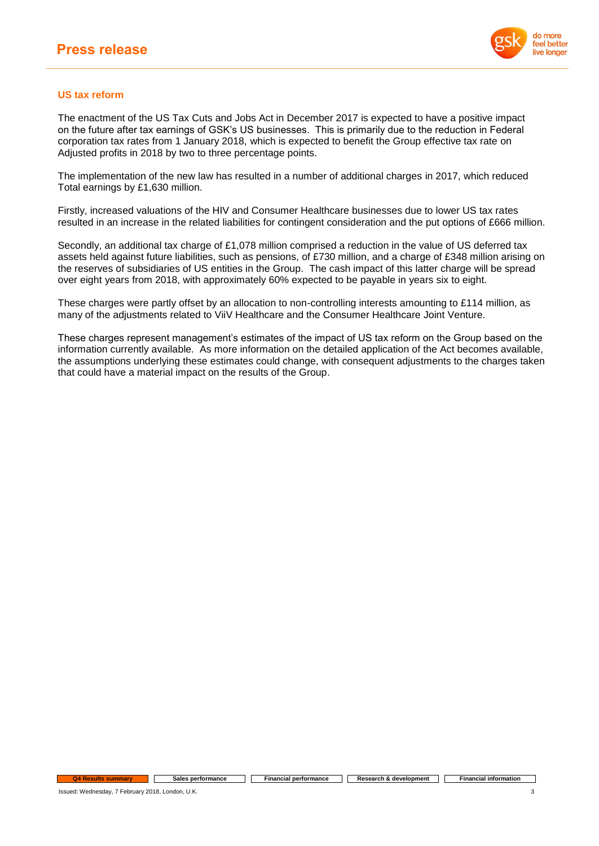

## **US tax reform**

The enactment of the US Tax Cuts and Jobs Act in December 2017 is expected to have a positive impact on the future after tax earnings of GSK's US businesses. This is primarily due to the reduction in Federal corporation tax rates from 1 January 2018, which is expected to benefit the Group effective tax rate on Adjusted profits in 2018 by two to three percentage points.

The implementation of the new law has resulted in a number of additional charges in 2017, which reduced Total earnings by £1,630 million.

Firstly, increased valuations of the HIV and Consumer Healthcare businesses due to lower US tax rates resulted in an increase in the related liabilities for contingent consideration and the put options of £666 million.

Secondly, an additional tax charge of £1,078 million comprised a reduction in the value of US deferred tax assets held against future liabilities, such as pensions, of £730 million, and a charge of £348 million arising on the reserves of subsidiaries of US entities in the Group. The cash impact of this latter charge will be spread over eight years from 2018, with approximately 60% expected to be payable in years six to eight.

These charges were partly offset by an allocation to non-controlling interests amounting to £114 million, as many of the adjustments related to ViiV Healthcare and the Consumer Healthcare Joint Venture.

These charges represent management's estimates of the impact of US tax reform on the Group based on the information currently available. As more information on the detailed application of the Act becomes available, the assumptions underlying these estimates could change, with consequent adjustments to the charges taken that could have a material impact on the results of the Group.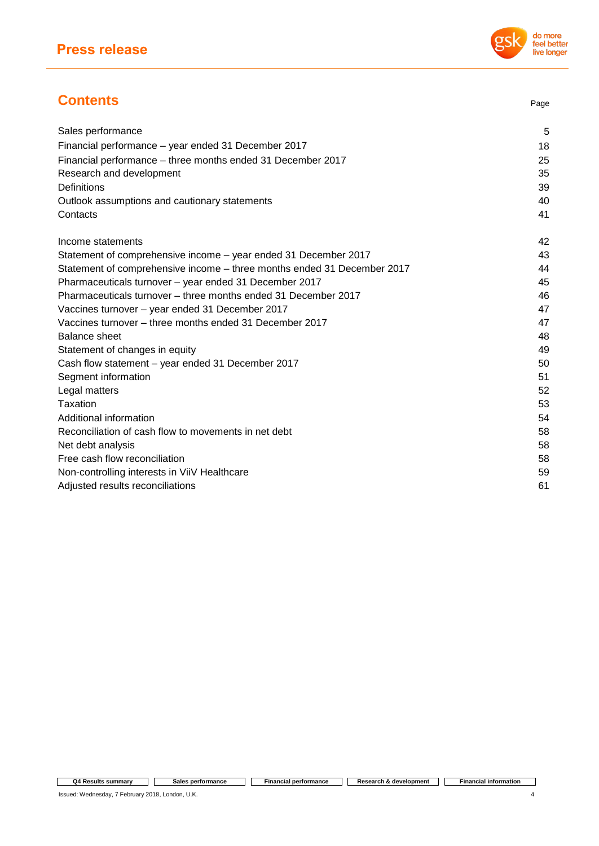# **Contents** Page

| Sales performance                                                       | 5  |
|-------------------------------------------------------------------------|----|
| Financial performance - year ended 31 December 2017                     | 18 |
| Financial performance – three months ended 31 December 2017             | 25 |
| Research and development                                                | 35 |
| Definitions                                                             | 39 |
| Outlook assumptions and cautionary statements                           | 40 |
| Contacts                                                                | 41 |
| Income statements                                                       | 42 |
| Statement of comprehensive income – year ended 31 December 2017         | 43 |
| Statement of comprehensive income - three months ended 31 December 2017 | 44 |
| Pharmaceuticals turnover - year ended 31 December 2017                  | 45 |
| Pharmaceuticals turnover – three months ended 31 December 2017          | 46 |
| Vaccines turnover - year ended 31 December 2017                         | 47 |
| Vaccines turnover - three months ended 31 December 2017                 | 47 |
| <b>Balance sheet</b>                                                    | 48 |
| Statement of changes in equity                                          | 49 |
| Cash flow statement - year ended 31 December 2017                       | 50 |
| Segment information                                                     | 51 |
| Legal matters                                                           | 52 |
| Taxation                                                                | 53 |
| Additional information                                                  | 54 |
| Reconciliation of cash flow to movements in net debt                    | 58 |
| Net debt analysis                                                       | 58 |
| Free cash flow reconciliation                                           | 58 |
| Non-controlling interests in ViiV Healthcare                            | 59 |
| Adjusted results reconciliations                                        | 61 |

**Q4 Results summary Sales performance Financial performance Research & development Financial information**

Issued: Wednesday, 7 February 2018, London, U.K. 4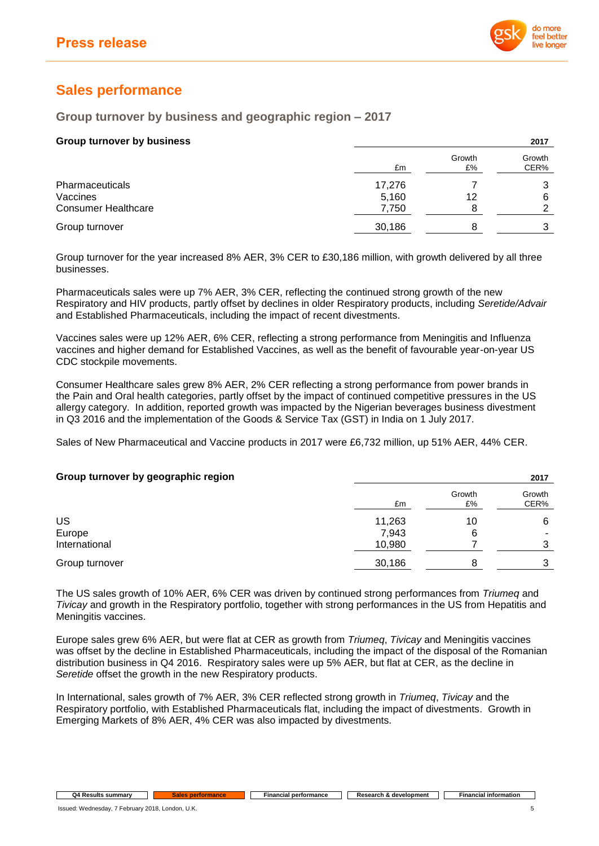

# **Sales performance**

## **Group turnover by business and geographic region – 2017**

| <b>Group turnover by business</b> |        |              | 2017           |
|-----------------------------------|--------|--------------|----------------|
|                                   | £m     | Growth<br>£% | Growth<br>CER% |
| Pharmaceuticals                   | 17,276 |              |                |
| Vaccines                          | 5,160  | 12           | 6              |
| <b>Consumer Healthcare</b>        | 7,750  |              | ⌒              |
| Group turnover                    | 30,186 |              | 3              |

Group turnover for the year increased 8% AER, 3% CER to £30,186 million, with growth delivered by all three businesses.

Pharmaceuticals sales were up 7% AER, 3% CER, reflecting the continued strong growth of the new Respiratory and HIV products, partly offset by declines in older Respiratory products, including *Seretide/Advair* and Established Pharmaceuticals, including the impact of recent divestments.

Vaccines sales were up 12% AER, 6% CER, reflecting a strong performance from Meningitis and Influenza vaccines and higher demand for Established Vaccines, as well as the benefit of favourable year-on-year US CDC stockpile movements.

Consumer Healthcare sales grew 8% AER, 2% CER reflecting a strong performance from power brands in the Pain and Oral health categories, partly offset by the impact of continued competitive pressures in the US allergy category. In addition, reported growth was impacted by the Nigerian beverages business divestment in Q3 2016 and the implementation of the Goods & Service Tax (GST) in India on 1 July 2017.

Sales of New Pharmaceutical and Vaccine products in 2017 were £6,732 million, up 51% AER, 44% CER.

| Group turnover by geographic region |        |              | 2017           |
|-------------------------------------|--------|--------------|----------------|
|                                     | £m     | Growth<br>£% | Growth<br>CER% |
| US                                  | 11,263 | 10           | 6              |
| Europe                              | 7,943  | 6            | ۰              |
| International                       | 10,980 |              |                |
| Group turnover                      | 30,186 | 8            |                |

The US sales growth of 10% AER, 6% CER was driven by continued strong performances from *Triumeq* and *Tivicay* and growth in the Respiratory portfolio, together with strong performances in the US from Hepatitis and Meningitis vaccines.

Europe sales grew 6% AER, but were flat at CER as growth from *Triumeq*, *Tivicay* and Meningitis vaccines was offset by the decline in Established Pharmaceuticals, including the impact of the disposal of the Romanian distribution business in Q4 2016. Respiratory sales were up 5% AER, but flat at CER, as the decline in *Seretide* offset the growth in the new Respiratory products.

In International, sales growth of 7% AER, 3% CER reflected strong growth in *Triumeq*, *Tivicay* and the Respiratory portfolio, with Established Pharmaceuticals flat, including the impact of divestments. Growth in Emerging Markets of 8% AER, 4% CER was also impacted by divestments.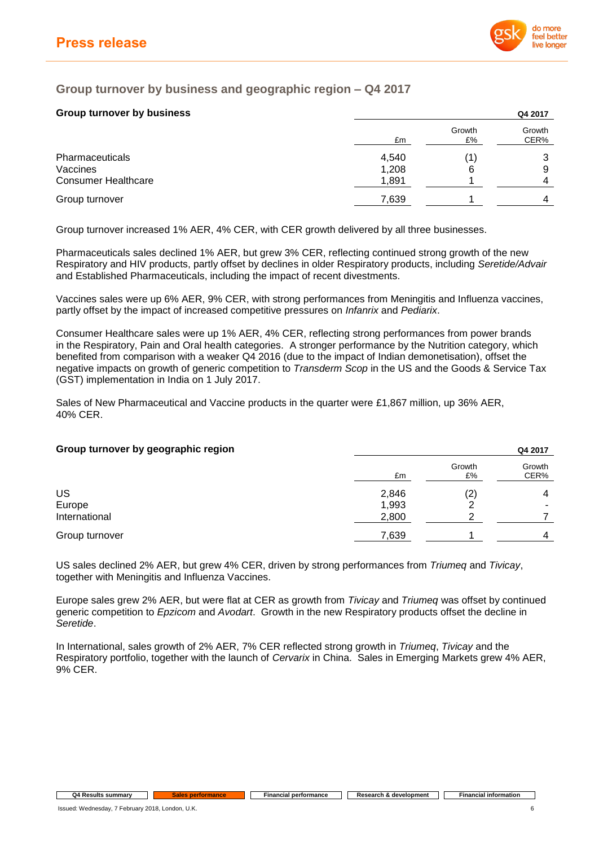

# **Group turnover by business and geographic region – Q4 2017**

## **Group turnover by business Q4 2017**

|                            |       |              | -----          |
|----------------------------|-------|--------------|----------------|
|                            | £m    | Growth<br>£% | Growth<br>CER% |
| Pharmaceuticals            | 4,540 |              |                |
| Vaccines                   | 1,208 | 6            | 9              |
| <b>Consumer Healthcare</b> | 1,891 |              | 4              |
| Group turnover             | 7,639 |              | 4              |
|                            |       |              |                |

Group turnover increased 1% AER, 4% CER, with CER growth delivered by all three businesses.

Pharmaceuticals sales declined 1% AER, but grew 3% CER, reflecting continued strong growth of the new Respiratory and HIV products, partly offset by declines in older Respiratory products, including *Seretide/Advair* and Established Pharmaceuticals, including the impact of recent divestments.

Vaccines sales were up 6% AER, 9% CER, with strong performances from Meningitis and Influenza vaccines, partly offset by the impact of increased competitive pressures on *Infanrix* and *Pediarix*.

Consumer Healthcare sales were up 1% AER, 4% CER, reflecting strong performances from power brands in the Respiratory, Pain and Oral health categories. A stronger performance by the Nutrition category, which benefited from comparison with a weaker Q4 2016 (due to the impact of Indian demonetisation), offset the negative impacts on growth of generic competition to *Transderm Scop* in the US and the Goods & Service Tax (GST) implementation in India on 1 July 2017.

Sales of New Pharmaceutical and Vaccine products in the quarter were £1,867 million, up 36% AER, 40% CER.

| Group turnover by geographic region |       |              | Q4 2017        |
|-------------------------------------|-------|--------------|----------------|
|                                     | £m    | Growth<br>£% | Growth<br>CER% |
| US                                  | 2,846 | (2)          |                |
| Europe                              | 1,993 | ⌒            | -              |
| International                       | 2,800 | າ            |                |
| Group turnover                      | 7,639 |              |                |

US sales declined 2% AER, but grew 4% CER, driven by strong performances from *Triumeq* and *Tivicay*, together with Meningitis and Influenza Vaccines.

Europe sales grew 2% AER, but were flat at CER as growth from *Tivicay* and *Triumeq* was offset by continued generic competition to *Epzicom* and *Avodart*. Growth in the new Respiratory products offset the decline in *Seretide*.

In International, sales growth of 2% AER, 7% CER reflected strong growth in *Triumeq*, *Tivicay* and the Respiratory portfolio, together with the launch of *Cervarix* in China. Sales in Emerging Markets grew 4% AER, 9% CER.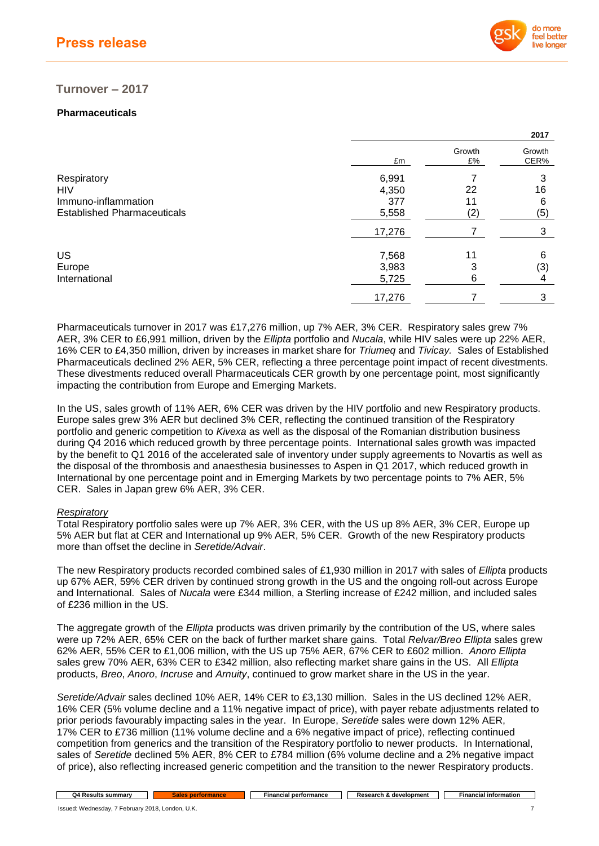

## **Turnover – 2017**

## **Pharmaceuticals**

|                                    |        |              | 2017           |
|------------------------------------|--------|--------------|----------------|
|                                    | £m     | Growth<br>£% | Growth<br>CER% |
| Respiratory                        | 6,991  |              | 3              |
| <b>HIV</b>                         | 4,350  | 22           | 16             |
| Immuno-inflammation                | 377    | 11           | 6              |
| <b>Established Pharmaceuticals</b> | 5,558  | (2)          | (5)            |
|                                    | 17,276 |              | 3              |
| US                                 | 7,568  | 11           | 6              |
| Europe                             | 3,983  | 3            | (3)            |
| International                      | 5,725  | 6            | 4              |
|                                    | 17,276 |              | 3              |

Pharmaceuticals turnover in 2017 was £17,276 million, up 7% AER, 3% CER. Respiratory sales grew 7% AER, 3% CER to £6,991 million, driven by the *Ellipta* portfolio and *Nucala*, while HIV sales were up 22% AER, 16% CER to £4,350 million, driven by increases in market share for *Triumeq* and *Tivicay.* Sales of Established Pharmaceuticals declined 2% AER, 5% CER, reflecting a three percentage point impact of recent divestments. These divestments reduced overall Pharmaceuticals CER growth by one percentage point, most significantly impacting the contribution from Europe and Emerging Markets.

In the US, sales growth of 11% AER, 6% CER was driven by the HIV portfolio and new Respiratory products. Europe sales grew 3% AER but declined 3% CER, reflecting the continued transition of the Respiratory portfolio and generic competition to *Kivexa* as well as the disposal of the Romanian distribution business during Q4 2016 which reduced growth by three percentage points. International sales growth was impacted by the benefit to Q1 2016 of the accelerated sale of inventory under supply agreements to Novartis as well as the disposal of the thrombosis and anaesthesia businesses to Aspen in Q1 2017, which reduced growth in International by one percentage point and in Emerging Markets by two percentage points to 7% AER, 5% CER. Sales in Japan grew 6% AER, 3% CER.

### *Respiratory*

Total Respiratory portfolio sales were up 7% AER, 3% CER, with the US up 8% AER, 3% CER, Europe up 5% AER but flat at CER and International up 9% AER, 5% CER. Growth of the new Respiratory products more than offset the decline in *Seretide/Advair*.

The new Respiratory products recorded combined sales of £1,930 million in 2017 with sales of *Ellipta* products up 67% AER, 59% CER driven by continued strong growth in the US and the ongoing roll-out across Europe and International. Sales of *Nucala* were £344 million, a Sterling increase of £242 million, and included sales of £236 million in the US.

The aggregate growth of the *Ellipta* products was driven primarily by the contribution of the US, where sales were up 72% AER, 65% CER on the back of further market share gains. Total *Relvar/Breo Ellipta* sales grew 62% AER, 55% CER to £1,006 million, with the US up 75% AER, 67% CER to £602 million. *Anoro Ellipta* sales grew 70% AER, 63% CER to £342 million, also reflecting market share gains in the US. All *Ellipta* products, *Breo*, *Anoro*, *Incruse* and *Arnuity*, continued to grow market share in the US in the year.

*Seretide/Advair* sales declined 10% AER, 14% CER to £3,130 million. Sales in the US declined 12% AER, 16% CER (5% volume decline and a 11% negative impact of price), with payer rebate adjustments related to prior periods favourably impacting sales in the year. In Europe, *Seretide* sales were down 12% AER, 17% CER to £736 million (11% volume decline and a 6% negative impact of price), reflecting continued competition from generics and the transition of the Respiratory portfolio to newer products. In International, sales of *Seretide* declined 5% AER, 8% CER to £784 million (6% volume decline and a 2% negative impact of price), also reflecting increased generic competition and the transition to the newer Respiratory products.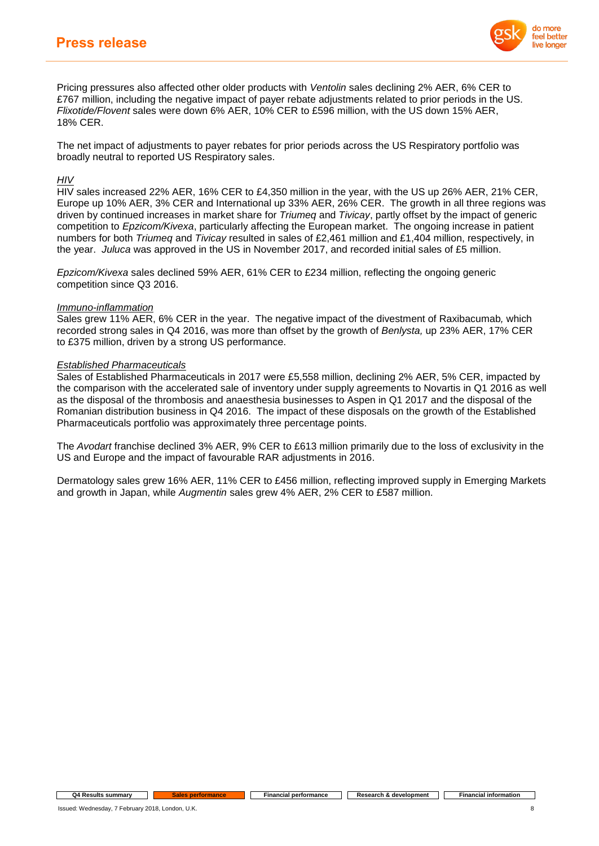

Pricing pressures also affected other older products with *Ventolin* sales declining 2% AER, 6% CER to £767 million, including the negative impact of payer rebate adjustments related to prior periods in the US. *Flixotide/Flovent* sales were down 6% AER, 10% CER to £596 million, with the US down 15% AER, 18% CER.

The net impact of adjustments to payer rebates for prior periods across the US Respiratory portfolio was broadly neutral to reported US Respiratory sales.

## *HIV*

HIV sales increased 22% AER, 16% CER to £4,350 million in the year, with the US up 26% AER, 21% CER, Europe up 10% AER, 3% CER and International up 33% AER, 26% CER. The growth in all three regions was driven by continued increases in market share for *Triumeq* and *Tivicay*, partly offset by the impact of generic competition to *Epzicom/Kivexa*, particularly affecting the European market. The ongoing increase in patient numbers for both *Triumeq* and *Tivicay* resulted in sales of £2,461 million and £1,404 million, respectively, in the year. *Juluca* was approved in the US in November 2017, and recorded initial sales of £5 million.

*Epzicom/Kivexa* sales declined 59% AER, 61% CER to £234 million, reflecting the ongoing generic competition since Q3 2016.

### *Immuno-inflammation*

Sales grew 11% AER, 6% CER in the year. The negative impact of the divestment of Raxibacumab*,* which recorded strong sales in Q4 2016, was more than offset by the growth of *Benlysta,* up 23% AER, 17% CER to £375 million, driven by a strong US performance.

## *Established Pharmaceuticals*

Sales of Established Pharmaceuticals in 2017 were £5,558 million, declining 2% AER, 5% CER, impacted by the comparison with the accelerated sale of inventory under supply agreements to Novartis in Q1 2016 as well as the disposal of the thrombosis and anaesthesia businesses to Aspen in Q1 2017 and the disposal of the Romanian distribution business in Q4 2016. The impact of these disposals on the growth of the Established Pharmaceuticals portfolio was approximately three percentage points.

The *Avodart* franchise declined 3% AER, 9% CER to £613 million primarily due to the loss of exclusivity in the US and Europe and the impact of favourable RAR adjustments in 2016.

Dermatology sales grew 16% AER, 11% CER to £456 million, reflecting improved supply in Emerging Markets and growth in Japan, while *Augmentin* sales grew 4% AER, 2% CER to £587 million.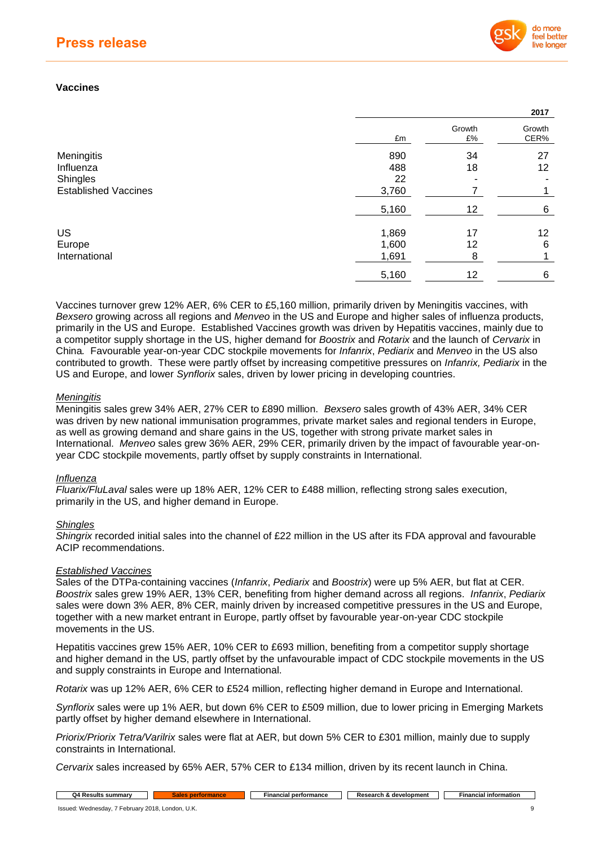

**2017**

## **Vaccines**

|                             |       |              | 40 I I         |
|-----------------------------|-------|--------------|----------------|
|                             | £m    | Growth<br>£% | Growth<br>CER% |
| Meningitis                  | 890   | 34           | 27             |
| Influenza                   | 488   | 18           | 12             |
| Shingles                    | 22    |              |                |
| <b>Established Vaccines</b> | 3,760 |              | 1              |
|                             | 5,160 | 12           | 6              |
| US                          | 1,869 | 17           | 12             |
| Europe                      | 1,600 | 12           | 6              |
| International               | 1,691 | 8            | 4              |
|                             | 5,160 | 12           | 6              |
|                             |       |              |                |

Vaccines turnover grew 12% AER, 6% CER to £5,160 million, primarily driven by Meningitis vaccines, with *Bexsero* growing across all regions and *Menveo* in the US and Europe and higher sales of influenza products, primarily in the US and Europe. Established Vaccines growth was driven by Hepatitis vaccines, mainly due to a competitor supply shortage in the US, higher demand for *Boostrix* and *Rotarix* and the launch of *Cervarix* in China*.* Favourable year-on-year CDC stockpile movements for *Infanrix*, *Pediarix* and *Menveo* in the US also contributed to growth. These were partly offset by increasing competitive pressures on *Infanrix, Pediarix* in the US and Europe, and lower *Synflorix* sales, driven by lower pricing in developing countries.

## *Meningitis*

Meningitis sales grew 34% AER, 27% CER to £890 million. *Bexsero* sales growth of 43% AER, 34% CER was driven by new national immunisation programmes, private market sales and regional tenders in Europe, as well as growing demand and share gains in the US, together with strong private market sales in International. *Menveo* sales grew 36% AER, 29% CER, primarily driven by the impact of favourable year-onyear CDC stockpile movements, partly offset by supply constraints in International.

### *Influenza*

*Fluarix/FluLaval* sales were up 18% AER, 12% CER to £488 million, reflecting strong sales execution, primarily in the US, and higher demand in Europe.

## *Shingles*

*Shingrix* recorded initial sales into the channel of £22 million in the US after its FDA approval and favourable ACIP recommendations.

### *Established Vaccines*

Sales of the DTPa-containing vaccines (*Infanrix*, *Pediarix* and *Boostrix*) were up 5% AER, but flat at CER. *Boostrix* sales grew 19% AER, 13% CER, benefiting from higher demand across all regions. *Infanrix*, *Pediarix* sales were down 3% AER, 8% CER, mainly driven by increased competitive pressures in the US and Europe, together with a new market entrant in Europe, partly offset by favourable year-on-year CDC stockpile movements in the US.

Hepatitis vaccines grew 15% AER, 10% CER to £693 million, benefiting from a competitor supply shortage and higher demand in the US, partly offset by the unfavourable impact of CDC stockpile movements in the US and supply constraints in Europe and International.

*Rotarix* was up 12% AER, 6% CER to £524 million, reflecting higher demand in Europe and International.

*Synflorix* sales were up 1% AER, but down 6% CER to £509 million, due to lower pricing in Emerging Markets partly offset by higher demand elsewhere in International.

*Priorix/Priorix Tetra/Varilrix* sales were flat at AER, but down 5% CER to £301 million, mainly due to supply constraints in International.

*Cervarix* sales increased by 65% AER, 57% CER to £134 million, driven by its recent launch in China.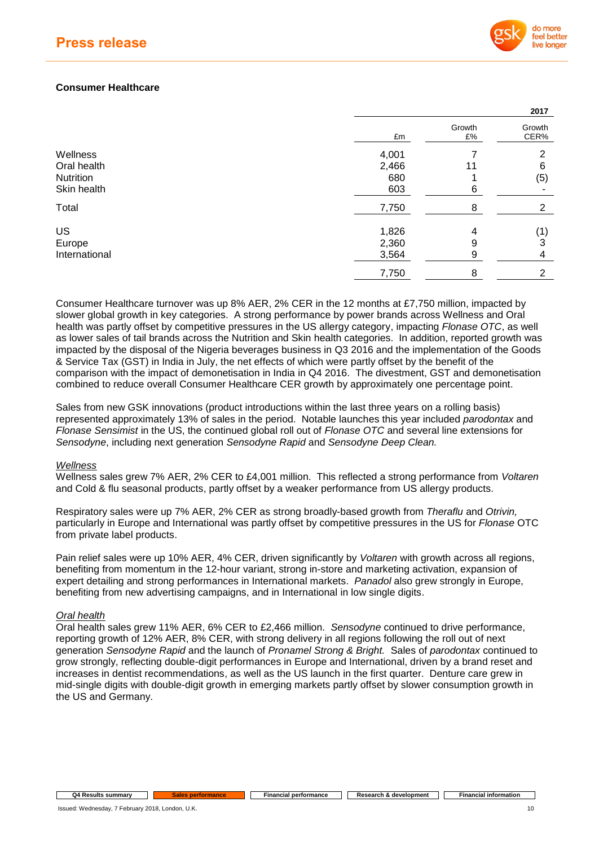

**2017**

## **Consumer Healthcare**

|               |       |              | <b>ZUT</b>     |
|---------------|-------|--------------|----------------|
|               | £m    | Growth<br>£% | Growth<br>CER% |
| Wellness      | 4,001 |              | 2              |
| Oral health   | 2,466 | 11           | 6              |
| Nutrition     | 680   |              | (5)            |
| Skin health   | 603   | 6            |                |
| Total         | 7,750 | 8            | $\overline{2}$ |
| US            | 1,826 | 4            | (1)            |
| Europe        | 2,360 | 9            | 3              |
| International | 3,564 | 9            | 4              |
|               | 7,750 | 8            | 2              |
|               |       |              |                |

Consumer Healthcare turnover was up 8% AER, 2% CER in the 12 months at £7,750 million, impacted by slower global growth in key categories. A strong performance by power brands across Wellness and Oral health was partly offset by competitive pressures in the US allergy category, impacting *Flonase OTC*, as well as lower sales of tail brands across the Nutrition and Skin health categories. In addition, reported growth was impacted by the disposal of the Nigeria beverages business in Q3 2016 and the implementation of the Goods & Service Tax (GST) in India in July, the net effects of which were partly offset by the benefit of the comparison with the impact of demonetisation in India in Q4 2016. The divestment, GST and demonetisation combined to reduce overall Consumer Healthcare CER growth by approximately one percentage point.

Sales from new GSK innovations (product introductions within the last three years on a rolling basis) represented approximately 13% of sales in the period. Notable launches this year included *parodontax* and *Flonase Sensimist* in the US, the continued global roll out of *Flonase OTC* and several line extensions for *Sensodyne*, including next generation *Sensodyne Rapid* and *Sensodyne Deep Clean.*

### *Wellness*

Wellness sales grew 7% AER, 2% CER to £4,001 million. This reflected a strong performance from *Voltaren*  and Cold & flu seasonal products, partly offset by a weaker performance from US allergy products.

Respiratory sales were up 7% AER, 2% CER as strong broadly-based growth from *Theraflu* and *Otrivin,*  particularly in Europe and International was partly offset by competitive pressures in the US for *Flonase* OTC from private label products.

Pain relief sales were up 10% AER, 4% CER, driven significantly by *Voltaren* with growth across all regions, benefiting from momentum in the 12-hour variant, strong in-store and marketing activation, expansion of expert detailing and strong performances in International markets. *Panadol* also grew strongly in Europe, benefiting from new advertising campaigns, and in International in low single digits.

### *Oral health*

Oral health sales grew 11% AER, 6% CER to £2,466 million. *Sensodyne* continued to drive performance, reporting growth of 12% AER, 8% CER, with strong delivery in all regions following the roll out of next generation *Sensodyne Rapid* and the launch of *Pronamel Strong & Bright.* Sales of *parodontax* continued to grow strongly, reflecting double-digit performances in Europe and International, driven by a brand reset and increases in dentist recommendations, as well as the US launch in the first quarter. Denture care grew in mid-single digits with double-digit growth in emerging markets partly offset by slower consumption growth in the US and Germany.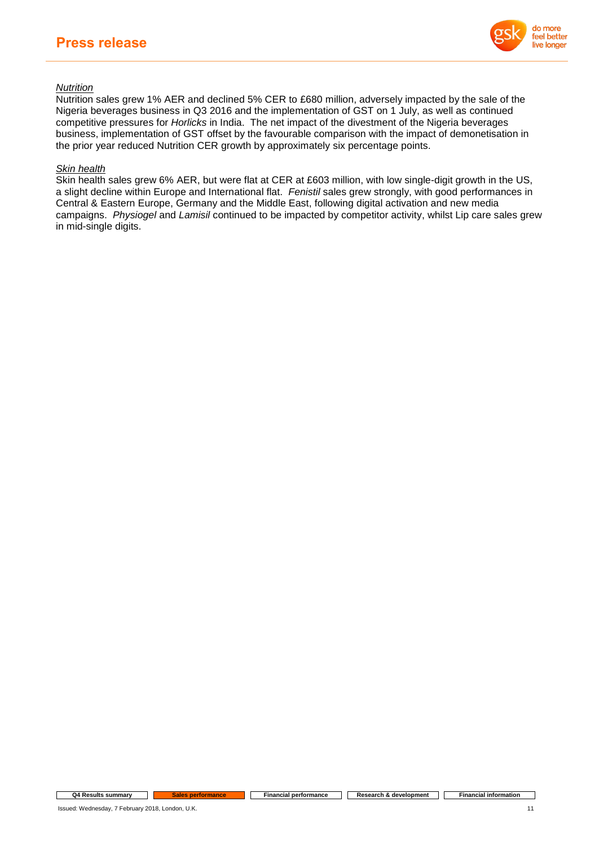

## *Nutrition*

Nutrition sales grew 1% AER and declined 5% CER to £680 million, adversely impacted by the sale of the Nigeria beverages business in Q3 2016 and the implementation of GST on 1 July, as well as continued competitive pressures for *Horlicks* in India. The net impact of the divestment of the Nigeria beverages business, implementation of GST offset by the favourable comparison with the impact of demonetisation in the prior year reduced Nutrition CER growth by approximately six percentage points.

## *Skin health*

Skin health sales grew 6% AER, but were flat at CER at £603 million, with low single-digit growth in the US, a slight decline within Europe and International flat. *Fenistil* sales grew strongly, with good performances in Central & Eastern Europe, Germany and the Middle East, following digital activation and new media campaigns. *Physiogel* and *Lamisil* continued to be impacted by competitor activity, whilst Lip care sales grew in mid-single digits.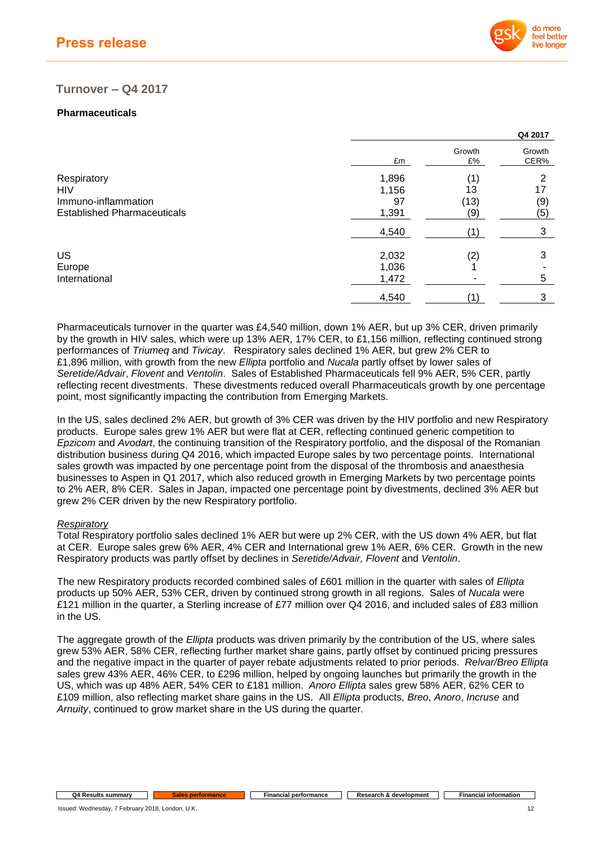

## **Turnover – Q4 2017**

## **Pharmaceuticals**

|       |              | Q4 2017        |
|-------|--------------|----------------|
| £m    | Growth<br>£% | Growth<br>CER% |
| 1,896 |              | 2              |
| 1,156 | 13           | 17             |
| 97    | (13)         | (9)            |
| 1,391 | (9)          | (5)            |
| 4,540 | (1)          | 3              |
| 2,032 | (2)          | 3              |
| 1,036 |              |                |
| 1,472 |              | 5              |
| 4,540 | 1            | 3              |
|       |              | (1)            |

Pharmaceuticals turnover in the quarter was £4,540 million, down 1% AER, but up 3% CER, driven primarily by the growth in HIV sales, which were up 13% AER, 17% CER, to £1,156 million, reflecting continued strong performances of *Triumeq* and *Tivicay*. Respiratory sales declined 1% AER, but grew 2% CER to £1,896 million, with growth from the new *Ellipta* portfolio and *Nucala* partly offset by lower sales of *Seretide/Advair*, *Flovent* and *Ventolin*. Sales of Established Pharmaceuticals fell 9% AER, 5% CER, partly reflecting recent divestments. These divestments reduced overall Pharmaceuticals growth by one percentage point, most significantly impacting the contribution from Emerging Markets.

In the US, sales declined 2% AER, but growth of 3% CER was driven by the HIV portfolio and new Respiratory products. Europe sales grew 1% AER but were flat at CER, reflecting continued generic competition to *Epzicom* and *Avodart*, the continuing transition of the Respiratory portfolio, and the disposal of the Romanian distribution business during Q4 2016, which impacted Europe sales by two percentage points. International sales growth was impacted by one percentage point from the disposal of the thrombosis and anaesthesia businesses to Aspen in Q1 2017, which also reduced growth in Emerging Markets by two percentage points to 2% AER, 8% CER. Sales in Japan, impacted one percentage point by divestments, declined 3% AER but grew 2% CER driven by the new Respiratory portfolio.

### *Respiratory*

Total Respiratory portfolio sales declined 1% AER but were up 2% CER, with the US down 4% AER, but flat at CER. Europe sales grew 6% AER, 4% CER and International grew 1% AER, 6% CER. Growth in the new Respiratory products was partly offset by declines in *Seretide/Advair, Flovent* and *Ventolin*.

The new Respiratory products recorded combined sales of £601 million in the quarter with sales of *Ellipta* products up 50% AER, 53% CER, driven by continued strong growth in all regions. Sales of *Nucala* were £121 million in the quarter, a Sterling increase of £77 million over Q4 2016, and included sales of £83 million in the US.

The aggregate growth of the *Ellipta* products was driven primarily by the contribution of the US, where sales grew 53% AER, 58% CER, reflecting further market share gains, partly offset by continued pricing pressures and the negative impact in the quarter of payer rebate adjustments related to prior periods. *Relvar/Breo Ellipta* sales grew 43% AER, 46% CER, to £296 million, helped by ongoing launches but primarily the growth in the US, which was up 48% AER, 54% CER to £181 million. *Anoro Ellipta* sales grew 58% AER, 62% CER to £109 million, also reflecting market share gains in the US. All *Ellipta* products, *Breo*, *Anoro*, *Incruse* and *Arnuity*, continued to grow market share in the US during the quarter.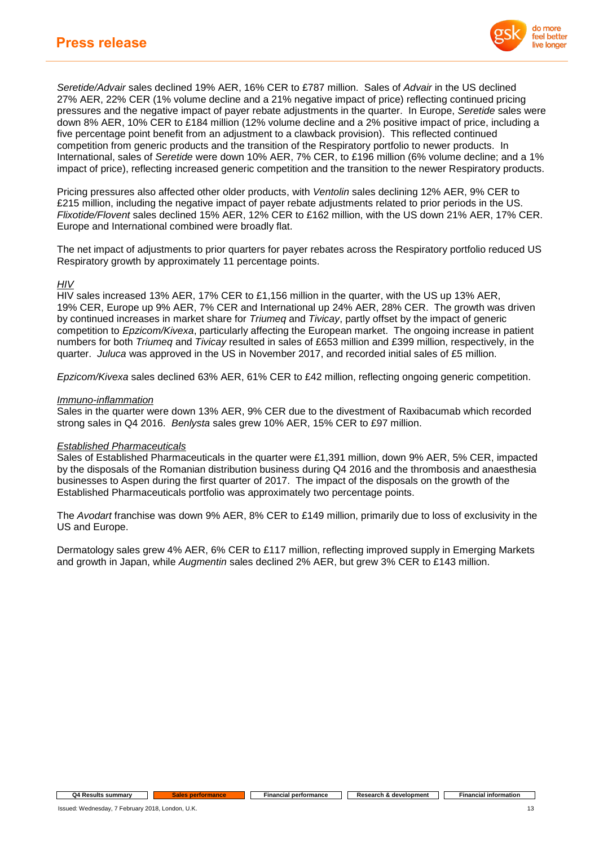

*Seretide/Advair* sales declined 19% AER, 16% CER to £787 million. Sales of *Advair* in the US declined 27% AER, 22% CER (1% volume decline and a 21% negative impact of price) reflecting continued pricing pressures and the negative impact of payer rebate adjustments in the quarter. In Europe, *Seretide* sales were down 8% AER, 10% CER to £184 million (12% volume decline and a 2% positive impact of price, including a five percentage point benefit from an adjustment to a clawback provision). This reflected continued competition from generic products and the transition of the Respiratory portfolio to newer products. In International, sales of *Seretide* were down 10% AER, 7% CER, to £196 million (6% volume decline; and a 1% impact of price), reflecting increased generic competition and the transition to the newer Respiratory products.

Pricing pressures also affected other older products, with *Ventolin* sales declining 12% AER, 9% CER to £215 million, including the negative impact of payer rebate adjustments related to prior periods in the US. *Flixotide/Flovent* sales declined 15% AER, 12% CER to £162 million, with the US down 21% AER, 17% CER. Europe and International combined were broadly flat.

The net impact of adjustments to prior quarters for payer rebates across the Respiratory portfolio reduced US Respiratory growth by approximately 11 percentage points.

### *HIV*

HIV sales increased 13% AER, 17% CER to £1,156 million in the quarter, with the US up 13% AER, 19% CER, Europe up 9% AER, 7% CER and International up 24% AER, 28% CER. The growth was driven by continued increases in market share for *Triumeq* and *Tivicay*, partly offset by the impact of generic competition to *Epzicom/Kivexa*, particularly affecting the European market. The ongoing increase in patient numbers for both *Triumeq* and *Tivicay* resulted in sales of £653 million and £399 million, respectively, in the quarter. *Juluca* was approved in the US in November 2017, and recorded initial sales of £5 million.

*Epzicom/Kivexa* sales declined 63% AER, 61% CER to £42 million, reflecting ongoing generic competition.

#### *Immuno-inflammation*

Sales in the quarter were down 13% AER, 9% CER due to the divestment of Raxibacumab which recorded strong sales in Q4 2016. *Benlysta* sales grew 10% AER, 15% CER to £97 million.

### *Established Pharmaceuticals*

Sales of Established Pharmaceuticals in the quarter were £1,391 million, down 9% AER, 5% CER, impacted by the disposals of the Romanian distribution business during Q4 2016 and the thrombosis and anaesthesia businesses to Aspen during the first quarter of 2017. The impact of the disposals on the growth of the Established Pharmaceuticals portfolio was approximately two percentage points.

The *Avodart* franchise was down 9% AER, 8% CER to £149 million, primarily due to loss of exclusivity in the US and Europe.

Dermatology sales grew 4% AER, 6% CER to £117 million, reflecting improved supply in Emerging Markets and growth in Japan, while *Augmentin* sales declined 2% AER, but grew 3% CER to £143 million.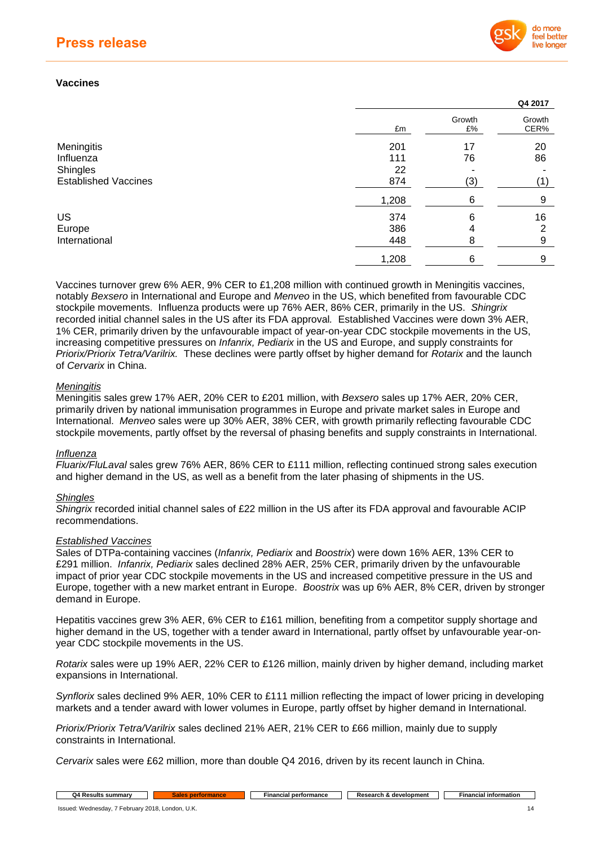

**Q4 2017**

## **Vaccines**

|                             |       |              | ----           |
|-----------------------------|-------|--------------|----------------|
|                             | £m    | Growth<br>£% | Growth<br>CER% |
| Meningitis                  | 201   | 17           | 20             |
| Influenza                   | 111   | 76           | 86             |
| Shingles                    | 22    |              |                |
| <b>Established Vaccines</b> | 874   | (3)          |                |
|                             | 1,208 | 6            | 9              |
| <b>US</b>                   | 374   | 6            | 16             |
| Europe                      | 386   | 4            | ົ              |
| International               | 448   | 8            | 9              |
|                             | 1,208 | 6            | 9              |
|                             |       |              |                |

Vaccines turnover grew 6% AER, 9% CER to £1,208 million with continued growth in Meningitis vaccines, notably *Bexsero* in International and Europe and *Menveo* in the US, which benefited from favourable CDC stockpile movements. Influenza products were up 76% AER, 86% CER, primarily in the US. *Shingrix*  recorded initial channel sales in the US after its FDA approval*.* Established Vaccines were down 3% AER, 1% CER, primarily driven by the unfavourable impact of year-on-year CDC stockpile movements in the US, increasing competitive pressures on *Infanrix, Pediarix* in the US and Europe, and supply constraints for *Priorix/Priorix Tetra/Varilrix.* These declines were partly offset by higher demand for *Rotarix* and the launch of *Cervarix* in China.

### *Meningitis*

Meningitis sales grew 17% AER, 20% CER to £201 million, with *Bexsero* sales up 17% AER, 20% CER, primarily driven by national immunisation programmes in Europe and private market sales in Europe and International. *Menveo* sales were up 30% AER, 38% CER, with growth primarily reflecting favourable CDC stockpile movements, partly offset by the reversal of phasing benefits and supply constraints in International.

### *Influenza*

*Fluarix/FluLaval* sales grew 76% AER, 86% CER to £111 million, reflecting continued strong sales execution and higher demand in the US, as well as a benefit from the later phasing of shipments in the US.

### *Shingles*

*Shingrix* recorded initial channel sales of £22 million in the US after its FDA approval and favourable ACIP recommendations.

### *Established Vaccines*

Sales of DTPa-containing vaccines (*Infanrix, Pediarix* and *Boostrix*) were down 16% AER, 13% CER to £291 million. *Infanrix, Pediarix* sales declined 28% AER, 25% CER, primarily driven by the unfavourable impact of prior year CDC stockpile movements in the US and increased competitive pressure in the US and Europe, together with a new market entrant in Europe. *Boostrix* was up 6% AER, 8% CER, driven by stronger demand in Europe.

Hepatitis vaccines grew 3% AER, 6% CER to £161 million, benefiting from a competitor supply shortage and higher demand in the US, together with a tender award in International, partly offset by unfavourable year-onyear CDC stockpile movements in the US.

*Rotarix* sales were up 19% AER, 22% CER to £126 million, mainly driven by higher demand, including market expansions in International.

*Synflorix* sales declined 9% AER, 10% CER to £111 million reflecting the impact of lower pricing in developing markets and a tender award with lower volumes in Europe, partly offset by higher demand in International.

*Priorix/Priorix Tetra/Varilrix* sales declined 21% AER, 21% CER to £66 million, mainly due to supply constraints in International.

*Cervarix* sales were £62 million, more than double Q4 2016, driven by its recent launch in China.

**Q4 Results summary <b>Sales** performance **Financial performance Research &** development **Financial information**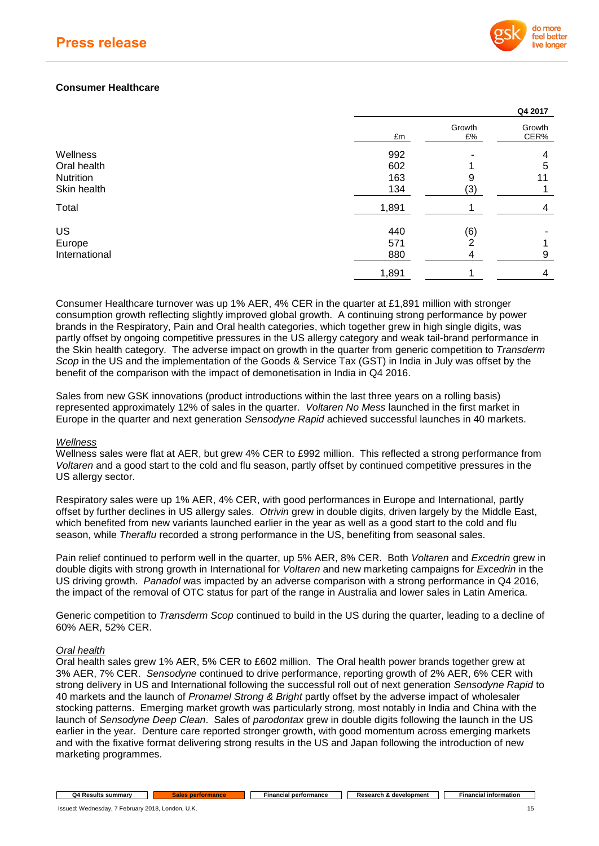

**Q4 2017**

## **Consumer Healthcare**

|               |       |              | Q4 2017        |
|---------------|-------|--------------|----------------|
|               | £m    | Growth<br>£% | Growth<br>CER% |
| Wellness      | 992   |              | 4              |
| Oral health   | 602   |              | 5              |
| Nutrition     | 163   | 9            | 11             |
| Skin health   | 134   | (3)          |                |
| Total         | 1,891 |              | 4              |
| US            | 440   | (6)          |                |
| Europe        | 571   | 2            |                |
| International | 880   | 4            | 9              |
|               | 1,891 |              | 4              |
|               |       |              |                |

Consumer Healthcare turnover was up 1% AER, 4% CER in the quarter at £1,891 million with stronger consumption growth reflecting slightly improved global growth. A continuing strong performance by power brands in the Respiratory, Pain and Oral health categories, which together grew in high single digits, was partly offset by ongoing competitive pressures in the US allergy category and weak tail-brand performance in the Skin health category. The adverse impact on growth in the quarter from generic competition to *Transderm Scop* in the US and the implementation of the Goods & Service Tax (GST) in India in July was offset by the benefit of the comparison with the impact of demonetisation in India in Q4 2016.

Sales from new GSK innovations (product introductions within the last three years on a rolling basis) represented approximately 12% of sales in the quarter. *Voltaren No Mess* launched in the first market in Europe in the quarter and next generation *Sensodyne Rapid* achieved successful launches in 40 markets.

### *Wellness*

Wellness sales were flat at AER, but grew 4% CER to £992 million. This reflected a strong performance from *Voltaren* and a good start to the cold and flu season, partly offset by continued competitive pressures in the US allergy sector.

Respiratory sales were up 1% AER, 4% CER, with good performances in Europe and International, partly offset by further declines in US allergy sales. *Otrivin* grew in double digits, driven largely by the Middle East, which benefited from new variants launched earlier in the year as well as a good start to the cold and flu season, while *Theraflu* recorded a strong performance in the US, benefiting from seasonal sales.

Pain relief continued to perform well in the quarter, up 5% AER, 8% CER. Both *Voltaren* and *Excedrin* grew in double digits with strong growth in International for *Voltaren* and new marketing campaigns for *Excedrin* in the US driving growth. *Panadol* was impacted by an adverse comparison with a strong performance in Q4 2016, the impact of the removal of OTC status for part of the range in Australia and lower sales in Latin America.

Generic competition to *Transderm Scop* continued to build in the US during the quarter, leading to a decline of 60% AER, 52% CER.

### *Oral health*

Oral health sales grew 1% AER, 5% CER to £602 million. The Oral health power brands together grew at 3% AER, 7% CER. *Sensodyne* continued to drive performance, reporting growth of 2% AER, 6% CER with strong delivery in US and International following the successful roll out of next generation *Sensodyne Rapid* to 40 markets and the launch of *Pronamel Strong & Bright* partly offset by the adverse impact of wholesaler stocking patterns. Emerging market growth was particularly strong, most notably in India and China with the launch of *Sensodyne Deep Clean*. Sales of *parodontax* grew in double digits following the launch in the US earlier in the year. Denture care reported stronger growth, with good momentum across emerging markets and with the fixative format delivering strong results in the US and Japan following the introduction of new marketing programmes.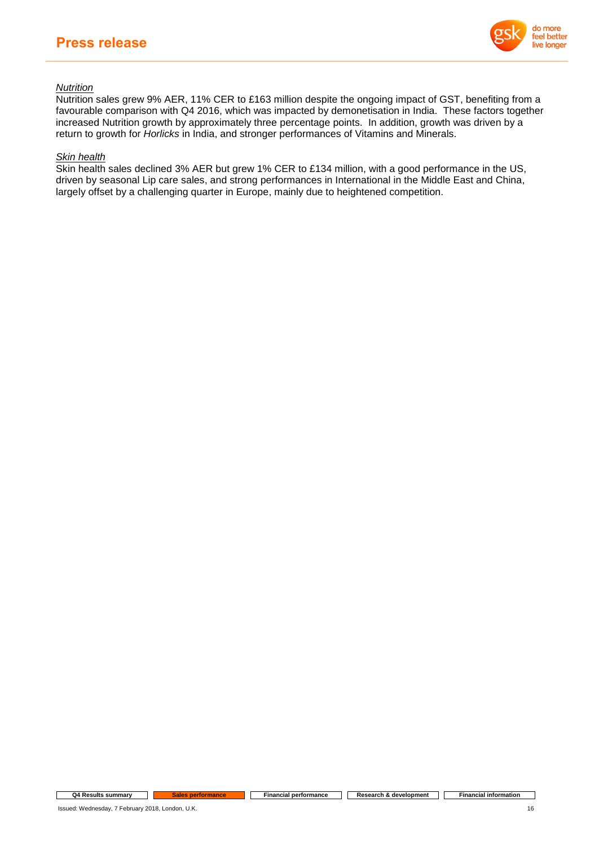

## *Nutrition*

Nutrition sales grew 9% AER, 11% CER to £163 million despite the ongoing impact of GST, benefiting from a favourable comparison with Q4 2016, which was impacted by demonetisation in India. These factors together increased Nutrition growth by approximately three percentage points. In addition, growth was driven by a return to growth for *Horlicks* in India, and stronger performances of Vitamins and Minerals.

## *Skin health*

Skin health sales declined 3% AER but grew 1% CER to £134 million, with a good performance in the US, driven by seasonal Lip care sales, and strong performances in International in the Middle East and China, largely offset by a challenging quarter in Europe, mainly due to heightened competition.

**Q4 Results summary Cales performance Financial performance Research &** development **Financial information**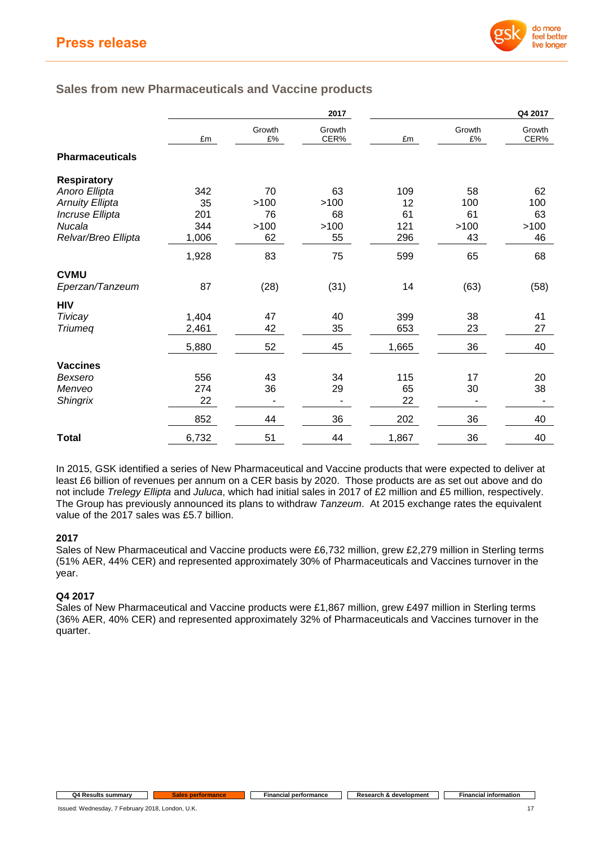

# **Sales from new Pharmaceuticals and Vaccine products**

|                        |       |              | 2017           |       |              | Q4 2017        |
|------------------------|-------|--------------|----------------|-------|--------------|----------------|
|                        | £m    | Growth<br>£% | Growth<br>CER% | £m    | Growth<br>£% | Growth<br>CER% |
| <b>Pharmaceuticals</b> |       |              |                |       |              |                |
| <b>Respiratory</b>     |       |              |                |       |              |                |
| Anoro Ellipta          | 342   | 70           | 63             | 109   | 58           | 62             |
| <b>Arnuity Ellipta</b> | 35    | >100         | >100           | 12    | 100          | 100            |
| Incruse Ellipta        | 201   | 76           | 68             | 61    | 61           | 63             |
| Nucala                 | 344   | >100         | >100           | 121   | >100         | >100           |
| Relvar/Breo Ellipta    | 1,006 | 62           | 55             | 296   | 43           | 46             |
|                        | 1,928 | 83           | 75             | 599   | 65           | 68             |
| <b>CVMU</b>            |       |              |                |       |              |                |
| Eperzan/Tanzeum        | 87    | (28)         | (31)           | 14    | (63)         | (58)           |
| <b>HIV</b>             |       |              |                |       |              |                |
| Tivicay                | 1,404 | 47           | 40             | 399   | 38           | 41             |
| <b>Triumeq</b>         | 2,461 | 42           | 35             | 653   | 23           | 27             |
|                        | 5,880 | 52           | 45             | 1,665 | 36           | 40             |
| <b>Vaccines</b>        |       |              |                |       |              |                |
| Bexsero                | 556   | 43           | 34             | 115   | 17           | 20             |
| Menveo                 | 274   | 36           | 29             | 65    | 30           | 38             |
| <b>Shingrix</b>        | 22    |              |                | 22    |              |                |
|                        | 852   | 44           | 36             | 202   | 36           | 40             |
| <b>Total</b>           | 6,732 | 51           | 44             | 1,867 | 36           | 40             |

In 2015, GSK identified a series of New Pharmaceutical and Vaccine products that were expected to deliver at least £6 billion of revenues per annum on a CER basis by 2020. Those products are as set out above and do not include *Trelegy Ellipta* and *Juluca*, which had initial sales in 2017 of £2 million and £5 million, respectively. The Group has previously announced its plans to withdraw *Tanzeum*. At 2015 exchange rates the equivalent value of the 2017 sales was £5.7 billion.

## **2017**

Sales of New Pharmaceutical and Vaccine products were £6,732 million, grew £2,279 million in Sterling terms (51% AER, 44% CER) and represented approximately 30% of Pharmaceuticals and Vaccines turnover in the year.

## **Q4 2017**

Sales of New Pharmaceutical and Vaccine products were £1,867 million, grew £497 million in Sterling terms (36% AER, 40% CER) and represented approximately 32% of Pharmaceuticals and Vaccines turnover in the quarter.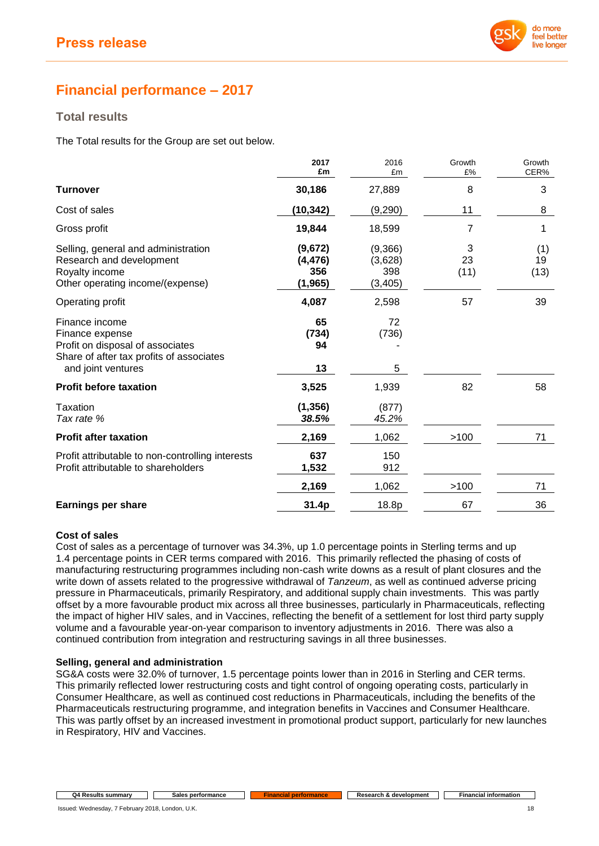

# **Financial performance – 2017**

## **Total results**

The Total results for the Group are set out below.

|                                                                                                                                         | 2017<br>£m                             | 2016<br>£m                            | Growth<br>£%    | Growth<br>CER%    |
|-----------------------------------------------------------------------------------------------------------------------------------------|----------------------------------------|---------------------------------------|-----------------|-------------------|
| <b>Turnover</b>                                                                                                                         | 30,186                                 | 27,889                                | 8               | 3                 |
| Cost of sales                                                                                                                           | (10,342)                               | (9,290)                               | 11              | 8                 |
| Gross profit                                                                                                                            | 19,844                                 | 18,599                                | 7               | 1                 |
| Selling, general and administration<br>Research and development<br>Royalty income<br>Other operating income/(expense)                   | (9,672)<br>(4, 476)<br>356<br>(1, 965) | (9,366)<br>(3,628)<br>398<br>(3, 405) | 3<br>23<br>(11) | (1)<br>19<br>(13) |
| Operating profit                                                                                                                        | 4,087                                  | 2,598                                 | 57              | 39                |
| Finance income<br>Finance expense<br>Profit on disposal of associates<br>Share of after tax profits of associates<br>and joint ventures | 65<br>(734)<br>94<br>13                | 72<br>(736)<br>5                      |                 |                   |
| <b>Profit before taxation</b>                                                                                                           | 3,525                                  | 1,939                                 | 82              | 58                |
| Taxation<br>Tax rate %                                                                                                                  | (1, 356)<br>38.5%                      | (877)<br>45.2%                        |                 |                   |
| <b>Profit after taxation</b>                                                                                                            | 2,169                                  | 1,062                                 | >100            | 71                |
| Profit attributable to non-controlling interests<br>Profit attributable to shareholders                                                 | 637<br>1,532                           | 150<br>912                            |                 |                   |
|                                                                                                                                         | 2,169                                  | 1,062                                 | >100            | 71                |
| <b>Earnings per share</b>                                                                                                               | 31.4p                                  | 18.8p                                 | 67              | 36                |

## **Cost of sales**

Cost of sales as a percentage of turnover was 34.3%, up 1.0 percentage points in Sterling terms and up 1.4 percentage points in CER terms compared with 2016. This primarily reflected the phasing of costs of manufacturing restructuring programmes including non-cash write downs as a result of plant closures and the write down of assets related to the progressive withdrawal of *Tanzeum*, as well as continued adverse pricing pressure in Pharmaceuticals, primarily Respiratory, and additional supply chain investments. This was partly offset by a more favourable product mix across all three businesses, particularly in Pharmaceuticals, reflecting the impact of higher HIV sales, and in Vaccines, reflecting the benefit of a settlement for lost third party supply volume and a favourable year-on-year comparison to inventory adjustments in 2016. There was also a continued contribution from integration and restructuring savings in all three businesses.

## **Selling, general and administration**

SG&A costs were 32.0% of turnover, 1.5 percentage points lower than in 2016 in Sterling and CER terms. This primarily reflected lower restructuring costs and tight control of ongoing operating costs, particularly in Consumer Healthcare, as well as continued cost reductions in Pharmaceuticals, including the benefits of the Pharmaceuticals restructuring programme, and integration benefits in Vaccines and Consumer Healthcare. This was partly offset by an increased investment in promotional product support, particularly for new launches in Respiratory, HIV and Vaccines.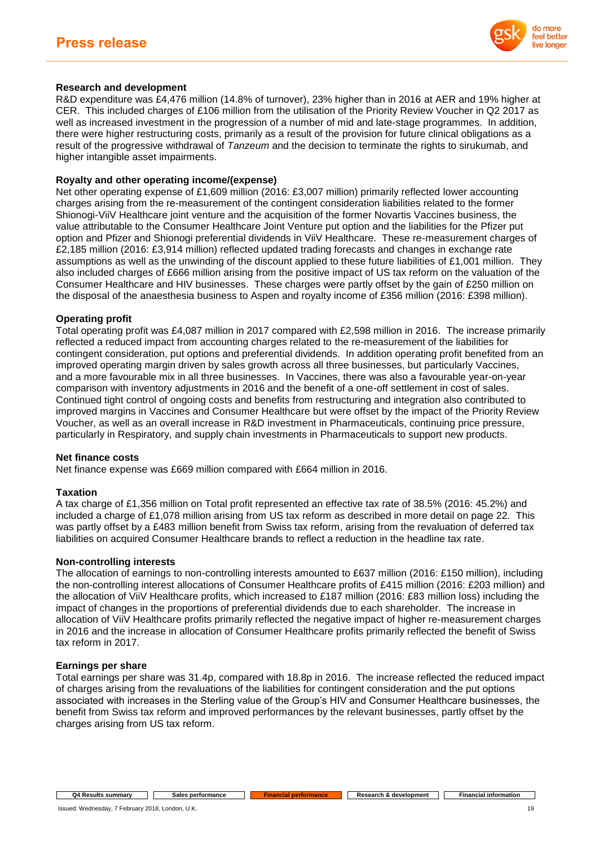

## **Research and development**

R&D expenditure was £4,476 million (14.8% of turnover), 23% higher than in 2016 at AER and 19% higher at CER. This included charges of £106 million from the utilisation of the Priority Review Voucher in Q2 2017 as well as increased investment in the progression of a number of mid and late-stage programmes. In addition, there were higher restructuring costs, primarily as a result of the provision for future clinical obligations as a result of the progressive withdrawal of *Tanzeum* and the decision to terminate the rights to sirukumab, and higher intangible asset impairments.

## **Royalty and other operating income/(expense)**

Net other operating expense of £1,609 million (2016: £3,007 million) primarily reflected lower accounting charges arising from the re-measurement of the contingent consideration liabilities related to the former Shionogi-ViiV Healthcare joint venture and the acquisition of the former Novartis Vaccines business, the value attributable to the Consumer Healthcare Joint Venture put option and the liabilities for the Pfizer put option and Pfizer and Shionogi preferential dividends in ViiV Healthcare. These re-measurement charges of £2,185 million (2016: £3,914 million) reflected updated trading forecasts and changes in exchange rate assumptions as well as the unwinding of the discount applied to these future liabilities of £1,001 million. They also included charges of £666 million arising from the positive impact of US tax reform on the valuation of the Consumer Healthcare and HIV businesses. These charges were partly offset by the gain of £250 million on the disposal of the anaesthesia business to Aspen and royalty income of £356 million (2016: £398 million).

## **Operating profit**

Total operating profit was £4,087 million in 2017 compared with £2,598 million in 2016. The increase primarily reflected a reduced impact from accounting charges related to the re-measurement of the liabilities for contingent consideration, put options and preferential dividends. In addition operating profit benefited from an improved operating margin driven by sales growth across all three businesses, but particularly Vaccines, and a more favourable mix in all three businesses. In Vaccines, there was also a favourable year-on-year comparison with inventory adjustments in 2016 and the benefit of a one-off settlement in cost of sales. Continued tight control of ongoing costs and benefits from restructuring and integration also contributed to improved margins in Vaccines and Consumer Healthcare but were offset by the impact of the Priority Review Voucher, as well as an overall increase in R&D investment in Pharmaceuticals, continuing price pressure, particularly in Respiratory, and supply chain investments in Pharmaceuticals to support new products.

### **Net finance costs**

Net finance expense was £669 million compared with £664 million in 2016.

### **Taxation**

A tax charge of £1,356 million on Total profit represented an effective tax rate of 38.5% (2016: 45.2%) and included a charge of £1,078 million arising from US tax reform as described in more detail on page 22. This was partly offset by a £483 million benefit from Swiss tax reform, arising from the revaluation of deferred tax liabilities on acquired Consumer Healthcare brands to reflect a reduction in the headline tax rate.

### **Non-controlling interests**

The allocation of earnings to non-controlling interests amounted to £637 million (2016: £150 million), including the non-controlling interest allocations of Consumer Healthcare profits of £415 million (2016: £203 million) and the allocation of ViiV Healthcare profits, which increased to £187 million (2016: £83 million loss) including the impact of changes in the proportions of preferential dividends due to each shareholder. The increase in allocation of ViiV Healthcare profits primarily reflected the negative impact of higher re-measurement charges in 2016 and the increase in allocation of Consumer Healthcare profits primarily reflected the benefit of Swiss tax reform in 2017.

### **Earnings per share**

Total earnings per share was 31.4p, compared with 18.8p in 2016. The increase reflected the reduced impact of charges arising from the revaluations of the liabilities for contingent consideration and the put options associated with increases in the Sterling value of the Group's HIV and Consumer Healthcare businesses, the benefit from Swiss tax reform and improved performances by the relevant businesses, partly offset by the charges arising from US tax reform.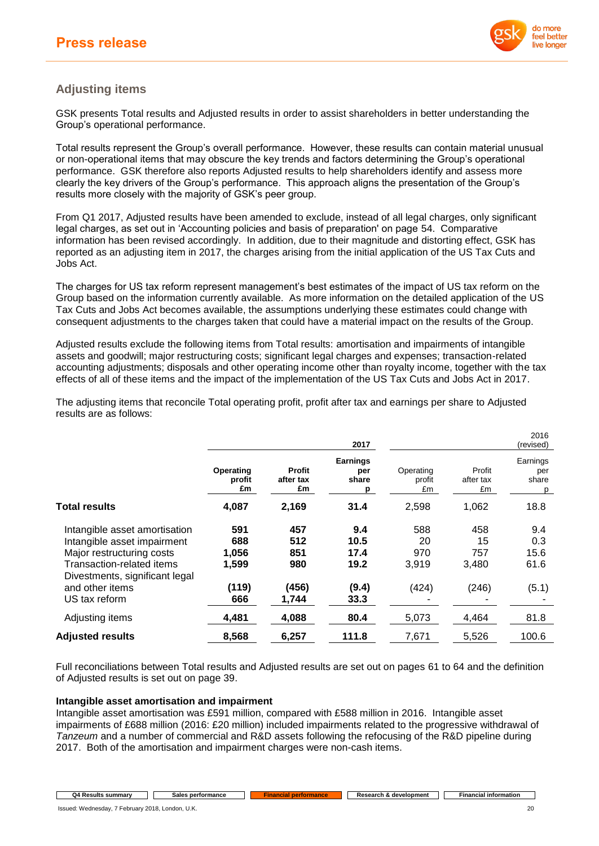

## **Adjusting items**

GSK presents Total results and Adjusted results in order to assist shareholders in better understanding the Group's operational performance.

Total results represent the Group's overall performance. However, these results can contain material unusual or non-operational items that may obscure the key trends and factors determining the Group's operational performance. GSK therefore also reports Adjusted results to help shareholders identify and assess more clearly the key drivers of the Group's performance. This approach aligns the presentation of the Group's results more closely with the majority of GSK's peer group.

From Q1 2017, Adjusted results have been amended to exclude, instead of all legal charges, only significant legal charges, as set out in 'Accounting policies and basis of preparation' on page 54. Comparative information has been revised accordingly. In addition, due to their magnitude and distorting effect, GSK has reported as an adjusting item in 2017, the charges arising from the initial application of the US Tax Cuts and Jobs Act.

The charges for US tax reform represent management's best estimates of the impact of US tax reform on the Group based on the information currently available. As more information on the detailed application of the US Tax Cuts and Jobs Act becomes available, the assumptions underlying these estimates could change with consequent adjustments to the charges taken that could have a material impact on the results of the Group.

Adjusted results exclude the following items from Total results: amortisation and impairments of intangible assets and goodwill; major restructuring costs; significant legal charges and expenses; transaction-related accounting adjustments; disposals and other operating income other than royalty income, together with the tax effects of all of these items and the impact of the implementation of the US Tax Cuts and Jobs Act in 2017.

The adjusting items that reconcile Total operating profit, profit after tax and earnings per share to Adjusted results are as follows:

|                                                             |                           |                                  | 2017                                 |                           |                           | 2016<br>(revised)             |
|-------------------------------------------------------------|---------------------------|----------------------------------|--------------------------------------|---------------------------|---------------------------|-------------------------------|
|                                                             | Operating<br>profit<br>£m | <b>Profit</b><br>after tax<br>£m | <b>Earnings</b><br>per<br>share<br>p | Operating<br>profit<br>£m | Profit<br>after tax<br>£m | Earnings<br>per<br>share<br>p |
| <b>Total results</b>                                        | 4,087                     | 2,169                            | 31.4                                 | 2,598                     | 1,062                     | 18.8                          |
| Intangible asset amortisation                               | 591                       | 457                              | 9.4                                  | 588                       | 458                       | 9.4                           |
| Intangible asset impairment                                 | 688                       | 512                              | 10.5                                 | 20                        | 15                        | 0.3                           |
| Major restructuring costs                                   | 1,056                     | 851                              | 17.4                                 | 970                       | 757                       | 15.6                          |
| Transaction-related items<br>Divestments, significant legal | 1,599                     | 980                              | 19.2                                 | 3,919                     | 3,480                     | 61.6                          |
| and other items                                             | (119)                     | (456)                            | (9.4)                                | (424)                     | (246)                     | (5.1)                         |
| US tax reform                                               | 666                       | 1,744                            | 33.3                                 |                           |                           |                               |
| Adjusting items                                             | 4,481                     | 4,088                            | 80.4                                 | 5,073                     | 4,464                     | 81.8                          |
| <b>Adjusted results</b>                                     | 8,568                     | 6,257                            | 111.8                                | 7,671                     | 5,526                     | 100.6                         |

Full reconciliations between Total results and Adjusted results are set out on pages 61 to 64 and the definition of Adjusted results is set out on page 39.

### **Intangible asset amortisation and impairment**

Intangible asset amortisation was £591 million, compared with £588 million in 2016. Intangible asset impairments of £688 million (2016: £20 million) included impairments related to the progressive withdrawal of *Tanzeum* and a number of commercial and R&D assets following the refocusing of the R&D pipeline during 2017. Both of the amortisation and impairment charges were non-cash items.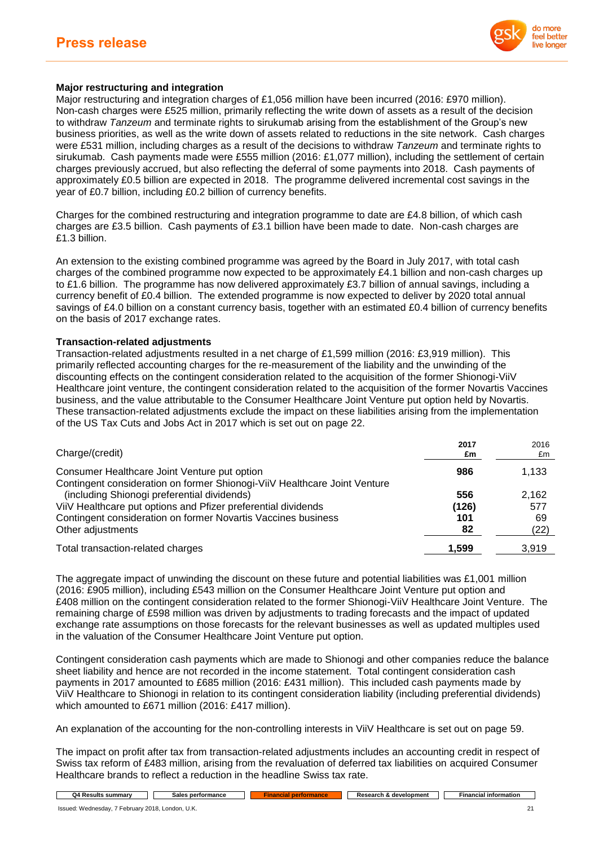

## **Major restructuring and integration**

Major restructuring and integration charges of £1,056 million have been incurred (2016: £970 million). Non-cash charges were £525 million, primarily reflecting the write down of assets as a result of the decision to withdraw *Tanzeum* and terminate rights to sirukumab arising from the establishment of the Group's new business priorities, as well as the write down of assets related to reductions in the site network. Cash charges were £531 million, including charges as a result of the decisions to withdraw *Tanzeum* and terminate rights to sirukumab. Cash payments made were £555 million (2016: £1,077 million), including the settlement of certain charges previously accrued, but also reflecting the deferral of some payments into 2018. Cash payments of approximately £0.5 billion are expected in 2018. The programme delivered incremental cost savings in the year of £0.7 billion, including £0.2 billion of currency benefits.

Charges for the combined restructuring and integration programme to date are £4.8 billion, of which cash charges are £3.5 billion. Cash payments of £3.1 billion have been made to date. Non-cash charges are £1.3 billion.

An extension to the existing combined programme was agreed by the Board in July 2017, with total cash charges of the combined programme now expected to be approximately £4.1 billion and non-cash charges up to £1.6 billion. The programme has now delivered approximately £3.7 billion of annual savings, including a currency benefit of £0.4 billion. The extended programme is now expected to deliver by 2020 total annual savings of £4.0 billion on a constant currency basis, together with an estimated £0.4 billion of currency benefits on the basis of 2017 exchange rates.

## **Transaction-related adjustments**

Transaction-related adjustments resulted in a net charge of £1,599 million (2016: £3,919 million). This primarily reflected accounting charges for the re-measurement of the liability and the unwinding of the discounting effects on the contingent consideration related to the acquisition of the former Shionogi-ViiV Healthcare joint venture, the contingent consideration related to the acquisition of the former Novartis Vaccines business, and the value attributable to the Consumer Healthcare Joint Venture put option held by Novartis. These transaction-related adjustments exclude the impact on these liabilities arising from the implementation of the US Tax Cuts and Jobs Act in 2017 which is set out on page 22.

| Charge/(credit)                                                                                                          | 2017<br>£m | 2016<br>£m |
|--------------------------------------------------------------------------------------------------------------------------|------------|------------|
| Consumer Healthcare Joint Venture put option                                                                             | 986        | 1.133      |
| Contingent consideration on former Shionogi-ViiV Healthcare Joint Venture<br>(including Shionogi preferential dividends) | 556        | 2,162      |
| ViiV Healthcare put options and Pfizer preferential dividends                                                            | (126)      | 577        |
| Contingent consideration on former Novartis Vaccines business                                                            | 101        | 69         |
| Other adjustments                                                                                                        | 82         | (22)       |
| Total transaction-related charges                                                                                        | 1,599      | 3.919      |

The aggregate impact of unwinding the discount on these future and potential liabilities was £1,001 million (2016: £905 million), including £543 million on the Consumer Healthcare Joint Venture put option and £408 million on the contingent consideration related to the former Shionogi-ViiV Healthcare Joint Venture. The remaining charge of £598 million was driven by adjustments to trading forecasts and the impact of updated exchange rate assumptions on those forecasts for the relevant businesses as well as updated multiples used in the valuation of the Consumer Healthcare Joint Venture put option.

Contingent consideration cash payments which are made to Shionogi and other companies reduce the balance sheet liability and hence are not recorded in the income statement. Total contingent consideration cash payments in 2017 amounted to £685 million (2016: £431 million). This included cash payments made by ViiV Healthcare to Shionogi in relation to its contingent consideration liability (including preferential dividends) which amounted to £671 million (2016: £417 million).

An explanation of the accounting for the non-controlling interests in ViiV Healthcare is set out on page 59.

The impact on profit after tax from transaction-related adjustments includes an accounting credit in respect of Swiss tax reform of £483 million, arising from the revaluation of deferred tax liabilities on acquired Consumer Healthcare brands to reflect a reduction in the headline Swiss tax rate.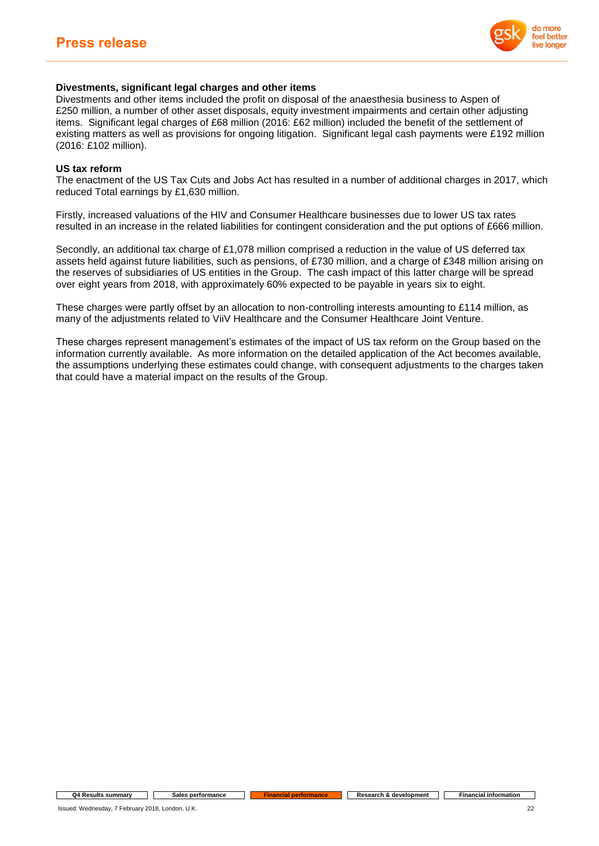

## **Divestments, significant legal charges and other items**

Divestments and other items included the profit on disposal of the anaesthesia business to Aspen of £250 million, a number of other asset disposals, equity investment impairments and certain other adjusting items. Significant legal charges of £68 million (2016: £62 million) included the benefit of the settlement of existing matters as well as provisions for ongoing litigation. Significant legal cash payments were £192 million (2016: £102 million).

### **US tax reform**

The enactment of the US Tax Cuts and Jobs Act has resulted in a number of additional charges in 2017, which reduced Total earnings by £1,630 million.

Firstly, increased valuations of the HIV and Consumer Healthcare businesses due to lower US tax rates resulted in an increase in the related liabilities for contingent consideration and the put options of £666 million.

Secondly, an additional tax charge of £1,078 million comprised a reduction in the value of US deferred tax assets held against future liabilities, such as pensions, of £730 million, and a charge of £348 million arising on the reserves of subsidiaries of US entities in the Group. The cash impact of this latter charge will be spread over eight years from 2018, with approximately 60% expected to be payable in years six to eight.

These charges were partly offset by an allocation to non-controlling interests amounting to £114 million, as many of the adjustments related to ViiV Healthcare and the Consumer Healthcare Joint Venture.

These charges represent management's estimates of the impact of US tax reform on the Group based on the information currently available. As more information on the detailed application of the Act becomes available, the assumptions underlying these estimates could change, with consequent adjustments to the charges taken that could have a material impact on the results of the Group.

**Q4 Results summary Sales performance Financial performance Research &** development **Financial information**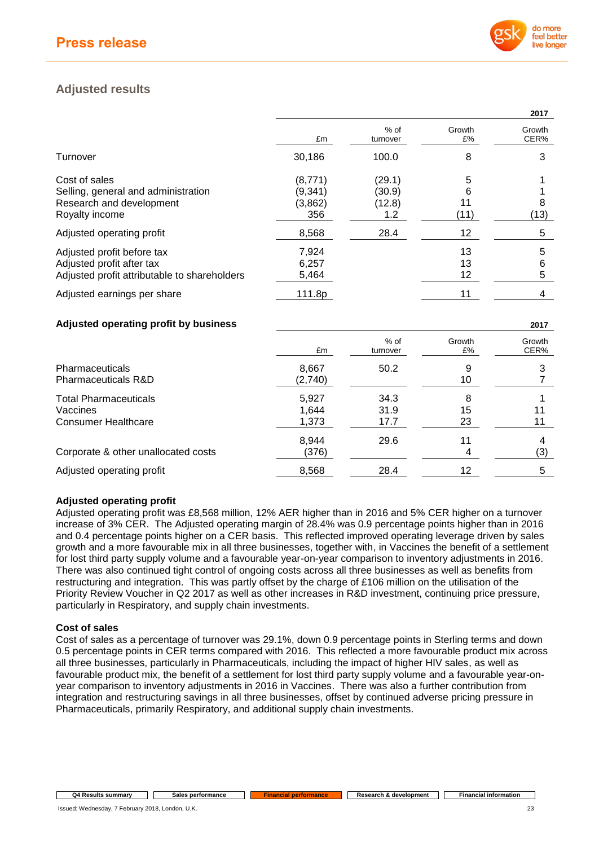

# **Adjusted results**

|                                              |         |                    |              | 2017           |
|----------------------------------------------|---------|--------------------|--------------|----------------|
|                                              | £m      | $%$ of<br>turnover | Growth<br>£% | Growth<br>CER% |
| Turnover                                     | 30,186  | 100.0              | 8            | 3              |
| Cost of sales                                | (8,771) | (29.1)             | 5            |                |
| Selling, general and administration          | (9,341) | (30.9)             | 6            |                |
| Research and development                     | (3,862) | (12.8)             | 11           | 8              |
| Royalty income                               | 356     | 1.2                | (11)         | (13)           |
| Adjusted operating profit                    | 8,568   | 28.4               | 12           | 5              |
| Adjusted profit before tax                   | 7,924   |                    | 13           | 5              |
| Adjusted profit after tax                    | 6,257   |                    | 13           | 6              |
| Adjusted profit attributable to shareholders | 5,464   |                    | 12           | 5              |
| Adjusted earnings per share                  | 111.8p  |                    | 11           |                |

## **Adjusted operating profit by business 2017**

|                                                                        | £m                      | % of<br>turnover     | Growth<br>£%  | Growth<br>CER% |
|------------------------------------------------------------------------|-------------------------|----------------------|---------------|----------------|
| <b>Pharmaceuticals</b><br><b>Pharmaceuticals R&amp;D</b>               | 8,667<br>(2,740)        | 50.2                 | 9<br>10       |                |
| <b>Total Pharmaceuticals</b><br>Vaccines<br><b>Consumer Healthcare</b> | 5.927<br>1.644<br>1,373 | 34.3<br>31.9<br>17.7 | 8<br>15<br>23 | 11<br>11       |
| Corporate & other unallocated costs                                    | 8,944<br>(376)          | 29.6                 | 11<br>4       | 4<br>(3)       |
| Adjusted operating profit                                              | 8,568                   | 28.4                 | 12            | 5              |

## **Adjusted operating profit**

Adjusted operating profit was £8,568 million, 12% AER higher than in 2016 and 5% CER higher on a turnover increase of 3% CER. The Adjusted operating margin of 28.4% was 0.9 percentage points higher than in 2016 and 0.4 percentage points higher on a CER basis. This reflected improved operating leverage driven by sales growth and a more favourable mix in all three businesses, together with, in Vaccines the benefit of a settlement for lost third party supply volume and a favourable year-on-year comparison to inventory adjustments in 2016. There was also continued tight control of ongoing costs across all three businesses as well as benefits from restructuring and integration. This was partly offset by the charge of £106 million on the utilisation of the Priority Review Voucher in Q2 2017 as well as other increases in R&D investment, continuing price pressure, particularly in Respiratory, and supply chain investments.

## **Cost of sales**

Cost of sales as a percentage of turnover was 29.1%, down 0.9 percentage points in Sterling terms and down 0.5 percentage points in CER terms compared with 2016. This reflected a more favourable product mix across all three businesses, particularly in Pharmaceuticals, including the impact of higher HIV sales, as well as favourable product mix, the benefit of a settlement for lost third party supply volume and a favourable year-onyear comparison to inventory adjustments in 2016 in Vaccines. There was also a further contribution from integration and restructuring savings in all three businesses, offset by continued adverse pricing pressure in Pharmaceuticals, primarily Respiratory, and additional supply chain investments.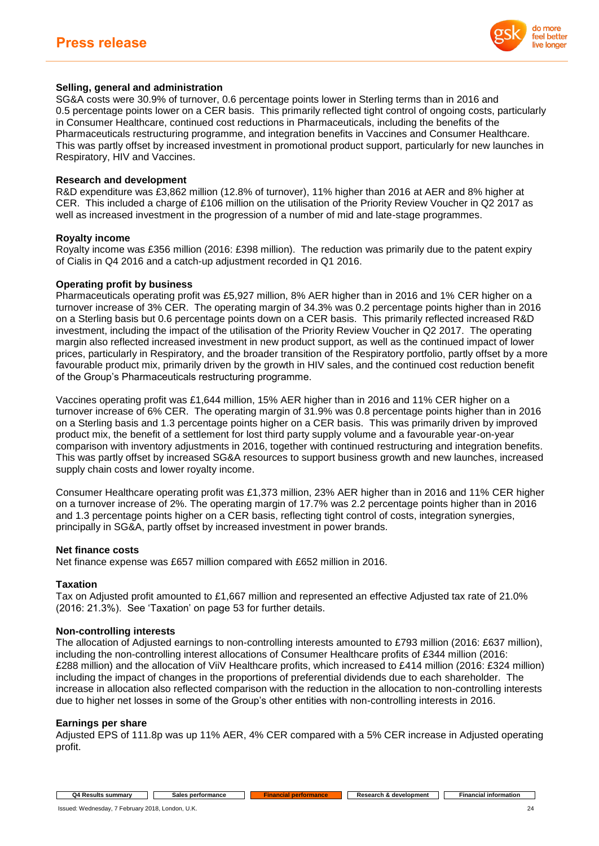

## **Selling, general and administration**

SG&A costs were 30.9% of turnover, 0.6 percentage points lower in Sterling terms than in 2016 and 0.5 percentage points lower on a CER basis. This primarily reflected tight control of ongoing costs, particularly in Consumer Healthcare, continued cost reductions in Pharmaceuticals, including the benefits of the Pharmaceuticals restructuring programme, and integration benefits in Vaccines and Consumer Healthcare. This was partly offset by increased investment in promotional product support, particularly for new launches in Respiratory, HIV and Vaccines.

### **Research and development**

R&D expenditure was £3,862 million (12.8% of turnover), 11% higher than 2016 at AER and 8% higher at CER. This included a charge of £106 million on the utilisation of the Priority Review Voucher in Q2 2017 as well as increased investment in the progression of a number of mid and late-stage programmes.

#### **Royalty income**

Royalty income was £356 million (2016: £398 million). The reduction was primarily due to the patent expiry of Cialis in Q4 2016 and a catch-up adjustment recorded in Q1 2016.

#### **Operating profit by business**

Pharmaceuticals operating profit was £5,927 million, 8% AER higher than in 2016 and 1% CER higher on a turnover increase of 3% CER. The operating margin of 34.3% was 0.2 percentage points higher than in 2016 on a Sterling basis but 0.6 percentage points down on a CER basis. This primarily reflected increased R&D investment, including the impact of the utilisation of the Priority Review Voucher in Q2 2017. The operating margin also reflected increased investment in new product support, as well as the continued impact of lower prices, particularly in Respiratory, and the broader transition of the Respiratory portfolio, partly offset by a more favourable product mix, primarily driven by the growth in HIV sales, and the continued cost reduction benefit of the Group's Pharmaceuticals restructuring programme.

Vaccines operating profit was £1,644 million, 15% AER higher than in 2016 and 11% CER higher on a turnover increase of 6% CER. The operating margin of 31.9% was 0.8 percentage points higher than in 2016 on a Sterling basis and 1.3 percentage points higher on a CER basis. This was primarily driven by improved product mix, the benefit of a settlement for lost third party supply volume and a favourable year-on-year comparison with inventory adjustments in 2016, together with continued restructuring and integration benefits. This was partly offset by increased SG&A resources to support business growth and new launches, increased supply chain costs and lower royalty income.

Consumer Healthcare operating profit was £1,373 million, 23% AER higher than in 2016 and 11% CER higher on a turnover increase of 2%. The operating margin of 17.7% was 2.2 percentage points higher than in 2016 and 1.3 percentage points higher on a CER basis, reflecting tight control of costs, integration synergies, principally in SG&A, partly offset by increased investment in power brands.

#### **Net finance costs**

Net finance expense was £657 million compared with £652 million in 2016.

### **Taxation**

Tax on Adjusted profit amounted to £1,667 million and represented an effective Adjusted tax rate of 21.0% (2016: 21.3%). See 'Taxation' on page 53 for further details.

#### **Non-controlling interests**

The allocation of Adjusted earnings to non-controlling interests amounted to £793 million (2016: £637 million), including the non-controlling interest allocations of Consumer Healthcare profits of £344 million (2016: £288 million) and the allocation of ViiV Healthcare profits, which increased to £414 million (2016: £324 million) including the impact of changes in the proportions of preferential dividends due to each shareholder. The increase in allocation also reflected comparison with the reduction in the allocation to non-controlling interests due to higher net losses in some of the Group's other entities with non-controlling interests in 2016.

### **Earnings per share**

Adjusted EPS of 111.8p was up 11% AER, 4% CER compared with a 5% CER increase in Adjusted operating profit.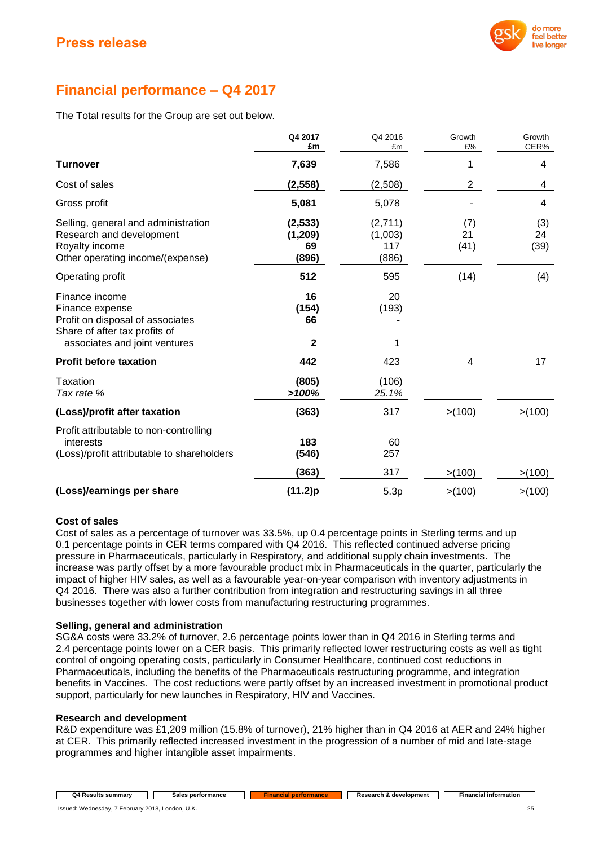

# **Financial performance – Q4 2017**

The Total results for the Group are set out below.

|                                                                                                                                         | Q4 2017<br>£m                       | Q4 2016<br>£m                      | Growth<br>£%      | Growth<br>CER%    |
|-----------------------------------------------------------------------------------------------------------------------------------------|-------------------------------------|------------------------------------|-------------------|-------------------|
| <b>Turnover</b>                                                                                                                         | 7,639                               | 7,586                              | 1                 | 4                 |
| Cost of sales                                                                                                                           | (2, 558)                            | (2,508)                            | $\overline{2}$    | 4                 |
| Gross profit                                                                                                                            | 5,081                               | 5,078                              |                   | 4                 |
| Selling, general and administration<br>Research and development<br>Royalty income<br>Other operating income/(expense)                   | (2, 533)<br>(1, 209)<br>69<br>(896) | (2,711)<br>(1,003)<br>117<br>(886) | (7)<br>21<br>(41) | (3)<br>24<br>(39) |
| Operating profit                                                                                                                        | 512                                 | 595                                | (14)              | (4)               |
| Finance income<br>Finance expense<br>Profit on disposal of associates<br>Share of after tax profits of<br>associates and joint ventures | 16<br>(154)<br>66<br>$\mathbf{2}$   | 20<br>(193)                        |                   |                   |
| <b>Profit before taxation</b>                                                                                                           | 442                                 | 423                                | 4                 | 17                |
| Taxation<br>Tax rate %                                                                                                                  | (805)<br>>100%                      | (106)<br>25.1%                     |                   |                   |
| (Loss)/profit after taxation                                                                                                            | (363)                               | 317                                | >(100)            | > (100)           |
| Profit attributable to non-controlling<br>interests<br>(Loss)/profit attributable to shareholders                                       | 183<br>(546)                        | 60<br>257                          |                   |                   |
|                                                                                                                                         | (363)                               | 317                                | > (100)           | >(100)            |
| (Loss)/earnings per share                                                                                                               | (11.2)p                             | 5.3p                               | >(100)            | > (100)           |

## **Cost of sales**

Cost of sales as a percentage of turnover was 33.5%, up 0.4 percentage points in Sterling terms and up 0.1 percentage points in CER terms compared with Q4 2016. This reflected continued adverse pricing pressure in Pharmaceuticals, particularly in Respiratory, and additional supply chain investments. The increase was partly offset by a more favourable product mix in Pharmaceuticals in the quarter, particularly the impact of higher HIV sales, as well as a favourable year-on-year comparison with inventory adjustments in Q4 2016. There was also a further contribution from integration and restructuring savings in all three businesses together with lower costs from manufacturing restructuring programmes.

## **Selling, general and administration**

SG&A costs were 33.2% of turnover, 2.6 percentage points lower than in Q4 2016 in Sterling terms and 2.4 percentage points lower on a CER basis. This primarily reflected lower restructuring costs as well as tight control of ongoing operating costs, particularly in Consumer Healthcare, continued cost reductions in Pharmaceuticals, including the benefits of the Pharmaceuticals restructuring programme, and integration benefits in Vaccines. The cost reductions were partly offset by an increased investment in promotional product support, particularly for new launches in Respiratory, HIV and Vaccines.

### **Research and development**

R&D expenditure was £1,209 million (15.8% of turnover), 21% higher than in Q4 2016 at AER and 24% higher at CER. This primarily reflected increased investment in the progression of a number of mid and late-stage programmes and higher intangible asset impairments.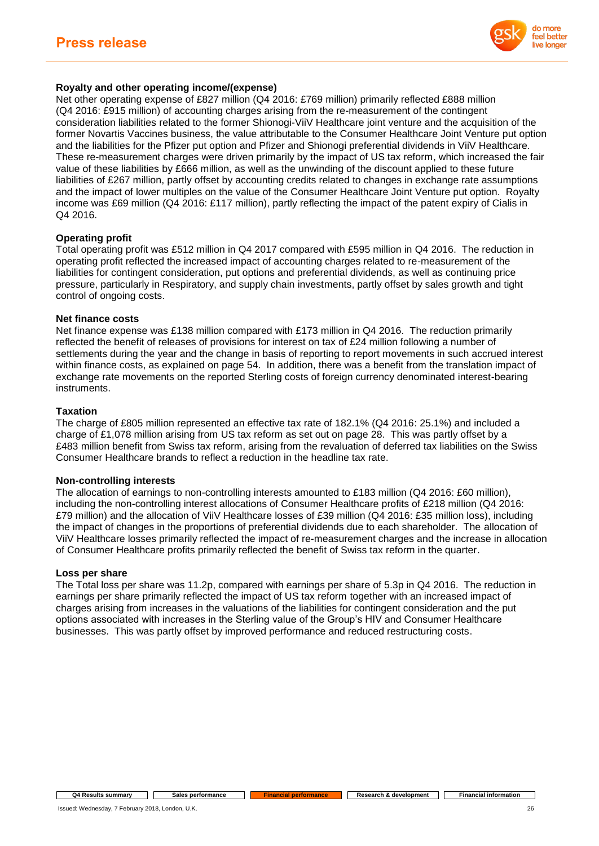

## **Royalty and other operating income/(expense)**

Net other operating expense of £827 million (Q4 2016: £769 million) primarily reflected £888 million (Q4 2016: £915 million) of accounting charges arising from the re-measurement of the contingent consideration liabilities related to the former Shionogi-ViiV Healthcare joint venture and the acquisition of the former Novartis Vaccines business, the value attributable to the Consumer Healthcare Joint Venture put option and the liabilities for the Pfizer put option and Pfizer and Shionogi preferential dividends in ViiV Healthcare. These re-measurement charges were driven primarily by the impact of US tax reform, which increased the fair value of these liabilities by £666 million, as well as the unwinding of the discount applied to these future liabilities of £267 million, partly offset by accounting credits related to changes in exchange rate assumptions and the impact of lower multiples on the value of the Consumer Healthcare Joint Venture put option. Royalty income was £69 million (Q4 2016: £117 million), partly reflecting the impact of the patent expiry of Cialis in Q4 2016.

## **Operating profit**

Total operating profit was £512 million in Q4 2017 compared with £595 million in Q4 2016. The reduction in operating profit reflected the increased impact of accounting charges related to re-measurement of the liabilities for contingent consideration, put options and preferential dividends, as well as continuing price pressure, particularly in Respiratory, and supply chain investments, partly offset by sales growth and tight control of ongoing costs.

### **Net finance costs**

Net finance expense was £138 million compared with £173 million in Q4 2016. The reduction primarily reflected the benefit of releases of provisions for interest on tax of £24 million following a number of settlements during the year and the change in basis of reporting to report movements in such accrued interest within finance costs, as explained on page 54. In addition, there was a benefit from the translation impact of exchange rate movements on the reported Sterling costs of foreign currency denominated interest-bearing instruments.

### **Taxation**

The charge of £805 million represented an effective tax rate of 182.1% (Q4 2016: 25.1%) and included a charge of £1,078 million arising from US tax reform as set out on page 28. This was partly offset by a £483 million benefit from Swiss tax reform, arising from the revaluation of deferred tax liabilities on the Swiss Consumer Healthcare brands to reflect a reduction in the headline tax rate.

### **Non-controlling interests**

The allocation of earnings to non-controlling interests amounted to £183 million (Q4 2016: £60 million), including the non-controlling interest allocations of Consumer Healthcare profits of £218 million (Q4 2016: £79 million) and the allocation of ViiV Healthcare losses of £39 million (Q4 2016: £35 million loss), including the impact of changes in the proportions of preferential dividends due to each shareholder. The allocation of ViiV Healthcare losses primarily reflected the impact of re-measurement charges and the increase in allocation of Consumer Healthcare profits primarily reflected the benefit of Swiss tax reform in the quarter.

### **Loss per share**

The Total loss per share was 11.2p, compared with earnings per share of 5.3p in Q4 2016. The reduction in earnings per share primarily reflected the impact of US tax reform together with an increased impact of charges arising from increases in the valuations of the liabilities for contingent consideration and the put options associated with increases in the Sterling value of the Group's HIV and Consumer Healthcare businesses. This was partly offset by improved performance and reduced restructuring costs.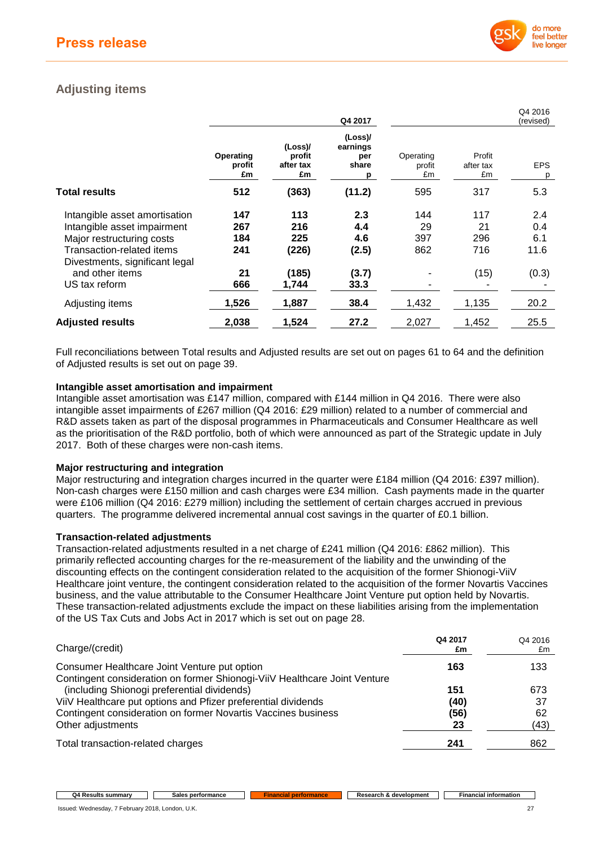

Q4 2016

# **Adjusting items**

|                                |                           |                                      | Q4 2017                                  |                           |                           | Q4 2010<br>(revised) |
|--------------------------------|---------------------------|--------------------------------------|------------------------------------------|---------------------------|---------------------------|----------------------|
|                                | Operating<br>profit<br>£m | (Loss)/<br>profit<br>after tax<br>£m | (Loss)/<br>earnings<br>per<br>share<br>р | Operating<br>profit<br>£m | Profit<br>after tax<br>£m | <b>EPS</b><br>p      |
| Total results                  | 512                       | (363)                                | (11.2)                                   | 595                       | 317                       | 5.3                  |
| Intangible asset amortisation  | 147                       | 113                                  | 2.3                                      | 144                       | 117                       | 2.4                  |
| Intangible asset impairment    | 267                       | 216                                  | 4.4                                      | 29                        | 21                        | 0.4                  |
| Major restructuring costs      | 184                       | 225                                  | 4.6                                      | 397                       | 296                       | 6.1                  |
| Transaction-related items      | 241                       | (226)                                | (2.5)                                    | 862                       | 716                       | 11.6                 |
| Divestments, significant legal |                           |                                      |                                          |                           |                           |                      |
| and other items                | 21                        | (185)                                | (3.7)                                    |                           | (15)                      | (0.3)                |
| US tax reform                  | 666                       | 1.744                                | 33.3                                     |                           |                           |                      |
| Adjusting items                | 1,526                     | 1,887                                | 38.4                                     | 1,432                     | 1,135                     | 20.2                 |
| <b>Adjusted results</b>        | 2,038                     | 1,524                                | 27.2                                     | 2,027                     | 1,452                     | 25.5                 |

Full reconciliations between Total results and Adjusted results are set out on pages 61 to 64 and the definition of Adjusted results is set out on page 39.

## **Intangible asset amortisation and impairment**

Intangible asset amortisation was £147 million, compared with £144 million in Q4 2016. There were also intangible asset impairments of £267 million (Q4 2016: £29 million) related to a number of commercial and R&D assets taken as part of the disposal programmes in Pharmaceuticals and Consumer Healthcare as well as the prioritisation of the R&D portfolio, both of which were announced as part of the Strategic update in July 2017. Both of these charges were non-cash items.

### **Major restructuring and integration**

Major restructuring and integration charges incurred in the quarter were £184 million (Q4 2016: £397 million). Non-cash charges were £150 million and cash charges were £34 million. Cash payments made in the quarter were £106 million (Q4 2016: £279 million) including the settlement of certain charges accrued in previous quarters. The programme delivered incremental annual cost savings in the quarter of £0.1 billion.

## **Transaction-related adjustments**

Transaction-related adjustments resulted in a net charge of £241 million (Q4 2016: £862 million). This primarily reflected accounting charges for the re-measurement of the liability and the unwinding of the discounting effects on the contingent consideration related to the acquisition of the former Shionogi-ViiV Healthcare joint venture, the contingent consideration related to the acquisition of the former Novartis Vaccines business, and the value attributable to the Consumer Healthcare Joint Venture put option held by Novartis. These transaction-related adjustments exclude the impact on these liabilities arising from the implementation of the US Tax Cuts and Jobs Act in 2017 which is set out on page 28.

| Charge/(credit)                                                                                                          | Q4 2017<br>£m | Q4 2016<br>£m |
|--------------------------------------------------------------------------------------------------------------------------|---------------|---------------|
| Consumer Healthcare Joint Venture put option                                                                             | 163           | 133           |
| Contingent consideration on former Shionogi-ViiV Healthcare Joint Venture<br>(including Shionogi preferential dividends) | 151           | 673           |
| ViiV Healthcare put options and Pfizer preferential dividends                                                            | (40)          | 37            |
| Contingent consideration on former Novartis Vaccines business                                                            | (56)          | 62            |
| Other adjustments                                                                                                        | 23            | (43)          |
| Total transaction-related charges                                                                                        | 241           | 862           |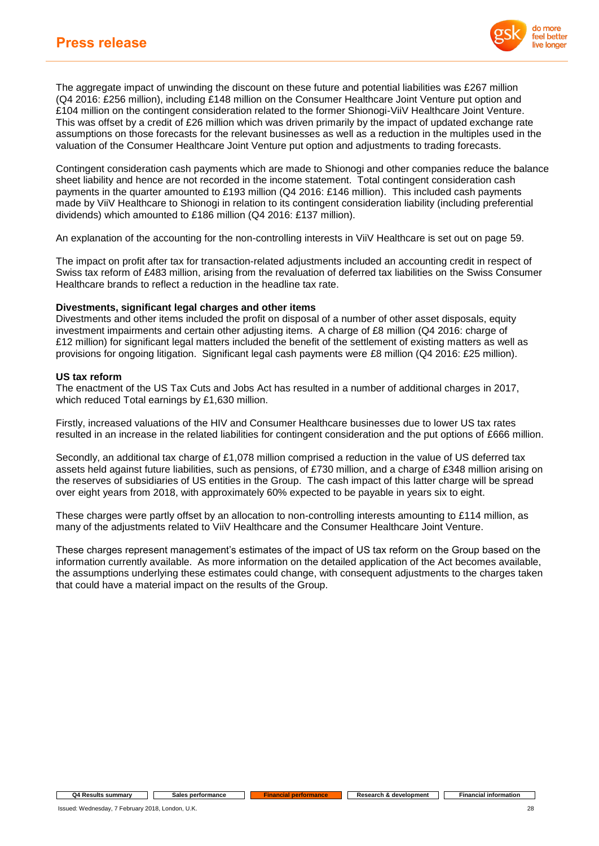

The aggregate impact of unwinding the discount on these future and potential liabilities was £267 million (Q4 2016: £256 million), including £148 million on the Consumer Healthcare Joint Venture put option and £104 million on the contingent consideration related to the former Shionogi-ViiV Healthcare Joint Venture. This was offset by a credit of £26 million which was driven primarily by the impact of updated exchange rate assumptions on those forecasts for the relevant businesses as well as a reduction in the multiples used in the valuation of the Consumer Healthcare Joint Venture put option and adjustments to trading forecasts.

Contingent consideration cash payments which are made to Shionogi and other companies reduce the balance sheet liability and hence are not recorded in the income statement. Total contingent consideration cash payments in the quarter amounted to £193 million (Q4 2016: £146 million). This included cash payments made by ViiV Healthcare to Shionogi in relation to its contingent consideration liability (including preferential dividends) which amounted to £186 million (Q4 2016: £137 million).

An explanation of the accounting for the non-controlling interests in ViiV Healthcare is set out on page 59.

The impact on profit after tax for transaction-related adjustments included an accounting credit in respect of Swiss tax reform of £483 million, arising from the revaluation of deferred tax liabilities on the Swiss Consumer Healthcare brands to reflect a reduction in the headline tax rate.

### **Divestments, significant legal charges and other items**

Divestments and other items included the profit on disposal of a number of other asset disposals, equity investment impairments and certain other adjusting items. A charge of £8 million (Q4 2016: charge of £12 million) for significant legal matters included the benefit of the settlement of existing matters as well as provisions for ongoing litigation. Significant legal cash payments were £8 million (Q4 2016: £25 million).

#### **US tax reform**

The enactment of the US Tax Cuts and Jobs Act has resulted in a number of additional charges in 2017, which reduced Total earnings by £1,630 million.

Firstly, increased valuations of the HIV and Consumer Healthcare businesses due to lower US tax rates resulted in an increase in the related liabilities for contingent consideration and the put options of £666 million.

Secondly, an additional tax charge of £1,078 million comprised a reduction in the value of US deferred tax assets held against future liabilities, such as pensions, of £730 million, and a charge of £348 million arising on the reserves of subsidiaries of US entities in the Group. The cash impact of this latter charge will be spread over eight years from 2018, with approximately 60% expected to be payable in years six to eight.

These charges were partly offset by an allocation to non-controlling interests amounting to £114 million, as many of the adjustments related to ViiV Healthcare and the Consumer Healthcare Joint Venture.

These charges represent management's estimates of the impact of US tax reform on the Group based on the information currently available. As more information on the detailed application of the Act becomes available, the assumptions underlying these estimates could change, with consequent adjustments to the charges taken that could have a material impact on the results of the Group.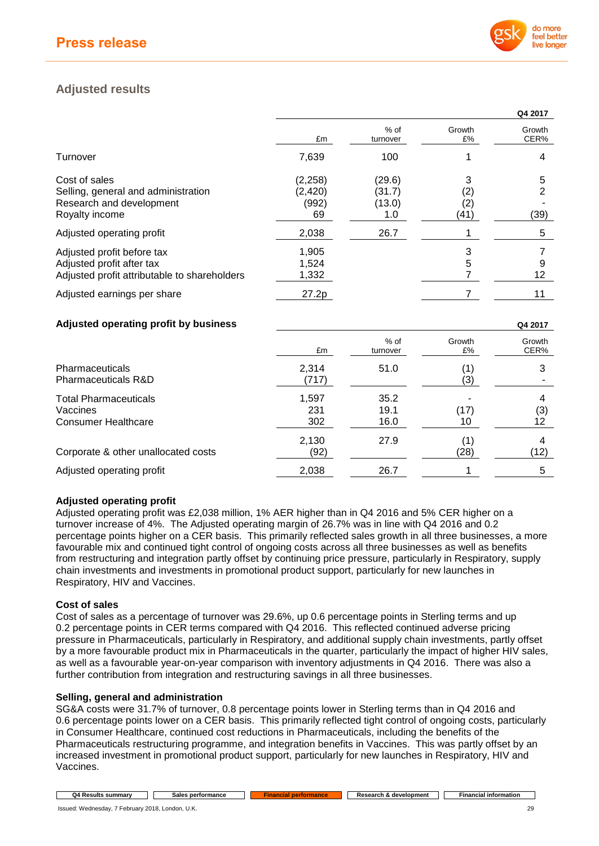

# **Adjusted results**

|                                                                                                         |                                     |                                   |                                                     | Q4 2017        |
|---------------------------------------------------------------------------------------------------------|-------------------------------------|-----------------------------------|-----------------------------------------------------|----------------|
|                                                                                                         | £m                                  | $%$ of<br>turnover                | Growth<br>£%                                        | Growth<br>CER% |
| Turnover                                                                                                | 7,639                               | 100                               |                                                     | 4              |
| Cost of sales<br>Selling, general and administration<br>Research and development<br>Royalty income      | (2, 258)<br>(2, 420)<br>(992)<br>69 | (29.6)<br>(31.7)<br>(13.0)<br>1.0 | 3<br>$\left( 2\right)$<br>$\left( 2\right)$<br>(41) | 5<br>2<br>(39) |
| Adjusted operating profit                                                                               | 2,038                               | 26.7                              |                                                     | 5              |
| Adjusted profit before tax<br>Adjusted profit after tax<br>Adjusted profit attributable to shareholders | 1,905<br>1,524<br>1,332             |                                   | 3<br>5                                              | 9<br>12        |
| Adjusted earnings per share                                                                             | 27.2p                               |                                   |                                                     | 11             |

## **Adjusted operating profit by business Q4 2017**

|                                                                        | £m                  | % of<br>turnover     | Growth<br>£% | Growth<br>CER% |
|------------------------------------------------------------------------|---------------------|----------------------|--------------|----------------|
| <b>Pharmaceuticals</b><br><b>Pharmaceuticals R&amp;D</b>               | 2,314<br>(717)      | 51.0                 | (1)<br>(3)   | 3              |
| <b>Total Pharmaceuticals</b><br>Vaccines<br><b>Consumer Healthcare</b> | 1,597<br>231<br>302 | 35.2<br>19.1<br>16.0 | (17)<br>10   | 4<br>(3)<br>12 |
| Corporate & other unallocated costs                                    | 2,130<br>(92)       | 27.9                 | (1)<br>(28)  | 4<br>(12)      |
| Adjusted operating profit                                              | 2,038               | 26.7                 |              | 5              |

## **Adjusted operating profit**

Adjusted operating profit was £2,038 million, 1% AER higher than in Q4 2016 and 5% CER higher on a turnover increase of 4%. The Adjusted operating margin of 26.7% was in line with Q4 2016 and 0.2 percentage points higher on a CER basis. This primarily reflected sales growth in all three businesses, a more favourable mix and continued tight control of ongoing costs across all three businesses as well as benefits from restructuring and integration partly offset by continuing price pressure, particularly in Respiratory, supply chain investments and investments in promotional product support, particularly for new launches in Respiratory, HIV and Vaccines.

### **Cost of sales**

Cost of sales as a percentage of turnover was 29.6%, up 0.6 percentage points in Sterling terms and up 0.2 percentage points in CER terms compared with Q4 2016. This reflected continued adverse pricing pressure in Pharmaceuticals, particularly in Respiratory, and additional supply chain investments, partly offset by a more favourable product mix in Pharmaceuticals in the quarter, particularly the impact of higher HIV sales, as well as a favourable year-on-year comparison with inventory adjustments in Q4 2016. There was also a further contribution from integration and restructuring savings in all three businesses.

### **Selling, general and administration**

SG&A costs were 31.7% of turnover, 0.8 percentage points lower in Sterling terms than in Q4 2016 and 0.6 percentage points lower on a CER basis. This primarily reflected tight control of ongoing costs, particularly in Consumer Healthcare, continued cost reductions in Pharmaceuticals, including the benefits of the Pharmaceuticals restructuring programme, and integration benefits in Vaccines. This was partly offset by an increased investment in promotional product support, particularly for new launches in Respiratory, HIV and Vaccines.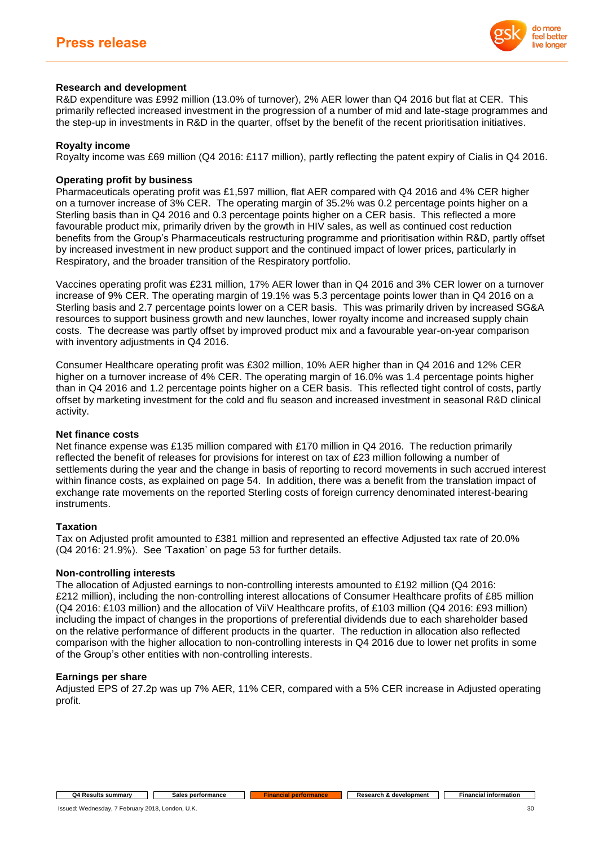

## **Research and development**

R&D expenditure was £992 million (13.0% of turnover), 2% AER lower than Q4 2016 but flat at CER. This primarily reflected increased investment in the progression of a number of mid and late-stage programmes and the step-up in investments in R&D in the quarter, offset by the benefit of the recent prioritisation initiatives.

## **Royalty income**

Royalty income was £69 million (Q4 2016: £117 million), partly reflecting the patent expiry of Cialis in Q4 2016.

## **Operating profit by business**

Pharmaceuticals operating profit was £1,597 million, flat AER compared with Q4 2016 and 4% CER higher on a turnover increase of 3% CER. The operating margin of 35.2% was 0.2 percentage points higher on a Sterling basis than in Q4 2016 and 0.3 percentage points higher on a CER basis. This reflected a more favourable product mix, primarily driven by the growth in HIV sales, as well as continued cost reduction benefits from the Group's Pharmaceuticals restructuring programme and prioritisation within R&D, partly offset by increased investment in new product support and the continued impact of lower prices, particularly in Respiratory, and the broader transition of the Respiratory portfolio.

Vaccines operating profit was £231 million, 17% AER lower than in Q4 2016 and 3% CER lower on a turnover increase of 9% CER. The operating margin of 19.1% was 5.3 percentage points lower than in Q4 2016 on a Sterling basis and 2.7 percentage points lower on a CER basis. This was primarily driven by increased SG&A resources to support business growth and new launches, lower royalty income and increased supply chain costs. The decrease was partly offset by improved product mix and a favourable year-on-year comparison with inventory adjustments in Q4 2016.

Consumer Healthcare operating profit was £302 million, 10% AER higher than in Q4 2016 and 12% CER higher on a turnover increase of 4% CER. The operating margin of 16.0% was 1.4 percentage points higher than in Q4 2016 and 1.2 percentage points higher on a CER basis. This reflected tight control of costs, partly offset by marketing investment for the cold and flu season and increased investment in seasonal R&D clinical activity.

### **Net finance costs**

Net finance expense was £135 million compared with £170 million in Q4 2016. The reduction primarily reflected the benefit of releases for provisions for interest on tax of £23 million following a number of settlements during the year and the change in basis of reporting to record movements in such accrued interest within finance costs, as explained on page 54. In addition, there was a benefit from the translation impact of exchange rate movements on the reported Sterling costs of foreign currency denominated interest-bearing instruments.

### **Taxation**

Tax on Adjusted profit amounted to £381 million and represented an effective Adjusted tax rate of 20.0% (Q4 2016: 21.9%). See 'Taxation' on page 53 for further details.

## **Non-controlling interests**

The allocation of Adjusted earnings to non-controlling interests amounted to £192 million (Q4 2016: £212 million), including the non-controlling interest allocations of Consumer Healthcare profits of £85 million (Q4 2016: £103 million) and the allocation of ViiV Healthcare profits, of £103 million (Q4 2016: £93 million) including the impact of changes in the proportions of preferential dividends due to each shareholder based on the relative performance of different products in the quarter. The reduction in allocation also reflected comparison with the higher allocation to non-controlling interests in Q4 2016 due to lower net profits in some of the Group's other entities with non-controlling interests.

### **Earnings per share**

Adjusted EPS of 27.2p was up 7% AER, 11% CER, compared with a 5% CER increase in Adjusted operating profit.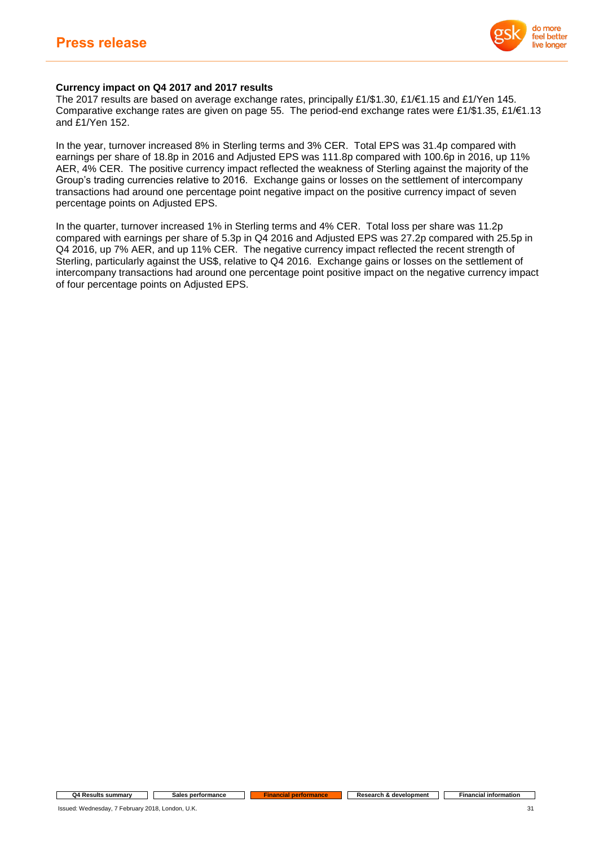

## **Currency impact on Q4 2017 and 2017 results**

The 2017 results are based on average exchange rates, principally £1/\$1.30, £1/€1.15 and £1/Yen 145. Comparative exchange rates are given on page 55. The period-end exchange rates were £1/\$1.35, £1/€1.13 and £1/Yen 152.

In the year, turnover increased 8% in Sterling terms and 3% CER. Total EPS was 31.4p compared with earnings per share of 18.8p in 2016 and Adjusted EPS was 111.8p compared with 100.6p in 2016, up 11% AER, 4% CER. The positive currency impact reflected the weakness of Sterling against the majority of the Group's trading currencies relative to 2016. Exchange gains or losses on the settlement of intercompany transactions had around one percentage point negative impact on the positive currency impact of seven percentage points on Adjusted EPS.

In the quarter, turnover increased 1% in Sterling terms and 4% CER. Total loss per share was 11.2p compared with earnings per share of 5.3p in Q4 2016 and Adjusted EPS was 27.2p compared with 25.5p in Q4 2016, up 7% AER, and up 11% CER. The negative currency impact reflected the recent strength of Sterling, particularly against the US\$, relative to Q4 2016. Exchange gains or losses on the settlement of intercompany transactions had around one percentage point positive impact on the negative currency impact of four percentage points on Adjusted EPS.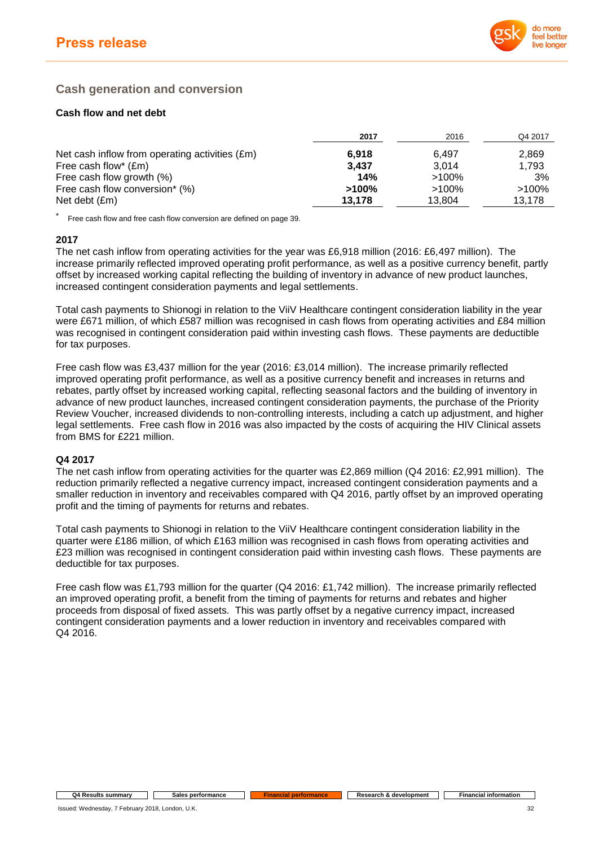

# **Cash generation and conversion**

## **Cash flow and net debt**

|                                                | 2017     | 2016     | Q4 2017  |
|------------------------------------------------|----------|----------|----------|
| Net cash inflow from operating activities (£m) | 6,918    | 6.497    | 2,869    |
| Free cash flow* $(\text{Em})$                  | 3.437    | 3.014    | 1.793    |
| Free cash flow growth (%)                      | 14%      | $>100\%$ | 3%       |
| Free cash flow conversion* (%)                 | $>100\%$ | $>100\%$ | $>100\%$ |
| Net debt (£m)                                  | 13,178   | 13.804   | 13.178   |

Free cash flow and free cash flow conversion are defined on page 39.

## **2017**

The net cash inflow from operating activities for the year was £6,918 million (2016: £6,497 million). The increase primarily reflected improved operating profit performance, as well as a positive currency benefit, partly offset by increased working capital reflecting the building of inventory in advance of new product launches, increased contingent consideration payments and legal settlements.

Total cash payments to Shionogi in relation to the ViiV Healthcare contingent consideration liability in the year were £671 million, of which £587 million was recognised in cash flows from operating activities and £84 million was recognised in contingent consideration paid within investing cash flows. These payments are deductible for tax purposes.

Free cash flow was £3,437 million for the year (2016: £3,014 million). The increase primarily reflected improved operating profit performance, as well as a positive currency benefit and increases in returns and rebates, partly offset by increased working capital, reflecting seasonal factors and the building of inventory in advance of new product launches, increased contingent consideration payments, the purchase of the Priority Review Voucher, increased dividends to non-controlling interests, including a catch up adjustment, and higher legal settlements. Free cash flow in 2016 was also impacted by the costs of acquiring the HIV Clinical assets from BMS for £221 million.

## **Q4 2017**

The net cash inflow from operating activities for the quarter was £2,869 million (Q4 2016: £2,991 million). The reduction primarily reflected a negative currency impact, increased contingent consideration payments and a smaller reduction in inventory and receivables compared with Q4 2016, partly offset by an improved operating profit and the timing of payments for returns and rebates.

Total cash payments to Shionogi in relation to the ViiV Healthcare contingent consideration liability in the quarter were £186 million, of which £163 million was recognised in cash flows from operating activities and £23 million was recognised in contingent consideration paid within investing cash flows. These payments are deductible for tax purposes.

Free cash flow was £1,793 million for the quarter (Q4 2016: £1,742 million). The increase primarily reflected an improved operating profit, a benefit from the timing of payments for returns and rebates and higher proceeds from disposal of fixed assets. This was partly offset by a negative currency impact, increased contingent consideration payments and a lower reduction in inventory and receivables compared with Q4 2016.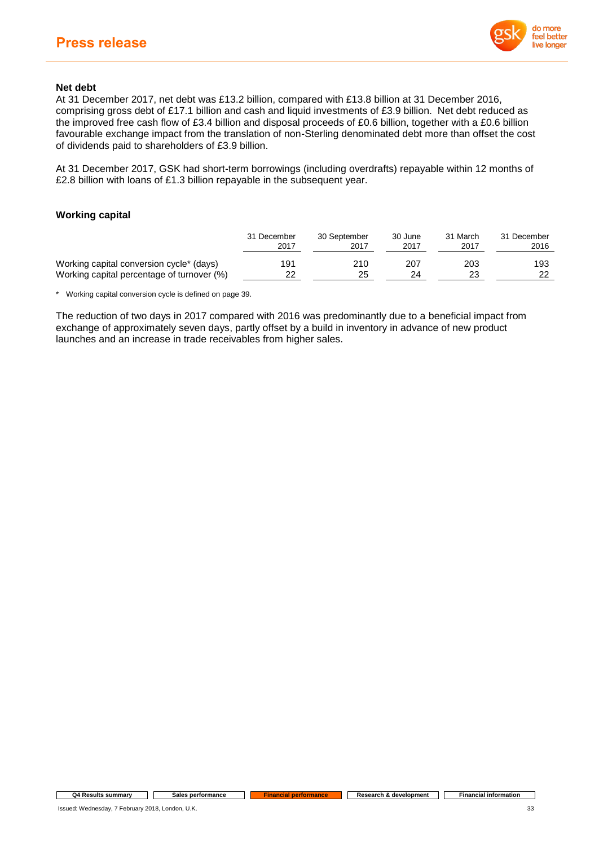

## **Net debt**

At 31 December 2017, net debt was £13.2 billion, compared with £13.8 billion at 31 December 2016, comprising gross debt of £17.1 billion and cash and liquid investments of £3.9 billion. Net debt reduced as the improved free cash flow of £3.4 billion and disposal proceeds of £0.6 billion, together with a £0.6 billion favourable exchange impact from the translation of non-Sterling denominated debt more than offset the cost of dividends paid to shareholders of £3.9 billion.

At 31 December 2017, GSK had short-term borrowings (including overdrafts) repayable within 12 months of £2.8 billion with loans of £1.3 billion repayable in the subsequent year.

## **Working capital**

|                                            | 31 December | 30 September | 30 June | 31 March | 31 December |
|--------------------------------------------|-------------|--------------|---------|----------|-------------|
|                                            | 2017        | 2017         | 2017    | 2017     | 2016        |
| Working capital conversion cycle* (days)   | 191         | 210          | 207     | 203      | 193         |
| Working capital percentage of turnover (%) | 22          | 25           | 24      |          | 22          |

\* Working capital conversion cycle is defined on page 39.

The reduction of two days in 2017 compared with 2016 was predominantly due to a beneficial impact from exchange of approximately seven days, partly offset by a build in inventory in advance of new product launches and an increase in trade receivables from higher sales.

#### **Q4 Results summary Sales performance Financial performance Research &** development **Financial information**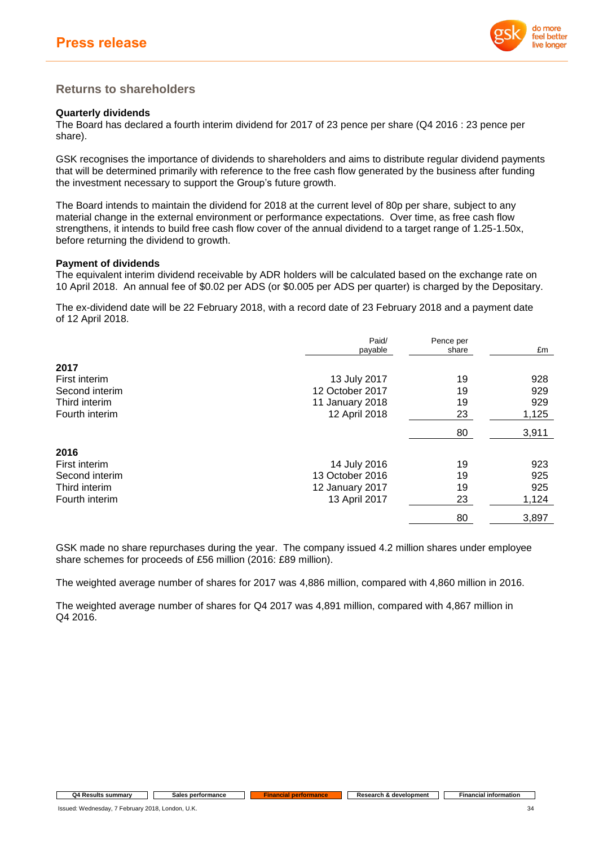

## **Returns to shareholders**

## **Quarterly dividends**

The Board has declared a fourth interim dividend for 2017 of 23 pence per share (Q4 2016 : 23 pence per share).

GSK recognises the importance of dividends to shareholders and aims to distribute regular dividend payments that will be determined primarily with reference to the free cash flow generated by the business after funding the investment necessary to support the Group's future growth.

The Board intends to maintain the dividend for 2018 at the current level of 80p per share, subject to any material change in the external environment or performance expectations. Over time, as free cash flow strengthens, it intends to build free cash flow cover of the annual dividend to a target range of 1.25-1.50x, before returning the dividend to growth.

### **Payment of dividends**

The equivalent interim dividend receivable by ADR holders will be calculated based on the exchange rate on 10 April 2018. An annual fee of \$0.02 per ADS (or \$0.005 per ADS per quarter) is charged by the Depositary.

The ex-dividend date will be 22 February 2018, with a record date of 23 February 2018 and a payment date of 12 April 2018.

|                | Paid/<br>payable | Pence per<br>share | £m    |
|----------------|------------------|--------------------|-------|
| 2017           |                  |                    |       |
| First interim  | 13 July 2017     | 19                 | 928   |
| Second interim | 12 October 2017  | 19                 | 929   |
| Third interim  | 11 January 2018  | 19                 | 929   |
| Fourth interim | 12 April 2018    | 23                 | 1,125 |
|                |                  | 80                 | 3,911 |
| 2016           |                  |                    |       |
| First interim  | 14 July 2016     | 19                 | 923   |
| Second interim | 13 October 2016  | 19                 | 925   |
| Third interim  | 12 January 2017  | 19                 | 925   |
| Fourth interim | 13 April 2017    | 23                 | 1,124 |
|                |                  | 80                 | 3,897 |

GSK made no share repurchases during the year. The company issued 4.2 million shares under employee share schemes for proceeds of £56 million (2016: £89 million).

The weighted average number of shares for 2017 was 4,886 million, compared with 4,860 million in 2016.

The weighted average number of shares for Q4 2017 was 4,891 million, compared with 4,867 million in Q4 2016.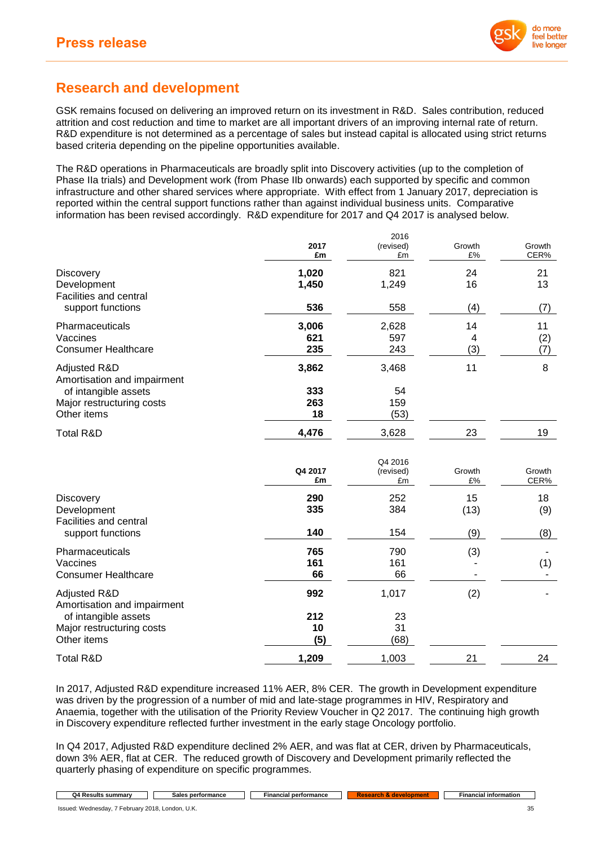

# **Research and development**

GSK remains focused on delivering an improved return on its investment in R&D. Sales contribution, reduced attrition and cost reduction and time to market are all important drivers of an improving internal rate of return. R&D expenditure is not determined as a percentage of sales but instead capital is allocated using strict returns based criteria depending on the pipeline opportunities available.

The R&D operations in Pharmaceuticals are broadly split into Discovery activities (up to the completion of Phase IIa trials) and Development work (from Phase IIb onwards) each supported by specific and common infrastructure and other shared services where appropriate. With effect from 1 January 2017, depreciation is reported within the central support functions rather than against individual business units. Comparative information has been revised accordingly. R&D expenditure for 2017 and Q4 2017 is analysed below.

 $2012$ 

|                                             | 2017<br>£m    | 2016<br>(revised)<br>£m    | Growth<br>£%               | Growth<br>CER% |
|---------------------------------------------|---------------|----------------------------|----------------------------|----------------|
| <b>Discovery</b>                            | 1,020         | 821                        | 24                         | 21             |
| Development                                 | 1,450         | 1,249                      | 16                         | 13             |
| Facilities and central<br>support functions | 536           | 558                        | (4)                        | (7)            |
| Pharmaceuticals                             | 3,006         | 2,628                      | 14                         | 11             |
| Vaccines                                    | 621           | 597                        | 4                          | (2)            |
| <b>Consumer Healthcare</b>                  | 235           | 243                        | (3)                        | (7)            |
| Adjusted R&D<br>Amortisation and impairment | 3,862         | 3,468                      | 11                         | 8              |
| of intangible assets                        | 333           | 54                         |                            |                |
| Major restructuring costs                   | 263           | 159                        |                            |                |
| Other items                                 | 18            | (53)                       |                            |                |
| <b>Total R&amp;D</b>                        | 4,476         | 3,628                      | 23                         | 19             |
|                                             | Q4 2017<br>£m | Q4 2016<br>(revised)<br>£m | Growth<br>$\mathfrak{L}\%$ | Growth<br>CER% |
| <b>Discovery</b>                            | 290           | 252                        | 15                         | 18             |
| Development                                 | 335           | 384                        | (13)                       | (9)            |
| Facilities and central<br>support functions | 140           | 154                        | (9)                        | (8)            |
| Pharmaceuticals                             | 765           | 790                        | (3)                        |                |
| Vaccines                                    | 161           | 161                        |                            | (1)            |
| <b>Consumer Healthcare</b>                  | 66            | 66                         |                            |                |
| Adjusted R&D<br>Amortisation and impairment | 992           | 1,017                      | (2)                        |                |
| of intangible assets                        | 212           | 23                         |                            |                |
| Major restructuring costs                   | 10            | 31                         |                            |                |
| Other items                                 | (5)           | (68)                       |                            |                |
| <b>Total R&amp;D</b>                        | 1,209         | 1,003                      | 21                         | 24             |

In 2017, Adjusted R&D expenditure increased 11% AER, 8% CER. The growth in Development expenditure was driven by the progression of a number of mid and late-stage programmes in HIV, Respiratory and Anaemia, together with the utilisation of the Priority Review Voucher in Q2 2017. The continuing high growth in Discovery expenditure reflected further investment in the early stage Oncology portfolio.

In Q4 2017, Adjusted R&D expenditure declined 2% AER, and was flat at CER, driven by Pharmaceuticals, down 3% AER, flat at CER. The reduced growth of Discovery and Development primarily reflected the quarterly phasing of expenditure on specific programmes.

| . Results summar<br>. YA | : pertormance<br>- הור<br>эан | rmance<br>Financial pert∈ | . . | … infor∽<br>----<br>Financial<br>. mauvr |
|--------------------------|-------------------------------|---------------------------|-----|------------------------------------------|
|                          |                               |                           |     |                                          |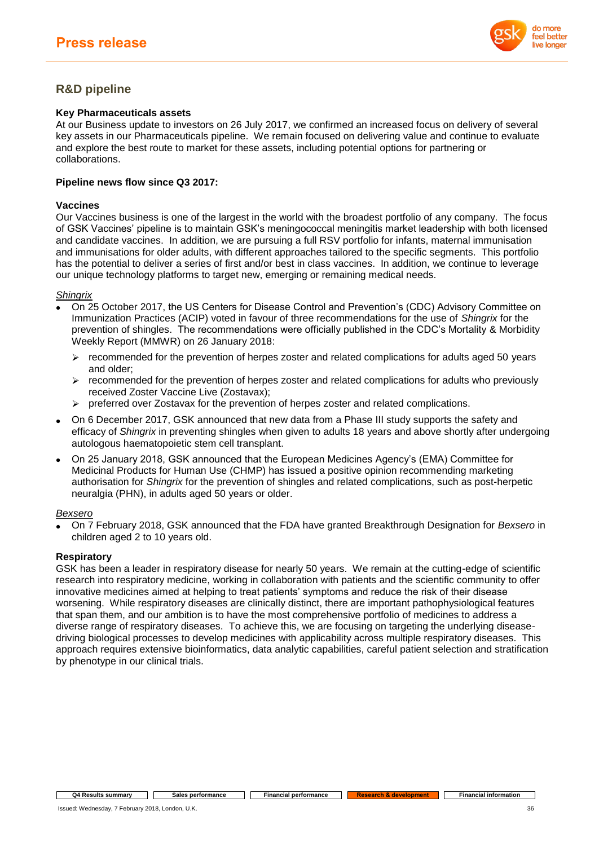

# **R&D pipeline**

## **Key Pharmaceuticals assets**

At our Business update to investors on 26 July 2017, we confirmed an increased focus on delivery of several key assets in our Pharmaceuticals pipeline. We remain focused on delivering value and continue to evaluate and explore the best route to market for these assets, including potential options for partnering or collaborations.

## **Pipeline news flow since Q3 2017:**

## **Vaccines**

Our Vaccines business is one of the largest in the world with the broadest portfolio of any company. The focus of GSK Vaccines' pipeline is to maintain GSK's meningococcal meningitis market leadership with both licensed and candidate vaccines. In addition, we are pursuing a full RSV portfolio for infants, maternal immunisation and immunisations for older adults, with different approaches tailored to the specific segments. This portfolio has the potential to deliver a series of first and/or best in class vaccines. In addition, we continue to leverage our unique technology platforms to target new, emerging or remaining medical needs.

### *Shingrix*

- On 25 October 2017, the US Centers for Disease Control and Prevention's (CDC) Advisory Committee on Immunization Practices (ACIP) voted in favour of three recommendations for the use of *Shingrix* for the prevention of shingles. The recommendations were officially published in the CDC's Mortality & Morbidity Weekly Report (MMWR) on 26 January 2018:
	- $\triangleright$  recommended for the prevention of herpes zoster and related complications for adults aged 50 years and older;
	- $\triangleright$  recommended for the prevention of herpes zoster and related complications for adults who previously received Zoster Vaccine Live (Zostavax);
	- ➢ preferred over Zostavax for the prevention of herpes zoster and related complications.
- On 6 December 2017, GSK announced that new data from a Phase III study supports the safety and efficacy of *Shingrix* in preventing shingles when given to adults 18 years and above shortly after undergoing autologous haematopoietic stem cell transplant.
- On 25 January 2018, GSK announced that the European Medicines Agency's (EMA) Committee for Medicinal Products for Human Use (CHMP) has issued a positive opinion recommending marketing authorisation for *Shingrix* for the prevention of shingles and related complications, such as post-herpetic neuralgia (PHN), in adults aged 50 years or older.

### *Bexsero*

• On 7 February 2018, GSK announced that the FDA have granted Breakthrough Designation for *Bexsero* in children aged 2 to 10 years old.

## **Respiratory**

GSK has been a leader in respiratory disease for nearly 50 years. We remain at the cutting-edge of scientific research into respiratory medicine, working in collaboration with patients and the scientific community to offer innovative medicines aimed at helping to treat patients' symptoms and reduce the risk of their disease worsening. While respiratory diseases are clinically distinct, there are important pathophysiological features that span them, and our ambition is to have the most comprehensive portfolio of medicines to address a diverse range of respiratory diseases. To achieve this, we are focusing on targeting the underlying diseasedriving biological processes to develop medicines with applicability across multiple respiratory diseases. This approach requires extensive bioinformatics, data analytic capabilities, careful patient selection and stratification by phenotype in our clinical trials.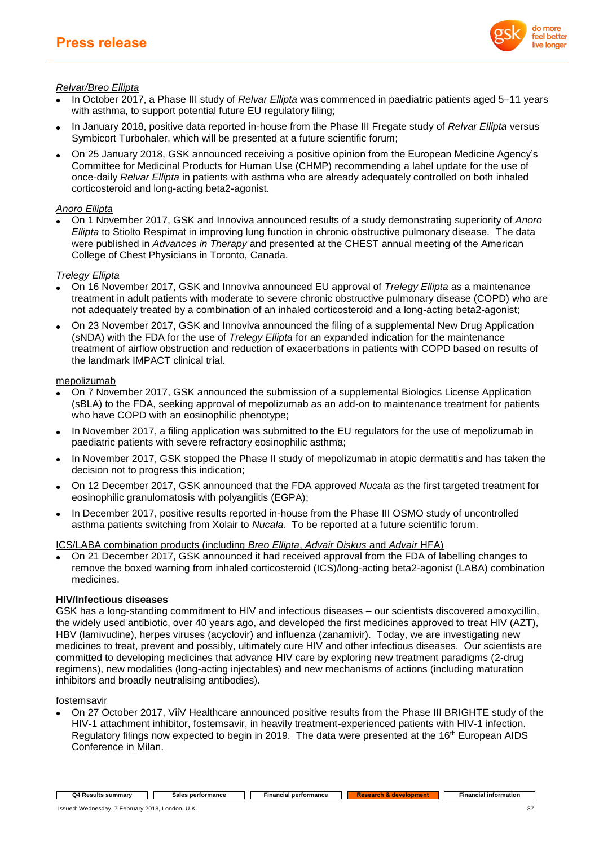

## *Relvar/Breo Ellipta*

- In October 2017, a Phase III study of *Relvar Ellipta* was commenced in paediatric patients aged 5–11 years with asthma, to support potential future EU regulatory filing;
- In January 2018, positive data reported in-house from the Phase III Fregate study of *Relvar Ellipta* versus Symbicort Turbohaler, which will be presented at a future scientific forum;
- On 25 January 2018, GSK announced receiving a positive opinion from the European Medicine Agency's Committee for Medicinal Products for Human Use (CHMP) recommending a label update for the use of once-daily *Relvar Ellipta* in patients with asthma who are already adequately controlled on both inhaled corticosteroid and long-acting beta2-agonist.

## *Anoro Ellipta*

• On 1 November 2017, GSK and Innoviva announced results of a study demonstrating superiority of *Anoro Ellipta* to Stiolto Respimat in improving lung function in chronic obstructive pulmonary disease. The data were published in *Advances in Therapy* and presented at the CHEST annual meeting of the American College of Chest Physicians in Toronto, Canada.

## *Trelegy Ellipta*

- On 16 November 2017, GSK and Innoviva announced EU approval of *Trelegy Ellipta* as a maintenance treatment in adult patients with moderate to severe chronic obstructive pulmonary disease (COPD) who are not adequately treated by a combination of an inhaled corticosteroid and a long-acting beta2-agonist;
- On 23 November 2017, GSK and Innoviva announced the filing of a supplemental New Drug Application (sNDA) with the FDA for the use of *Trelegy Ellipta* for an expanded indication for the maintenance treatment of airflow obstruction and reduction of exacerbations in patients with COPD based on results of the landmark IMPACT clinical trial.

### mepolizumab

- On 7 November 2017, GSK announced the submission of a supplemental Biologics License Application (sBLA) to the FDA, seeking approval of mepolizumab as an add-on to maintenance treatment for patients who have COPD with an eosinophilic phenotype;
- In November 2017, a filing application was submitted to the EU regulators for the use of mepolizumab in paediatric patients with severe refractory eosinophilic asthma;
- In November 2017, GSK stopped the Phase II study of mepolizumab in atopic dermatitis and has taken the decision not to progress this indication;
- On 12 December 2017, GSK announced that the FDA approved *Nucala* as the first targeted treatment for eosinophilic granulomatosis with polyangiitis (EGPA);
- In December 2017, positive results reported in-house from the Phase III OSMO study of uncontrolled asthma patients switching from Xolair to *Nucala.* To be reported at a future scientific forum.

ICS/LABA combination products (including *Breo Ellipta*, *Advair Diskus* and *Advair* HFA)

• On 21 December 2017, GSK announced it had received approval from the FDA of labelling changes to remove the boxed warning from inhaled corticosteroid (ICS)/long-acting beta2-agonist (LABA) combination medicines.

### **HIV/Infectious diseases**

GSK has a long-standing commitment to HIV and infectious diseases – our scientists discovered amoxycillin, the widely used antibiotic, over 40 years ago, and developed the first medicines approved to treat HIV (AZT), HBV (lamivudine), herpes viruses (acyclovir) and influenza (zanamivir). Today, we are investigating new medicines to treat, prevent and possibly, ultimately cure HIV and other infectious diseases. Our scientists are committed to developing medicines that advance HIV care by exploring new treatment paradigms (2-drug regimens), new modalities (long-acting injectables) and new mechanisms of actions (including maturation inhibitors and broadly neutralising antibodies).

### fostemsavir

• On 27 October 2017, ViiV Healthcare announced positive results from the Phase III BRIGHTE study of the HIV-1 attachment inhibitor, fostemsavir, in heavily treatment-experienced patients with HIV-1 infection. Regulatory filings now expected to begin in 2019. The data were presented at the 16<sup>th</sup> European AIDS Conference in Milan.

#### **Q4 Results summary Sales performance Financial** information Financial information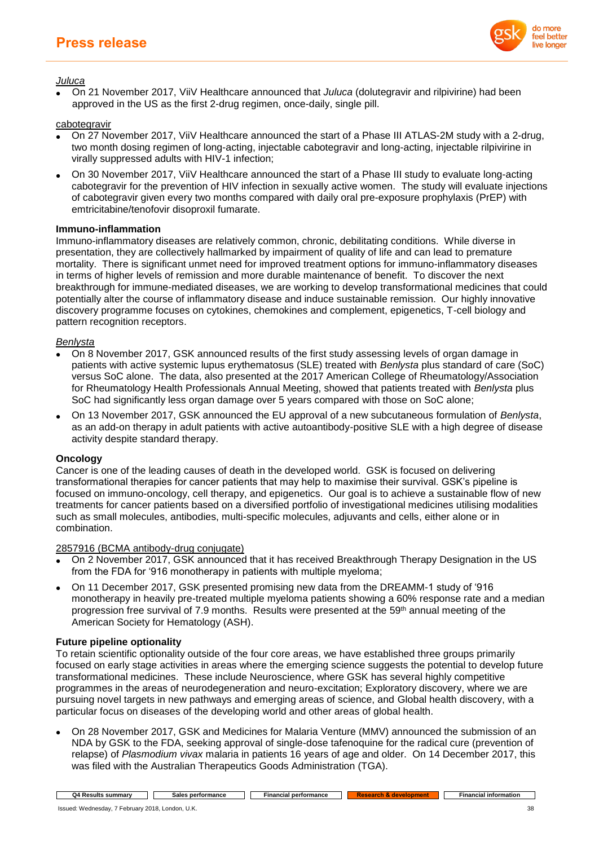

*Juluca*

• On 21 November 2017, ViiV Healthcare announced that *Juluca* (dolutegravir and rilpivirine) had been approved in the US as the first 2-drug regimen, once-daily, single pill.

cabotegravir

- On 27 November 2017, ViiV Healthcare announced the start of a Phase III ATLAS-2M study with a 2-drug, two month dosing regimen of long-acting, injectable cabotegravir and long-acting, injectable rilpivirine in virally suppressed adults with HIV-1 infection;
- On 30 November 2017, ViiV Healthcare announced the start of a Phase III study to evaluate long-acting cabotegravir for the prevention of HIV infection in sexually active women. The study will evaluate injections of cabotegravir given every two months compared with daily oral pre-exposure prophylaxis (PrEP) with emtricitabine/tenofovir disoproxil fumarate.

## **Immuno-inflammation**

Immuno-inflammatory diseases are relatively common, chronic, debilitating conditions. While diverse in presentation, they are collectively hallmarked by impairment of quality of life and can lead to premature mortality. There is significant unmet need for improved treatment options for immuno-inflammatory diseases in terms of higher levels of remission and more durable maintenance of benefit. To discover the next breakthrough for immune-mediated diseases, we are working to develop transformational medicines that could potentially alter the course of inflammatory disease and induce sustainable remission. Our highly innovative discovery programme focuses on cytokines, chemokines and complement, epigenetics, T-cell biology and pattern recognition receptors.

## *Benlysta*

- On 8 November 2017, GSK announced results of the first study assessing levels of organ damage in patients with active systemic lupus erythematosus (SLE) treated with *Benlysta* plus standard of care (SoC) versus SoC alone. The data, also presented at the 2017 American College of Rheumatology/Association for Rheumatology Health Professionals Annual Meeting, showed that patients treated with *Benlysta* plus SoC had significantly less organ damage over 5 years compared with those on SoC alone;
- On 13 November 2017, GSK announced the EU approval of a new subcutaneous formulation of *Benlysta*, as an add-on therapy in adult patients with active autoantibody-positive SLE with a high degree of disease activity despite standard therapy.

### **Oncology**

Cancer is one of the leading causes of death in the developed world. GSK is focused on delivering transformational therapies for cancer patients that may help to maximise their survival. GSK's pipeline is focused on immuno-oncology, cell therapy, and epigenetics. Our goal is to achieve a sustainable flow of new treatments for cancer patients based on a diversified portfolio of investigational medicines utilising modalities such as small molecules, antibodies, multi-specific molecules, adjuvants and cells, either alone or in combination.

2857916 (BCMA antibody-drug conjugate)

- On 2 November 2017, GSK announced that it has received Breakthrough Therapy Designation in the US from the FDA for '916 monotherapy in patients with multiple myeloma;
- On 11 December 2017, GSK presented promising new data from the DREAMM-1 study of '916 monotherapy in heavily pre-treated multiple myeloma patients showing a 60% response rate and a median progression free survival of 7.9 months. Results were presented at the 59th annual meeting of the American Society for Hematology (ASH).

## **Future pipeline optionality**

To retain scientific optionality outside of the four core areas, we have established three groups primarily focused on early stage activities in areas where the emerging science suggests the potential to develop future transformational medicines. These include Neuroscience, where GSK has several highly competitive programmes in the areas of neurodegeneration and neuro-excitation; Exploratory discovery, where we are pursuing novel targets in new pathways and emerging areas of science, and Global health discovery, with a particular focus on diseases of the developing world and other areas of global health.

• On 28 November 2017, GSK and Medicines for Malaria Venture (MMV) announced the submission of an NDA by GSK to the FDA, seeking approval of single-dose tafenoquine for the radical cure (prevention of relapse) of *Plasmodium vivax* malaria in patients 16 years of age and older. On 14 December 2017, this was filed with the Australian Therapeutics Goods Administration (TGA).

**Q4 Results summary Cales performance Financial performance Research & development Financial information**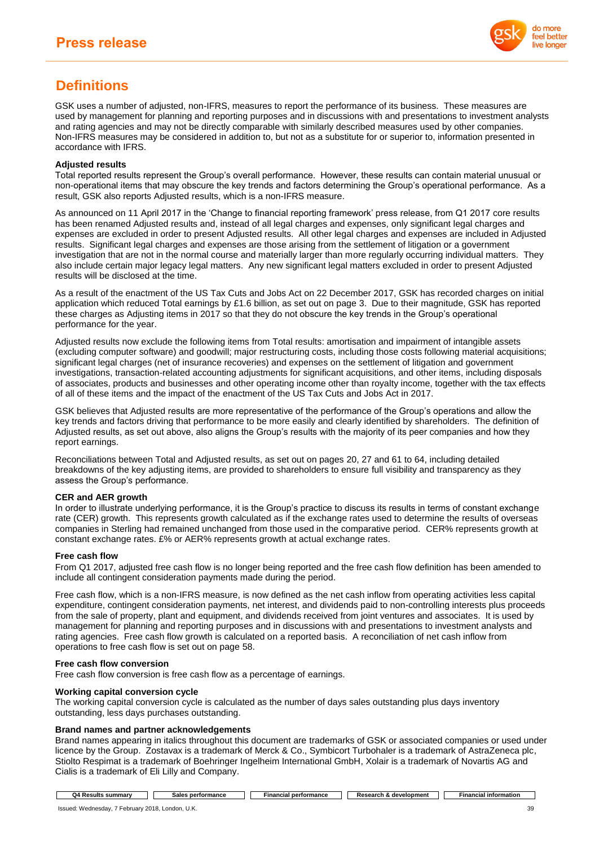

# **Definitions**

GSK uses a number of adjusted, non-IFRS, measures to report the performance of its business. These measures are used by management for planning and reporting purposes and in discussions with and presentations to investment analysts and rating agencies and may not be directly comparable with similarly described measures used by other companies. Non-IFRS measures may be considered in addition to, but not as a substitute for or superior to, information presented in accordance with IFRS.

#### **Adjusted results**

Total reported results represent the Group's overall performance. However, these results can contain material unusual or non-operational items that may obscure the key trends and factors determining the Group's operational performance. As a result, GSK also reports Adjusted results, which is a non-IFRS measure.

As announced on 11 April 2017 in the 'Change to financial reporting framework' press release, from Q1 2017 core results has been renamed Adjusted results and, instead of all legal charges and expenses, only significant legal charges and expenses are excluded in order to present Adjusted results. All other legal charges and expenses are included in Adjusted results. Significant legal charges and expenses are those arising from the settlement of litigation or a government investigation that are not in the normal course and materially larger than more regularly occurring individual matters. They also include certain major legacy legal matters. Any new significant legal matters excluded in order to present Adjusted results will be disclosed at the time.

As a result of the enactment of the US Tax Cuts and Jobs Act on 22 December 2017, GSK has recorded charges on initial application which reduced Total earnings by £1.6 billion, as set out on page 3. Due to their magnitude, GSK has reported these charges as Adjusting items in 2017 so that they do not obscure the key trends in the Group's operational performance for the year.

Adjusted results now exclude the following items from Total results: amortisation and impairment of intangible assets (excluding computer software) and goodwill; major restructuring costs, including those costs following material acquisitions; significant legal charges (net of insurance recoveries) and expenses on the settlement of litigation and government investigations, transaction-related accounting adjustments for significant acquisitions, and other items, including disposals of associates, products and businesses and other operating income other than royalty income, together with the tax effects of all of these items and the impact of the enactment of the US Tax Cuts and Jobs Act in 2017.

GSK believes that Adjusted results are more representative of the performance of the Group's operations and allow the key trends and factors driving that performance to be more easily and clearly identified by shareholders. The definition of Adjusted results, as set out above, also aligns the Group's results with the majority of its peer companies and how they report earnings.

Reconciliations between Total and Adjusted results, as set out on pages 20, 27 and 61 to 64, including detailed breakdowns of the key adjusting items, are provided to shareholders to ensure full visibility and transparency as they assess the Group's performance.

### **CER and AER growth**

In order to illustrate underlying performance, it is the Group's practice to discuss its results in terms of constant exchange rate (CER) growth. This represents growth calculated as if the exchange rates used to determine the results of overseas companies in Sterling had remained unchanged from those used in the comparative period. CER% represents growth at constant exchange rates. £% or AER% represents growth at actual exchange rates.

#### **Free cash flow**

From Q1 2017, adjusted free cash flow is no longer being reported and the free cash flow definition has been amended to include all contingent consideration payments made during the period.

Free cash flow, which is a non-IFRS measure, is now defined as the net cash inflow from operating activities less capital expenditure, contingent consideration payments, net interest, and dividends paid to non-controlling interests plus proceeds from the sale of property, plant and equipment, and dividends received from joint ventures and associates. It is used by management for planning and reporting purposes and in discussions with and presentations to investment analysts and rating agencies. Free cash flow growth is calculated on a reported basis. A reconciliation of net cash inflow from operations to free cash flow is set out on page 58.

#### **Free cash flow conversion**

Free cash flow conversion is free cash flow as a percentage of earnings.

#### **Working capital conversion cycle**

The working capital conversion cycle is calculated as the number of days sales outstanding plus days inventory outstanding, less days purchases outstanding.

### **Brand names and partner acknowledgements**

Brand names appearing in italics throughout this document are trademarks of GSK or associated companies or used under licence by the Group. Zostavax is a trademark of Merck & Co., Symbicort Turbohaler is a trademark of AstraZeneca plc, Stiolto Respimat is a trademark of Boehringer Ingelheim International GmbH, Xolair is a trademark of Novartis AG and Cialis is a trademark of Eli Lilly and Company.

| summarv<br>∛esult | ırmancı<br>nerto<br>aloc<br>. | formance<br>-inancial<br>nerform | elopment<br>Research<br>٢e | l information<br>Financial |
|-------------------|-------------------------------|----------------------------------|----------------------------|----------------------------|
|                   |                               |                                  |                            |                            |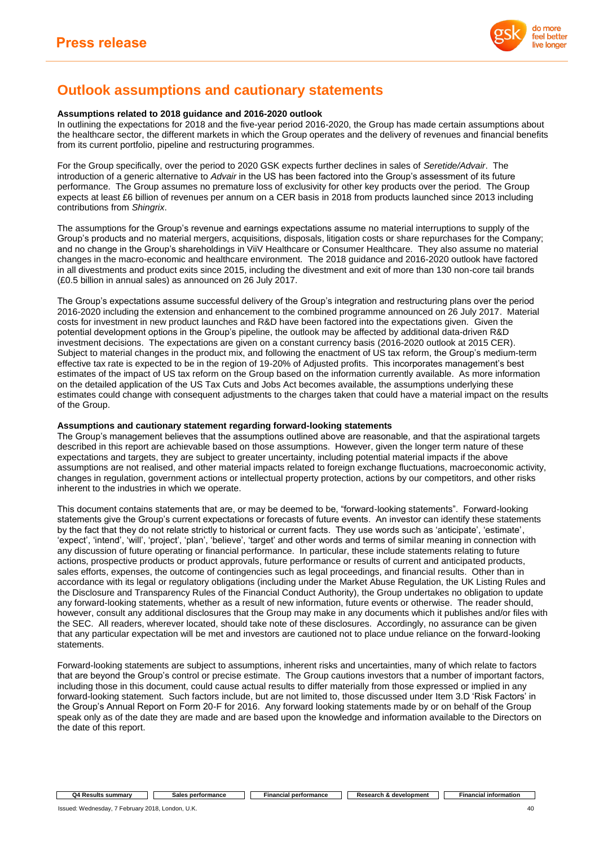

# **Outlook assumptions and cautionary statements**

#### **Assumptions related to 2018 guidance and 2016-2020 outlook**

In outlining the expectations for 2018 and the five-year period 2016-2020, the Group has made certain assumptions about the healthcare sector, the different markets in which the Group operates and the delivery of revenues and financial benefits from its current portfolio, pipeline and restructuring programmes.

For the Group specifically, over the period to 2020 GSK expects further declines in sales of *Seretide/Advair*. The introduction of a generic alternative to *Advair* in the US has been factored into the Group's assessment of its future performance. The Group assumes no premature loss of exclusivity for other key products over the period. The Group expects at least £6 billion of revenues per annum on a CER basis in 2018 from products launched since 2013 including contributions from *Shingrix*.

The assumptions for the Group's revenue and earnings expectations assume no material interruptions to supply of the Group's products and no material mergers, acquisitions, disposals, litigation costs or share repurchases for the Company; and no change in the Group's shareholdings in ViiV Healthcare or Consumer Healthcare. They also assume no material changes in the macro-economic and healthcare environment. The 2018 guidance and 2016-2020 outlook have factored in all divestments and product exits since 2015, including the divestment and exit of more than 130 non-core tail brands (£0.5 billion in annual sales) as announced on 26 July 2017.

The Group's expectations assume successful delivery of the Group's integration and restructuring plans over the period 2016-2020 including the extension and enhancement to the combined programme announced on 26 July 2017. Material costs for investment in new product launches and R&D have been factored into the expectations given. Given the potential development options in the Group's pipeline, the outlook may be affected by additional data-driven R&D investment decisions. The expectations are given on a constant currency basis (2016-2020 outlook at 2015 CER). Subject to material changes in the product mix, and following the enactment of US tax reform, the Group's medium-term effective tax rate is expected to be in the region of 19-20% of Adjusted profits. This incorporates management's best estimates of the impact of US tax reform on the Group based on the information currently available. As more information on the detailed application of the US Tax Cuts and Jobs Act becomes available, the assumptions underlying these estimates could change with consequent adjustments to the charges taken that could have a material impact on the results of the Group.

#### **Assumptions and cautionary statement regarding forward-looking statements**

The Group's management believes that the assumptions outlined above are reasonable, and that the aspirational targets described in this report are achievable based on those assumptions. However, given the longer term nature of these expectations and targets, they are subject to greater uncertainty, including potential material impacts if the above assumptions are not realised, and other material impacts related to foreign exchange fluctuations, macroeconomic activity, changes in regulation, government actions or intellectual property protection, actions by our competitors, and other risks inherent to the industries in which we operate.

This document contains statements that are, or may be deemed to be, "forward-looking statements". Forward-looking statements give the Group's current expectations or forecasts of future events. An investor can identify these statements by the fact that they do not relate strictly to historical or current facts. They use words such as 'anticipate', 'estimate', 'expect', 'intend', 'will', 'project', 'plan', 'believe', 'target' and other words and terms of similar meaning in connection with any discussion of future operating or financial performance. In particular, these include statements relating to future actions, prospective products or product approvals, future performance or results of current and anticipated products, sales efforts, expenses, the outcome of contingencies such as legal proceedings, and financial results. Other than in accordance with its legal or regulatory obligations (including under the Market Abuse Regulation, the UK Listing Rules and the Disclosure and Transparency Rules of the Financial Conduct Authority), the Group undertakes no obligation to update any forward-looking statements, whether as a result of new information, future events or otherwise. The reader should, however, consult any additional disclosures that the Group may make in any documents which it publishes and/or files with the SEC. All readers, wherever located, should take note of these disclosures. Accordingly, no assurance can be given that any particular expectation will be met and investors are cautioned not to place undue reliance on the forward-looking statements.

Forward-looking statements are subject to assumptions, inherent risks and uncertainties, many of which relate to factors that are beyond the Group's control or precise estimate. The Group cautions investors that a number of important factors, including those in this document, could cause actual results to differ materially from those expressed or implied in any forward-looking statement. Such factors include, but are not limited to, those discussed under Item 3.D 'Risk Factors' in the Group's Annual Report on Form 20-F for 2016. Any forward looking statements made by or on behalf of the Group speak only as of the date they are made and are based upon the knowledge and information available to the Directors on the date of this report.

#### **Q4 Results summary Sales performance Financial performance Research & development Financial information**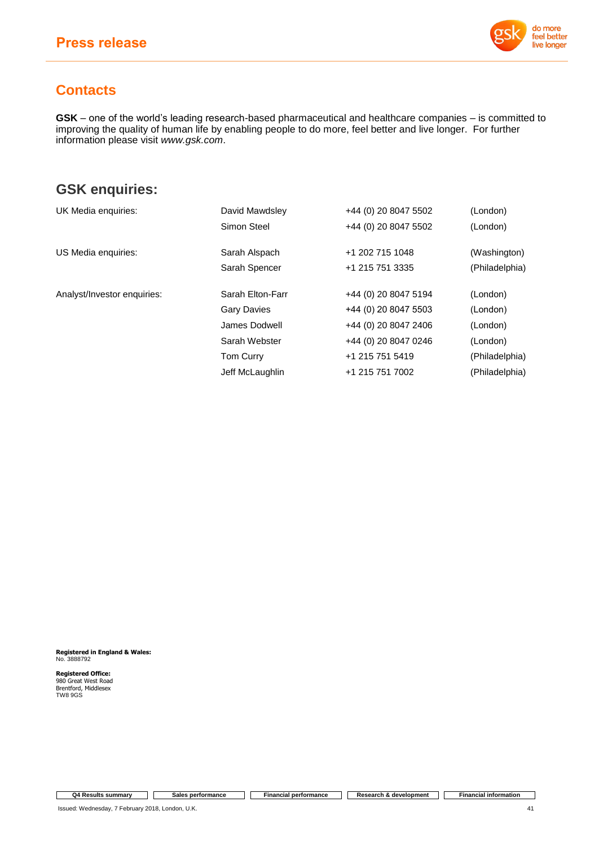

# **Contacts**

**GSK** – one of the world's leading research-based pharmaceutical and healthcare companies – is committed to improving the quality of human life by enabling people to do more, feel better and live longer. For further information please visit *[www.gsk.com](http://www.gsk.com/)*.

# **GSK enquiries:**

| UK Media enquiries:         | David Mawdsley     | +44 (0) 20 8047 5502 | (London)       |
|-----------------------------|--------------------|----------------------|----------------|
|                             | Simon Steel        | +44 (0) 20 8047 5502 | (London)       |
| US Media enquiries:         | Sarah Alspach      | +1 202 715 1048      | (Washington)   |
|                             | Sarah Spencer      | +1 215 751 3335      | (Philadelphia) |
| Analyst/Investor enquiries: | Sarah Elton-Farr   | +44 (0) 20 8047 5194 | (London)       |
|                             | <b>Gary Davies</b> | +44 (0) 20 8047 5503 | (London)       |
|                             | James Dodwell      | +44 (0) 20 8047 2406 | (London)       |
|                             | Sarah Webster      | +44 (0) 20 8047 0246 | (London)       |
|                             | <b>Tom Curry</b>   | +1 215 751 5419      | (Philadelphia) |
|                             | Jeff McLaughlin    | +1 215 751 7002      | (Philadelphia) |

**Registered in England & Wales:** No. 3888792

**Registered Office:** 980 Great West Road Brentford, Middlesex TW8 9GS

**Q4 Results summary Sales performance Financial performance Research & development Financial information**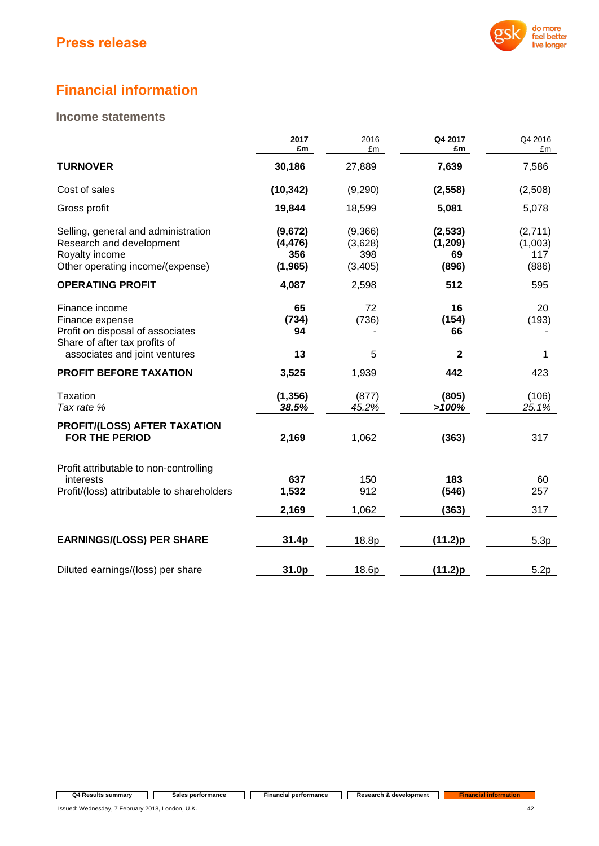

# **Financial information**

# **Income statements**

|                                                                                                                                         | 2017<br>£m                             | 2016<br>£m                            | Q4 2017<br>£m                      | Q4 2016<br>£m                      |
|-----------------------------------------------------------------------------------------------------------------------------------------|----------------------------------------|---------------------------------------|------------------------------------|------------------------------------|
| <b>TURNOVER</b>                                                                                                                         | 30,186                                 | 27,889                                | 7,639                              | 7,586                              |
| Cost of sales                                                                                                                           | (10, 342)                              | (9,290)                               | (2, 558)                           | (2,508)                            |
| Gross profit                                                                                                                            | 19,844                                 | 18,599                                | 5,081                              | 5,078                              |
| Selling, general and administration<br>Research and development<br>Royalty income<br>Other operating income/(expense)                   | (9,672)<br>(4, 476)<br>356<br>(1, 965) | (9,366)<br>(3,628)<br>398<br>(3, 405) | (2, 533)<br>(1,209)<br>69<br>(896) | (2,711)<br>(1,003)<br>117<br>(886) |
| <b>OPERATING PROFIT</b>                                                                                                                 | 4,087                                  | 2,598                                 | 512                                | 595                                |
| Finance income<br>Finance expense<br>Profit on disposal of associates<br>Share of after tax profits of<br>associates and joint ventures | 65<br>(734)<br>94<br>13                | 72<br>(736)<br>5                      | 16<br>(154)<br>66<br>$\mathbf{2}$  | 20<br>(193)<br>1                   |
| <b>PROFIT BEFORE TAXATION</b>                                                                                                           | 3,525                                  | 1,939                                 | 442                                | 423                                |
| <b>Taxation</b><br>Tax rate %                                                                                                           | (1, 356)<br>38.5%                      | (877)<br>45.2%                        | (805)<br>>100%                     | (106)<br>25.1%                     |
| PROFIT/(LOSS) AFTER TAXATION<br><b>FOR THE PERIOD</b>                                                                                   | 2,169                                  | 1,062                                 | (363)                              | 317                                |
| Profit attributable to non-controlling<br>interests<br>Profit/(loss) attributable to shareholders                                       | 637<br>1,532<br>2,169                  | 150<br>912<br>1,062                   | 183<br>(546)<br>(363)              | 60<br>257<br>317                   |
|                                                                                                                                         |                                        |                                       |                                    |                                    |
| <b>EARNINGS/(LOSS) PER SHARE</b>                                                                                                        | 31.4p                                  | 18.8p                                 | (11.2)p                            | 5.3p                               |
| Diluted earnings/(loss) per share                                                                                                       | 31.0p                                  | 18.6p                                 | (11.2)p                            | 5.2p                               |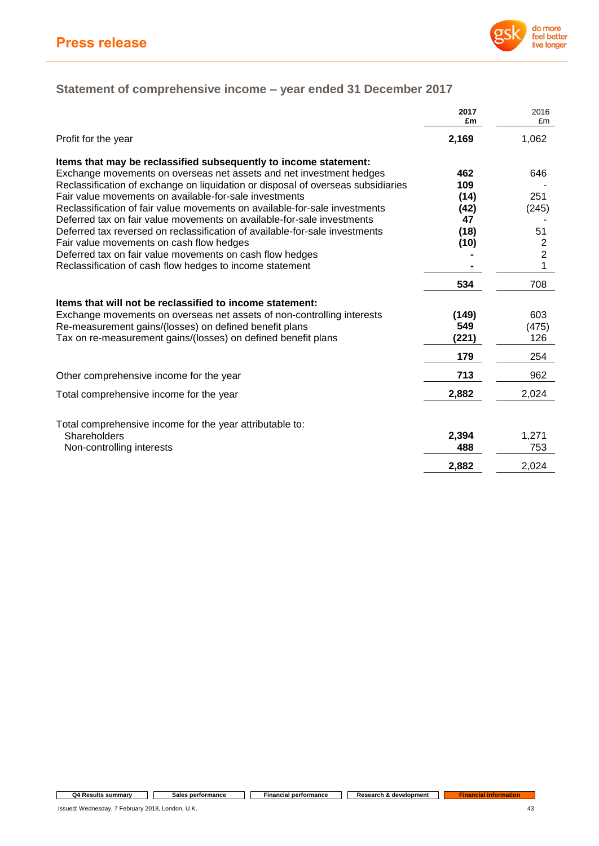

# **Statement of comprehensive income – year ended 31 December 2017**

|                                                                                  | 2017<br>£m | 2016<br>£m              |
|----------------------------------------------------------------------------------|------------|-------------------------|
| Profit for the year                                                              | 2,169      | 1,062                   |
| Items that may be reclassified subsequently to income statement:                 |            |                         |
| Exchange movements on overseas net assets and net investment hedges              | 462        | 646                     |
| Reclassification of exchange on liquidation or disposal of overseas subsidiaries | 109        |                         |
| Fair value movements on available-for-sale investments                           | (14)       | 251                     |
| Reclassification of fair value movements on available-for-sale investments       | (42)       | (245)                   |
| Deferred tax on fair value movements on available-for-sale investments           | 47         |                         |
| Deferred tax reversed on reclassification of available-for-sale investments      | (18)       | 51                      |
| Fair value movements on cash flow hedges                                         | (10)       | $\overline{\mathbf{c}}$ |
| Deferred tax on fair value movements on cash flow hedges                         |            | $\overline{2}$          |
| Reclassification of cash flow hedges to income statement                         |            | 1                       |
|                                                                                  | 534        | 708                     |
| Items that will not be reclassified to income statement:                         |            |                         |
| Exchange movements on overseas net assets of non-controlling interests           | (149)      | 603                     |
| Re-measurement gains/(losses) on defined benefit plans                           | 549        | (475)                   |
| Tax on re-measurement gains/(losses) on defined benefit plans                    | (221)      | 126                     |
|                                                                                  | 179        | 254                     |
| Other comprehensive income for the year                                          | 713        | 962                     |
| Total comprehensive income for the year                                          | 2,882      | 2,024                   |
|                                                                                  |            |                         |
| Total comprehensive income for the year attributable to:                         |            |                         |
| Shareholders                                                                     | 2,394      | 1,271                   |
| Non-controlling interests                                                        | 488        | 753                     |
|                                                                                  | 2,882      | 2,024                   |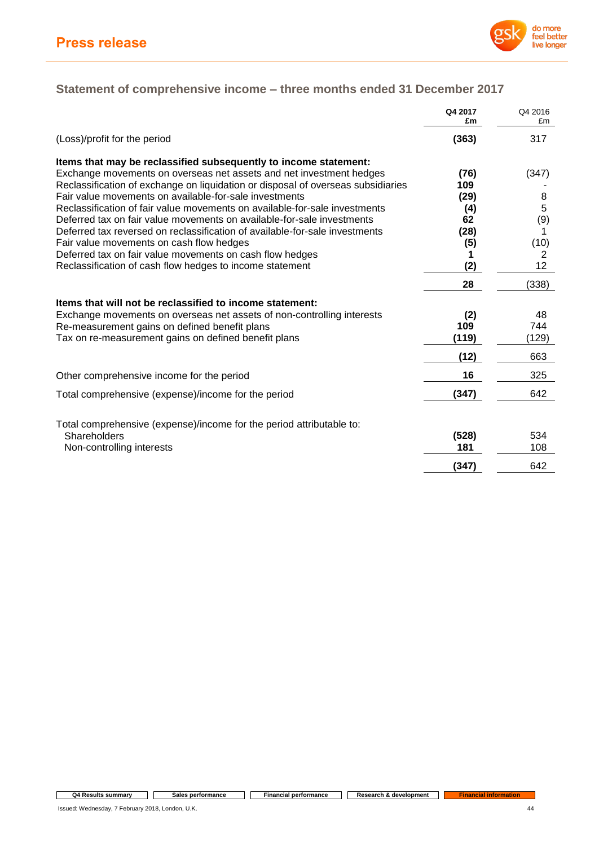

# **Statement of comprehensive income – three months ended 31 December 2017**

|                                                                                  | Q4 2017<br>£m | Q4 2016<br>£m |
|----------------------------------------------------------------------------------|---------------|---------------|
| (Loss)/profit for the period                                                     | (363)         | 317           |
| Items that may be reclassified subsequently to income statement:                 |               |               |
| Exchange movements on overseas net assets and net investment hedges              | (76)          | (347)         |
| Reclassification of exchange on liquidation or disposal of overseas subsidiaries | 109           |               |
| Fair value movements on available-for-sale investments                           | (29)          | 8             |
| Reclassification of fair value movements on available-for-sale investments       | (4)           | 5             |
| Deferred tax on fair value movements on available-for-sale investments           | 62            | (9)           |
| Deferred tax reversed on reclassification of available-for-sale investments      | (28)          |               |
| Fair value movements on cash flow hedges                                         | (5)           | (10)          |
| Deferred tax on fair value movements on cash flow hedges                         |               | 2             |
| Reclassification of cash flow hedges to income statement                         | (2)           | 12            |
|                                                                                  | 28            | (338)         |
| Items that will not be reclassified to income statement:                         |               |               |
| Exchange movements on overseas net assets of non-controlling interests           | (2)           | 48            |
| Re-measurement gains on defined benefit plans                                    | 109           | 744           |
| Tax on re-measurement gains on defined benefit plans                             | (119)         | (129)         |
|                                                                                  | (12)          | 663           |
| Other comprehensive income for the period                                        | 16            | 325           |
| Total comprehensive (expense)/income for the period                              | (347)         | 642           |
| Total comprehensive (expense)/income for the period attributable to:             |               |               |
| Shareholders                                                                     | (528)         | 534           |
| Non-controlling interests                                                        | 181           | 108           |
|                                                                                  | (347)         | 642           |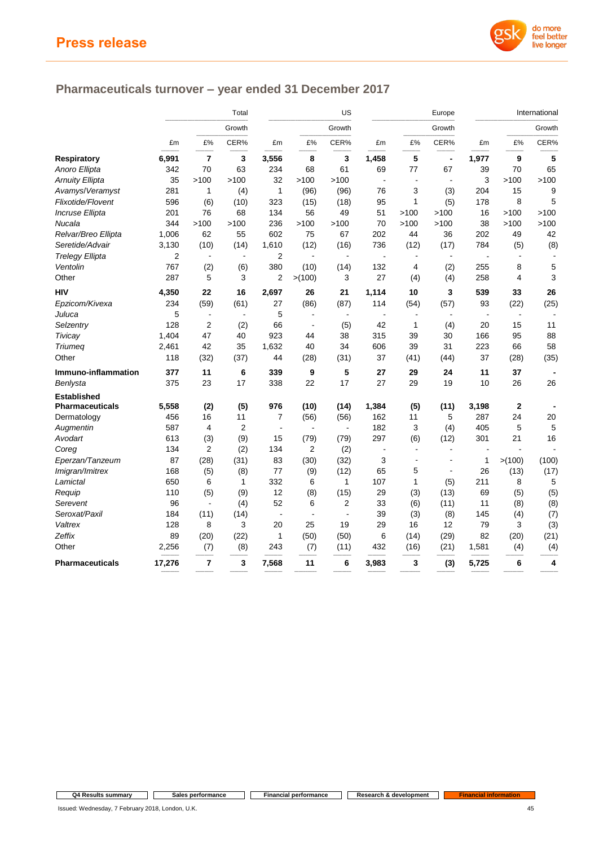

# **Pharmaceuticals turnover – year ended 31 December 2017**

|                        | Total          |                |                          | US                       |                          | Europe         |       |                          | International  |                |              |        |
|------------------------|----------------|----------------|--------------------------|--------------------------|--------------------------|----------------|-------|--------------------------|----------------|----------------|--------------|--------|
|                        |                |                | Growth                   |                          |                          | Growth         |       |                          | Growth         |                |              | Growth |
|                        | £m             | £%             | CER%                     | £m                       | £%                       | CER%           | £m    | £%                       | CER%           | £m             | £%           | CER%   |
| Respiratory            | 6,991          | $\overline{7}$ | 3                        | 3,556                    | 8                        | 3              | 1,458 | 5                        | $\blacksquare$ | 1,977          | 9            | 5      |
| Anoro Ellipta          | 342            | 70             | 63                       | 234                      | 68                       | 61             | 69    | 77                       | 67             | 39             | 70           | 65     |
| <b>Arnuity Ellipta</b> | 35             | >100           | >100                     | 32                       | >100                     | >100           |       | J.                       | $\blacksquare$ | 3              | >100         | >100   |
| Avamys/Veramyst        | 281            | 1              | (4)                      | $\mathbf{1}$             | (96)                     | (96)           | 76    | 3                        | (3)            | 204            | 15           | 9      |
| Flixotide/Flovent      | 596            | (6)            | (10)                     | 323                      | (15)                     | (18)           | 95    | $\mathbf{1}$             | (5)            | 178            | 8            | 5      |
| <b>Incruse Ellipta</b> | 201            | 76             | 68                       | 134                      | 56                       | 49             | 51    | >100                     | >100           | 16             | >100         | >100   |
| Nucala                 | 344            | >100           | >100                     | 236                      | >100                     | >100           | 70    | >100                     | >100           | 38             | >100         | >100   |
| Relvar/Breo Ellipta    | 1,006          | 62             | 55                       | 602                      | 75                       | 67             | 202   | 44                       | 36             | 202            | 49           | 42     |
| Seretide/Advair        | 3,130          | (10)           | (14)                     | 1,610                    | (12)                     | (16)           | 736   | (12)                     | (17)           | 784            | (5)          | (8)    |
| <b>Trelegy Ellipta</b> | $\overline{2}$ | $\blacksquare$ | $\overline{\phantom{a}}$ | $\overline{2}$           | $\overline{\phantom{a}}$ | $\blacksquare$ |       | $\overline{\phantom{a}}$ | $\blacksquare$ | $\blacksquare$ |              |        |
| Ventolin               | 767            | (2)            | (6)                      | 380                      | (10)                     | (14)           | 132   | 4                        | (2)            | 255            | 8            | 5      |
| Other                  | 287            | 5              | 3                        | $\overline{2}$           | >(100)                   | 3              | 27    | (4)                      | (4)            | 258            | 4            | 3      |
| <b>HIV</b>             | 4,350          | 22             | 16                       | 2,697                    | 26                       | 21             | 1,114 | 10                       | 3              | 539            | 33           | 26     |
| Epzicom/Kivexa         | 234            | (59)           | (61)                     | 27                       | (86)                     | (87)           | 114   | (54)                     | (57)           | 93             | (22)         | (25)   |
| Juluca                 | 5              | $\blacksquare$ | $\blacksquare$           | 5                        |                          | $\sim$         |       |                          |                | L,             |              |        |
| Selzentry              | 128            | $\overline{2}$ | (2)                      | 66                       |                          | (5)            | 42    | $\mathbf{1}$             | (4)            | 20             | 15           | 11     |
| Tivicay                | 1,404          | 47             | 40                       | 923                      | 44                       | 38             | 315   | 39                       | 30             | 166            | 95           | 88     |
| Triumeg                | 2,461          | 42             | 35                       | 1,632                    | 40                       | 34             | 606   | 39                       | 31             | 223            | 66           | 58     |
| Other                  | 118            | (32)           | (37)                     | 44                       | (28)                     | (31)           | 37    | (41)                     | (44)           | 37             | (28)         | (35)   |
| Immuno-inflammation    | 377            | 11             | 6                        | 339                      | 9                        | 5              | 27    | 29                       | 24             | 11             | 37           |        |
| Benlysta               | 375            | 23             | 17                       | 338                      | 22                       | 17             | 27    | 29                       | 19             | 10             | 26           | 26     |
| <b>Established</b>     |                |                |                          |                          |                          |                |       |                          |                |                |              |        |
| Pharmaceuticals        | 5,558          | (2)            | (5)                      | 976                      | (10)                     | (14)           | 1,384 | (5)                      | (11)           | 3,198          | $\mathbf{2}$ |        |
| Dermatology            | 456            | 16             | 11                       | 7                        | (56)                     | (56)           | 162   | 11                       | 5              | 287            | 24           | 20     |
| Augmentin              | 587            | 4              | $\overline{2}$           | $\overline{\phantom{a}}$ | $\blacksquare$           | $\sim$         | 182   | 3                        | (4)            | 405            | 5            | 5      |
| Avodart                | 613            | (3)            | (9)                      | 15                       | (79)                     | (79)           | 297   | (6)                      | (12)           | 301            | 21           | 16     |
| Coreg                  | 134            | $\overline{2}$ | (2)                      | 134                      | $\overline{2}$           | (2)            | L,    | $\overline{\phantom{a}}$ | $\blacksquare$ |                |              |        |
| Eperzan/Tanzeum        | 87             | (28)           | (31)                     | 83                       | (30)                     | (32)           | 3     | J.                       | $\overline{a}$ | 1              | >(100)       | (100)  |
| Imigran/Imitrex        | 168            | (5)            | (8)                      | 77                       | (9)                      | (12)           | 65    | 5                        | $\blacksquare$ | 26             | (13)         | (17)   |
| Lamictal               | 650            | 6              | 1                        | 332                      | 6                        | $\mathbf{1}$   | 107   | 1                        | (5)            | 211            | 8            | 5      |
| Requip                 | 110            | (5)            | (9)                      | 12                       | (8)                      | (15)           | 29    | (3)                      | (13)           | 69             | (5)          | (5)    |
| Serevent               | 96             | $\blacksquare$ | (4)                      | 52                       | 6                        | $\overline{2}$ | 33    | (6)                      | (11)           | 11             | (8)          | (8)    |
| Seroxat/Paxil          | 184            | (11)           | (14)                     | $\blacksquare$           |                          | $\blacksquare$ | 39    | (3)                      | (8)            | 145            | (4)          | (7)    |
| Valtrex                | 128            | 8              | 3                        | 20                       | 25                       | 19             | 29    | 16                       | 12             | 79             | 3            | (3)    |
| Zeffix                 | 89             | (20)           | (22)                     | 1                        | (50)                     | (50)           | 6     | (14)                     | (29)           | 82             | (20)         | (21)   |
| Other                  | 2,256          | (7)            | (8)                      | 243                      | (7)                      | (11)           | 432   | (16)                     | (21)           | 1,581          | (4)          | (4)    |
| <b>Pharmaceuticals</b> | 17,276         | $\overline{7}$ | 3                        | 7,568                    | 11                       | 6              | 3,983 | 3                        | (3)            | 5,725          | 6            | 4      |

–––––––– –––––––– –––––––– –––––––– –––––––––– –––––––– –––––––– ––––––––– –––––––– –––––––– ––––––––– ––––––––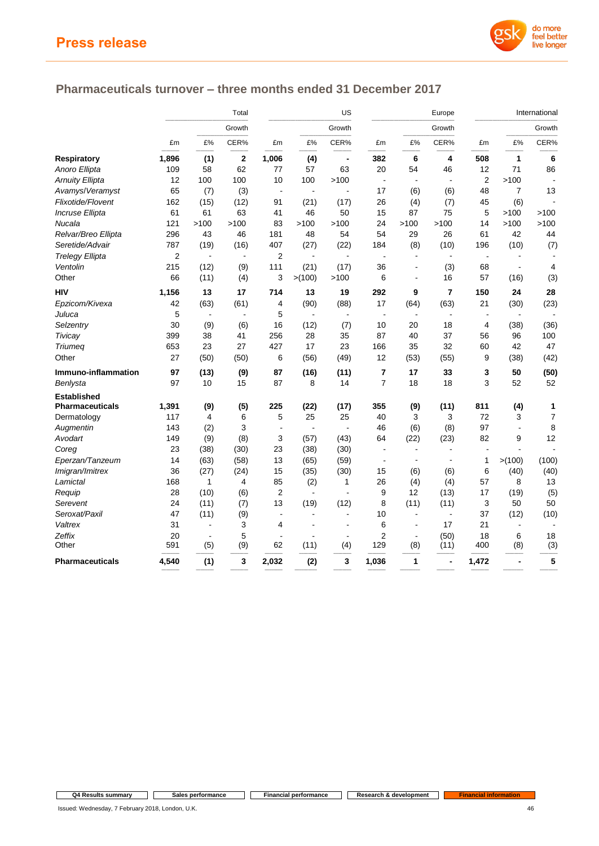

# **Pharmaceuticals turnover – three months ended 31 December 2017**

|                        | Total     |                       |                | US                       |                |                              | Europe         |                                    |                | International  |                     |                |
|------------------------|-----------|-----------------------|----------------|--------------------------|----------------|------------------------------|----------------|------------------------------------|----------------|----------------|---------------------|----------------|
|                        |           |                       | Growth         |                          |                | Growth                       |                | Growth                             |                |                |                     |                |
|                        | £m        | £%                    | CER%           | £m                       | £%             | CER%                         | £m             | £%                                 | CER%           | £m             | £%                  | CER%           |
| <b>Respiratory</b>     | 1,896     | (1)                   | 2              | 1,006                    | (4)            | $\qquad \qquad \blacksquare$ | 382            | 6                                  | 4              | 508            | $\mathbf{1}$        | 6              |
| Anoro Ellipta          | 109       | 58                    | 62             | 77                       | 57             | 63                           | 20             | 54                                 | 46             | 12             | 71                  | 86             |
| <b>Arnuity Ellipta</b> | 12        | 100                   | 100            | 10                       | 100            | >100                         | ÷,             | $\sim$                             | $\blacksquare$ | 2              | >100                |                |
| Avamys/Veramyst        | 65        | (7)                   | (3)            | $\overline{\phantom{a}}$ |                |                              | 17             | (6)                                | (6)            | 48             | $\overline{7}$      | 13             |
| Flixotide/Flovent      | 162       | (15)                  | (12)           | 91                       | (21)           | (17)                         | 26             | (4)                                | (7)            | 45             | (6)                 |                |
| Incruse Ellipta        | 61        | 61                    | 63             | 41                       | 46             | 50                           | 15             | 87                                 | 75             | 5              | >100                | >100           |
| Nucala                 | 121       | >100                  | >100           | 83                       | >100           | >100                         | 24             | >100                               | >100           | 14             | >100                | >100           |
| Relvar/Breo Ellipta    | 296       | 43                    | 46             | 181                      | 48             | 54                           | 54             | 29                                 | 26             | 61             | 42                  | 44             |
| Seretide/Advair        | 787       | (19)                  | (16)           | 407                      | (27)           | (22)                         | 184            | (8)                                | (10)           | 196            | (10)                | (7)            |
| <b>Trelegy Ellipta</b> | 2         | $\blacksquare$        | $\overline{a}$ | $\overline{2}$           | $\overline{a}$ | $\overline{a}$               |                |                                    | $\overline{a}$ | $\blacksquare$ |                     |                |
| Ventolin               | 215       | (12)                  | (9)            | 111                      | (21)           | (17)                         | 36             | $\blacksquare$                     | (3)            | 68             | $\blacksquare$      | 4              |
| Other                  | 66        | (11)                  | (4)            | 3                        | > (100)        | >100                         | 6              | $\blacksquare$                     | 16             | 57             | (16)                | (3)            |
| <b>HIV</b>             | 1,156     | 13                    | 17             | 714                      | 13             | 19                           | 292            | 9                                  | $\overline{7}$ | 150            | 24                  | 28             |
| Epzicom/Kivexa         | 42        | (63)                  | (61)           | 4                        | (90)           | (88)                         | 17             | (64)                               | (63)           | 21             | (30)                | (23)           |
| Juluca                 | 5         | $\overline{a}$        | $\overline{a}$ | 5                        |                |                              | $\overline{a}$ |                                    |                |                |                     |                |
| Selzentry              | 30        | (9)                   | (6)            | 16                       | (12)           | (7)                          | 10             | 20                                 | 18             | 4              | (38)                | (36)           |
| Tivicay                | 399       | 38                    | 41             | 256                      | 28             | 35                           | 87             | 40                                 | 37             | 56             | 96                  | 100            |
| <b>Triumeg</b>         | 653       | 23                    | 27             | 427                      | 17             | 23                           | 166            | 35                                 | 32             | 60             | 42                  | 47             |
| Other                  | 27        | (50)                  | (50)           | 6                        | (56)           | (49)                         | 12             | (53)                               | (55)           | 9              | (38)                | (42)           |
| Immuno-inflammation    | 97        | (13)                  | (9)            | 87                       | (16)           | (11)                         | 7              | 17                                 | 33             | 3              | 50                  | (50)           |
| Benlysta               | 97        | 10                    | 15             | 87                       | 8              | 14                           | $\overline{7}$ | 18                                 | 18             | 3              | 52                  | 52             |
| <b>Established</b>     |           |                       |                |                          |                |                              |                |                                    |                |                |                     |                |
| <b>Pharmaceuticals</b> | 1,391     | (9)                   | (5)            | 225                      | (22)           | (17)                         | 355            | (9)                                | (11)           | 811            | (4)                 | 1              |
| Dermatology            | 117       | 4                     | 6              | 5                        | 25             | 25                           | 40             | 3                                  | 3              | 72             | 3                   | $\overline{7}$ |
| Augmentin              | 143       | (2)                   | 3              | $\overline{\phantom{a}}$ | L,             | ä,                           | 46             | (6)                                | (8)            | 97             | $\blacksquare$      | 8              |
| Avodart                | 149       | (9)                   | (8)            | 3                        | (57)           | (43)                         | 64             | (22)                               | (23)           | 82             | 9                   | 12             |
| Coreg                  | 23        | (38)                  | (30)           | 23                       | (38)           | (30)                         | $\sim$         | $\overline{a}$                     | $\overline{a}$ | ÷.             | ٠                   |                |
| Eperzan/Tanzeum        | 14        | (63)                  | (58)           | 13                       | (65)           | (59)                         | $\blacksquare$ | $\overline{\phantom{a}}$           |                | 1              | >(100)              | (100)          |
| Imigran/Imitrex        | 36        | (27)                  | (24)           | 15                       | (35)           | (30)                         | 15             | (6)                                | (6)            | 6              | (40)                | (40)           |
| Lamictal               | 168       | 1                     | 4              | 85                       | (2)            | $\mathbf{1}$                 | 26             | (4)                                | (4)            | 57             | 8                   | 13             |
| Requip                 | 28        | (10)                  | (6)            | $\overline{2}$           | $\blacksquare$ | $\blacksquare$               | 9              | 12                                 | (13)           | 17             | (19)                | (5)            |
| Serevent               | 24        | (11)                  | (7)            | 13                       | (19)           | (12)<br>L.                   | 8              | (11)                               | (11)           | 3              | 50                  | 50             |
| Seroxat/Paxil          | 47        | (11)                  | (9)            | $\blacksquare$           | $\blacksquare$ |                              | 10             | $\sim$                             | $\blacksquare$ | 37             | (12)                | (10)           |
| Valtrex                | 31        | $\blacksquare$        | 3<br>5         | 4                        | L,             | $\overline{a}$               | 6              | $\overline{\phantom{a}}$<br>$\sim$ | 17             | 21             | $\blacksquare$<br>6 | 18             |
| Zeffix<br>Other        | 20<br>591 | $\blacksquare$<br>(5) | (9)            | ÷,<br>62                 | (11)           | (4)                          | 2<br>129       | (8)                                | (50)<br>(11)   | 18<br>400      | (8)                 | (3)            |
|                        |           |                       |                |                          |                |                              |                |                                    |                |                |                     |                |
| Pharmaceuticals        | 4,540     | (1)                   | 3              | 2,032                    | (2)            | 3                            | 1,036          | $\mathbf{1}$                       |                | 1,472          | $\blacksquare$      | 5              |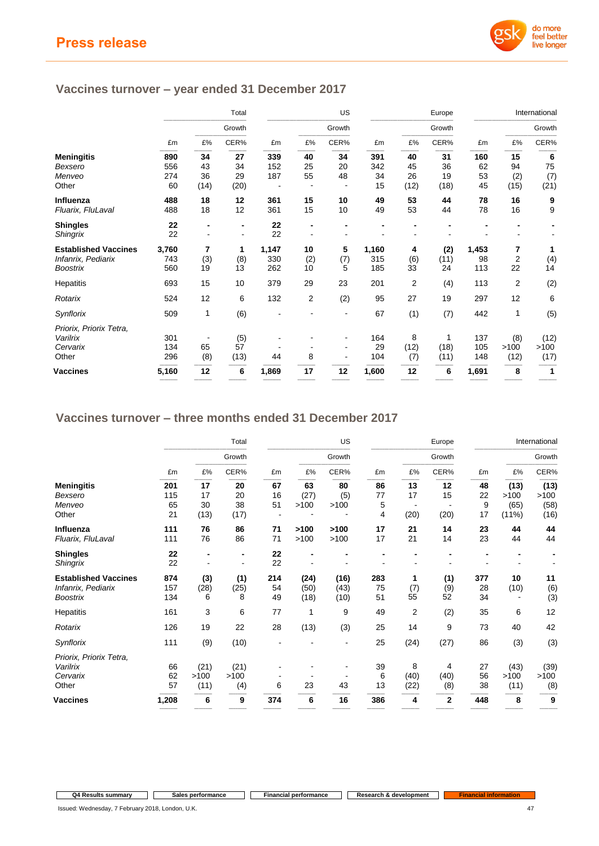

# **Vaccines turnover – year ended 31 December 2017**

|                             | Total |      | US             |       | Europe |        |       | International  |        |       |                |              |
|-----------------------------|-------|------|----------------|-------|--------|--------|-------|----------------|--------|-------|----------------|--------------|
|                             |       |      | Growth         |       |        | Growth |       |                | Growth |       |                | Growth       |
|                             | £m    | £%   | CER%           | £m    | £%     | CER%   | £m    | £%             | CER%   | £m    | £%             | CER%         |
| <b>Meningitis</b>           | 890   | 34   | 27             | 339   | 40     | 34     | 391   | 40             | 31     | 160   | 15             | 6            |
| Bexsero                     | 556   | 43   | 34             | 152   | 25     | 20     | 342   | 45             | 36     | 62    | 94             | 75           |
| Menveo                      | 274   | 36   | 29             | 187   | 55     | 48     | 34    | 26             | 19     | 53    | (2)            | (7)          |
| Other                       | 60    | (14) | (20)           |       |        |        | 15    | (12)           | (18)   | 45    | (15)           | (21)         |
| Influenza                   | 488   | 18   | 12             | 361   | 15     | 10     | 49    | 53             | 44     | 78    | 16             | 9            |
| Fluarix, FluLaval           | 488   | 18   | 12             | 361   | 15     | 10     | 49    | 53             | 44     | 78    | 16             | 9            |
| <b>Shingles</b>             | 22    | -    |                | 22    |        |        |       |                |        |       |                |              |
| <b>Shingrix</b>             | 22    | ۰    | $\blacksquare$ | 22    |        |        |       |                |        |       |                |              |
| <b>Established Vaccines</b> | 3,760 | 7    | 1              | 1,147 | 10     | 5      | 1,160 | 4              | (2)    | 1,453 | 7              | 1            |
| Infanrix, Pediarix          | 743   | (3)  | (8)            | 330   | (2)    | (7)    | 315   | (6)            | (11)   | 98    | $\overline{2}$ | (4)          |
| <b>Boostrix</b>             | 560   | 19   | 13             | 262   | 10     | 5      | 185   | 33             | 24     | 113   | 22             | 14           |
| Hepatitis                   | 693   | 15   | 10             | 379   | 29     | 23     | 201   | $\overline{2}$ | (4)    | 113   | 2              | (2)          |
| Rotarix                     | 524   | 12   | 6              | 132   | 2      | (2)    | 95    | 27             | 19     | 297   | 12             | 6            |
| Synflorix                   | 509   | 1    | (6)            |       |        |        | 67    | (1)            | (7)    | 442   | 1              | (5)          |
| Priorix, Priorix Tetra,     |       |      |                |       |        |        |       |                |        |       |                |              |
| Varilrix                    | 301   |      | (5)            |       |        |        | 164   | 8              | 1      | 137   | (8)            | (12)         |
| Cervarix                    | 134   | 65   | 57             |       |        |        | 29    | (12)           | (18)   | 105   | >100           | >100         |
| Other                       | 296   | (8)  | (13)           | 44    | 8      |        | 104   | (7)            | (11)   | 148   | (12)           | (17)         |
| Vaccines                    | 5,160 | 12   | 6              | 1,869 | 17     | 12     | 1,600 | 12             | 6      | 1,691 | 8              | $\mathbf{1}$ |

## **Vaccines turnover – three months ended 31 December 2017**

|                                                                      | Total             |                  | US               |                 |                      | Europe               |                 | International  |                  |                 |            |                  |
|----------------------------------------------------------------------|-------------------|------------------|------------------|-----------------|----------------------|----------------------|-----------------|----------------|------------------|-----------------|------------|------------------|
|                                                                      |                   | Growth           |                  |                 |                      | Growth               |                 |                | Growth           |                 |            | Growth           |
|                                                                      | £m                | £%               | CER%             | £m              | £%                   | CER%                 | £m              | £%             | CER%             | £m              | £%         | CER%             |
| <b>Meningitis</b>                                                    | 201               | 17               | 20               | 67              | 63                   | 80                   | 86              | 13             | 12               | 48              | (13)       | (13)             |
| Bexsero                                                              | 115               | 17               | 20               | 16              | (27)                 | (5)                  | 77              | 17             | 15               | 22              | >100       | >100             |
| Menveo                                                               | 65                | 30               | 38               | 51              | >100                 | >100                 | 5               |                |                  | 9               | (65)       | (58)             |
| Other                                                                | 21                | (13)             | (17)             |                 |                      |                      | 4               | (20)           | (20)             | 17              | $(11\%)$   | (16)             |
| Influenza                                                            | 111               | 76               | 86               | 71              | >100                 | >100                 | 17              | 21             | 14               | 23              | 44         | 44               |
| Fluarix, FluLaval                                                    | 111               | 76               | 86               | 71              | >100                 | >100                 | 17              | 21             | 14               | 23              | 44         | 44               |
| <b>Shingles</b>                                                      | 22                |                  |                  | 22              |                      |                      |                 |                |                  |                 |            |                  |
| Shingrix                                                             | 22                |                  |                  | 22              |                      |                      |                 |                |                  |                 |            |                  |
| <b>Established Vaccines</b><br>Infanrix, Pediarix<br><b>Boostrix</b> | 874<br>157<br>134 | (3)<br>(28)<br>6 | (1)<br>(25)<br>8 | 214<br>54<br>49 | (24)<br>(50)<br>(18) | (16)<br>(43)<br>(10) | 283<br>75<br>51 | 1<br>(7)<br>55 | (1)<br>(9)<br>52 | 377<br>28<br>34 | 10<br>(10) | 11<br>(6)<br>(3) |
| Hepatitis                                                            | 161               | 3                | 6                | 77              | 1                    | 9                    | 49              | $\overline{2}$ | (2)              | 35              | 6          | 12               |
| Rotarix                                                              | 126               | 19               | 22               | 28              | (13)                 | (3)                  | 25              | 14             | 9                | 73              | 40         | 42               |
| Synflorix                                                            | 111               | (9)              | (10)             |                 |                      |                      | 25              | (24)           | (27)             | 86              | (3)        | (3)              |
| Priorix, Priorix Tetra,                                              |                   |                  |                  |                 |                      |                      |                 |                |                  |                 |            |                  |
| Varilrix                                                             | 66                | (21)             | (21)             |                 |                      |                      | 39              | 8              | 4                | 27              | (43)       | (39)             |
| Cervarix                                                             | 62                | >100             | >100             |                 |                      |                      | 6               | (40)           | (40)             | 56              | >100       | >100             |
| Other                                                                | 57                | (11)             | (4)              | 6               | 23                   | 43                   | 13              | (22)           | (8)              | 38              | (11)       | (8)              |
| Vaccines                                                             | 1,208             | 6                | 9                | 374             | 6                    | 16                   | 386             | 4              | $\overline{2}$   | 448             | 8          | 9                |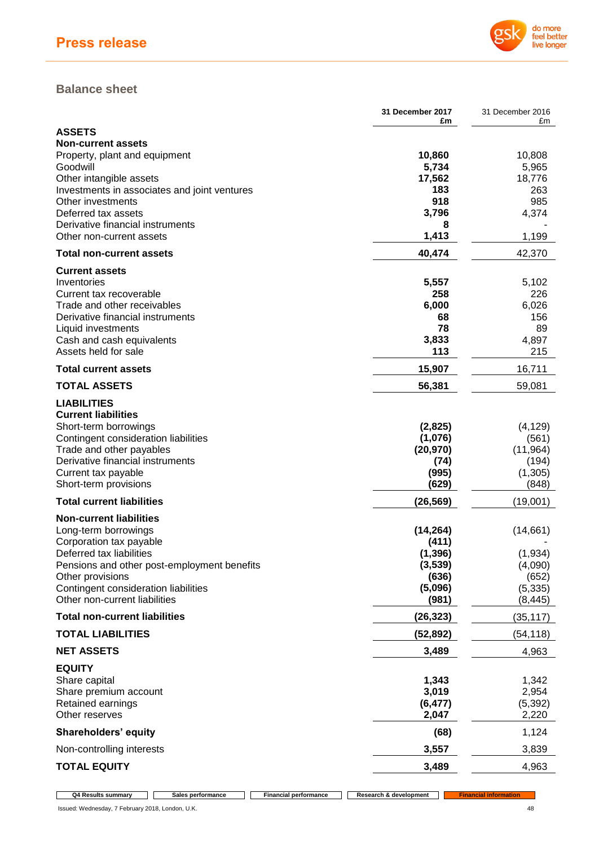

## **Balance sheet**

|                                                                         | <b>31 December 2017</b><br>£m | 31 December 2016<br>£m |
|-------------------------------------------------------------------------|-------------------------------|------------------------|
| <b>ASSETS</b>                                                           |                               |                        |
| <b>Non-current assets</b>                                               |                               |                        |
| Property, plant and equipment                                           | 10,860                        | 10,808                 |
| Goodwill                                                                | 5,734                         | 5,965                  |
| Other intangible assets<br>Investments in associates and joint ventures | 17,562<br>183                 | 18,776<br>263          |
| Other investments                                                       | 918                           | 985                    |
| Deferred tax assets                                                     | 3,796                         | 4,374                  |
| Derivative financial instruments                                        | 8                             |                        |
| Other non-current assets                                                | 1,413                         | 1,199                  |
| <b>Total non-current assets</b>                                         | 40,474                        | 42,370                 |
| <b>Current assets</b>                                                   |                               |                        |
| Inventories                                                             | 5,557                         | 5,102                  |
| Current tax recoverable                                                 | 258                           | 226                    |
| Trade and other receivables                                             | 6,000                         | 6,026                  |
| Derivative financial instruments<br>Liquid investments                  | 68<br>78                      | 156<br>89              |
| Cash and cash equivalents                                               | 3,833                         | 4,897                  |
| Assets held for sale                                                    | 113                           | 215                    |
| <b>Total current assets</b>                                             | 15,907                        | 16,711                 |
| <b>TOTAL ASSETS</b>                                                     | 56,381                        | 59,081                 |
| <b>LIABILITIES</b>                                                      |                               |                        |
| <b>Current liabilities</b>                                              |                               |                        |
| Short-term borrowings                                                   | (2,825)                       | (4, 129)               |
| Contingent consideration liabilities                                    | (1,076)                       | (561)                  |
| Trade and other payables<br>Derivative financial instruments            | (20, 970)                     | (11, 964)              |
| Current tax payable                                                     | (74)<br>(995)                 | (194)<br>(1,305)       |
| Short-term provisions                                                   | (629)                         | (848)                  |
| <b>Total current liabilities</b>                                        | (26, 569)                     | (19,001)               |
| <b>Non-current liabilities</b>                                          |                               |                        |
| Long-term borrowings                                                    | (14, 264)                     | (14,661)               |
| Corporation tax payable                                                 | (411)                         |                        |
| Deferred tax liabilities                                                | (1, 396)                      | (1, 934)               |
| Pensions and other post-employment benefits                             | (3,539)                       | (4,090)                |
| Other provisions                                                        | (636)                         | (652)                  |
| Contingent consideration liabilities<br>Other non-current liabilities   | (5,096)<br>(981)              | (5, 335)<br>(8, 445)   |
| <b>Total non-current liabilities</b>                                    | (26, 323)                     | (35, 117)              |
| <b>TOTAL LIABILITIES</b>                                                | (52, 892)                     | (54, 118)              |
| <b>NET ASSETS</b>                                                       | 3,489                         | 4,963                  |
| <b>EQUITY</b>                                                           |                               |                        |
| Share capital                                                           | 1,343                         | 1,342                  |
| Share premium account                                                   | 3,019                         | 2,954                  |
| Retained earnings                                                       | (6, 477)                      | (5, 392)               |
| Other reserves                                                          | 2,047                         | 2,220                  |
| Shareholders' equity                                                    | (68)                          | 1,124                  |
| Non-controlling interests                                               | 3,557                         | 3,839                  |
| <b>TOTAL EQUITY</b>                                                     | 3,489                         | 4,963                  |

**Q4 Results summary Sales performance Financial performance Research & development Financial information**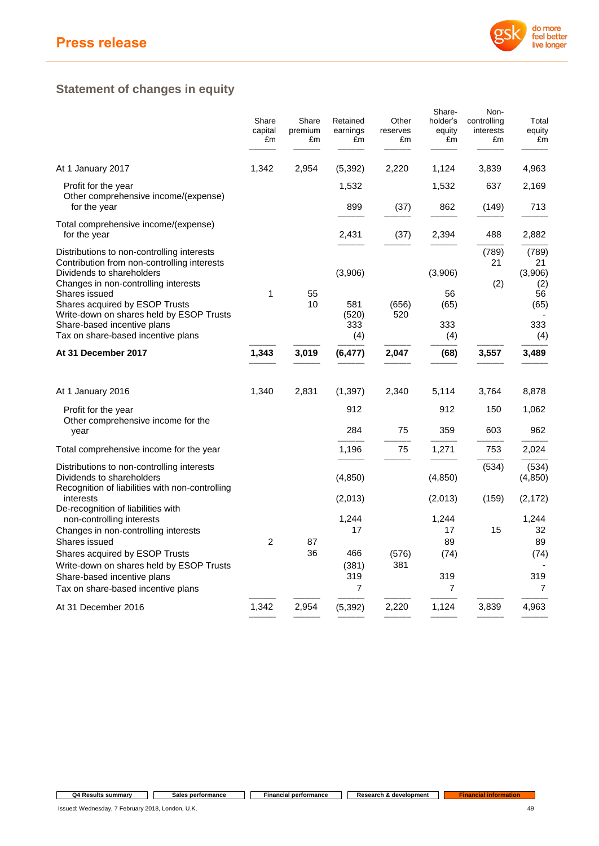

# **Statement of changes in equity**

|                                                                                                                                                                                                                                                               | Share<br>capital<br>£m | Share<br>premium<br>£m | Retained<br>earnings<br>£m | Other<br>reserves<br>£m | Share-<br>holder's<br>equity<br>£m | Non-<br>controlling<br>interests<br>£m | Total<br>equity<br>£m                       |
|---------------------------------------------------------------------------------------------------------------------------------------------------------------------------------------------------------------------------------------------------------------|------------------------|------------------------|----------------------------|-------------------------|------------------------------------|----------------------------------------|---------------------------------------------|
| At 1 January 2017                                                                                                                                                                                                                                             | 1,342                  | 2,954                  | (5,392)                    | 2,220                   | 1,124                              | 3,839                                  | 4,963                                       |
| Profit for the year<br>Other comprehensive income/(expense)<br>for the year                                                                                                                                                                                   |                        |                        | 1,532<br>899               | (37)                    | 1,532<br>862                       | 637<br>(149)                           | 2,169<br>713                                |
| Total comprehensive income/(expense)<br>for the year                                                                                                                                                                                                          |                        |                        | 2,431                      | (37)                    | 2,394                              | 488                                    | 2,882                                       |
| Distributions to non-controlling interests<br>Contribution from non-controlling interests<br>Dividends to shareholders<br>Changes in non-controlling interests<br>Shares issued<br>Shares acquired by ESOP Trusts<br>Write-down on shares held by ESOP Trusts | 1                      | 55<br>10               | (3,906)<br>581<br>(520)    | (656)<br>520            | (3,906)<br>56<br>(65)              | (789)<br>21<br>(2)                     | (789)<br>21<br>(3,906)<br>(2)<br>56<br>(65) |
| Share-based incentive plans<br>Tax on share-based incentive plans                                                                                                                                                                                             |                        |                        | 333<br>(4)                 |                         | 333<br>(4)                         |                                        | 333<br>(4)                                  |
| At 31 December 2017                                                                                                                                                                                                                                           | 1,343                  | 3,019                  | (6, 477)                   | 2,047                   | (68)                               | 3,557                                  | 3,489                                       |
| At 1 January 2016                                                                                                                                                                                                                                             | 1,340                  | 2,831                  | (1, 397)                   | 2,340                   | 5,114                              | 3,764                                  | 8,878                                       |
| Profit for the year<br>Other comprehensive income for the<br>year                                                                                                                                                                                             |                        |                        | 912<br>284                 | 75                      | 912<br>359                         | 150<br>603                             | 1,062<br>962                                |
| Total comprehensive income for the year                                                                                                                                                                                                                       |                        |                        | 1,196                      | 75                      | 1,271                              | 753                                    | 2,024                                       |
| Distributions to non-controlling interests<br>Dividends to shareholders<br>Recognition of liabilities with non-controlling                                                                                                                                    |                        |                        | (4, 850)                   |                         | (4, 850)                           | (534)                                  | (534)<br>(4, 850)                           |
| interests<br>De-recognition of liabilities with                                                                                                                                                                                                               |                        |                        | (2,013)                    |                         | (2,013)                            | (159)                                  | (2, 172)                                    |
| non-controlling interests<br>Changes in non-controlling interests<br>Shares issued                                                                                                                                                                            | $\overline{2}$         | 87                     | 1,244<br>17                |                         | 1,244<br>17<br>89                  | 15                                     | 1,244<br>32<br>89                           |
| Shares acquired by ESOP Trusts<br>Write-down on shares held by ESOP Trusts                                                                                                                                                                                    |                        | 36                     | 466<br>(381)<br>319        | (576)<br>381            | (74)<br>319                        |                                        | (74)<br>319                                 |
| Share-based incentive plans<br>Tax on share-based incentive plans                                                                                                                                                                                             |                        |                        | 7                          |                         | 7                                  |                                        | $\overline{7}$                              |
| At 31 December 2016                                                                                                                                                                                                                                           | 1,342                  | 2,954                  | (5, 392)                   | 2,220                   | 1,124                              | 3,839                                  | 4,963                                       |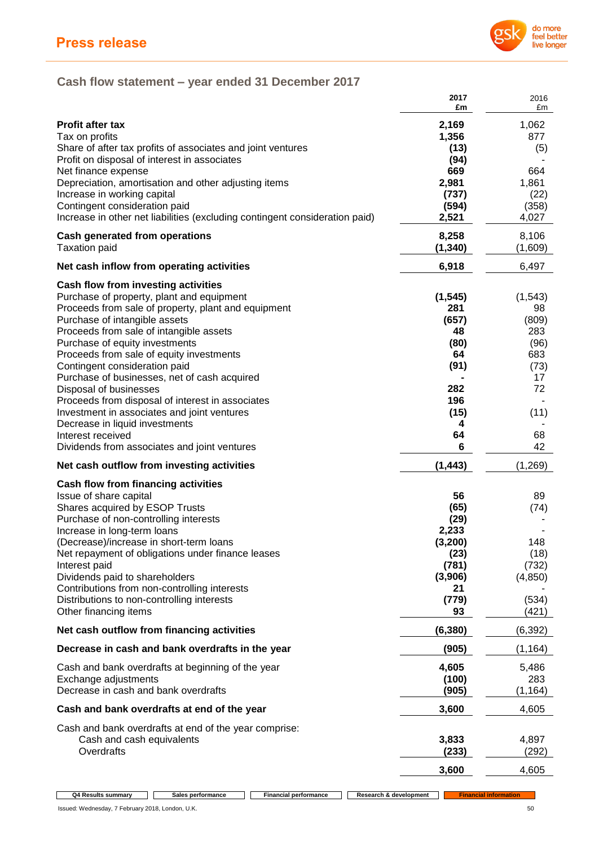

# **Cash flow statement – year ended 31 December 2017**

|                                                                                                                                                                                                                                                                                                                                                                                                                                                                                                                                                                                                                        | 2017<br>£m                                                                                 | 2016<br>£m                                                                            |
|------------------------------------------------------------------------------------------------------------------------------------------------------------------------------------------------------------------------------------------------------------------------------------------------------------------------------------------------------------------------------------------------------------------------------------------------------------------------------------------------------------------------------------------------------------------------------------------------------------------------|--------------------------------------------------------------------------------------------|---------------------------------------------------------------------------------------|
| <b>Profit after tax</b><br>Tax on profits<br>Share of after tax profits of associates and joint ventures<br>Profit on disposal of interest in associates<br>Net finance expense<br>Depreciation, amortisation and other adjusting items<br>Increase in working capital<br>Contingent consideration paid<br>Increase in other net liabilities (excluding contingent consideration paid)                                                                                                                                                                                                                                 | 2,169<br>1,356<br>(13)<br>(94)<br>669<br>2,981<br>(737)<br>(594)<br>2,521                  | 1,062<br>877<br>(5)<br>664<br>1,861<br>(22)<br>(358)<br>4,027                         |
| <b>Cash generated from operations</b><br><b>Taxation paid</b>                                                                                                                                                                                                                                                                                                                                                                                                                                                                                                                                                          | 8,258<br>(1, 340)                                                                          | 8,106<br>(1,609)                                                                      |
| Net cash inflow from operating activities                                                                                                                                                                                                                                                                                                                                                                                                                                                                                                                                                                              | 6,918                                                                                      | 6,497                                                                                 |
| Cash flow from investing activities<br>Purchase of property, plant and equipment<br>Proceeds from sale of property, plant and equipment<br>Purchase of intangible assets<br>Proceeds from sale of intangible assets<br>Purchase of equity investments<br>Proceeds from sale of equity investments<br>Contingent consideration paid<br>Purchase of businesses, net of cash acquired<br>Disposal of businesses<br>Proceeds from disposal of interest in associates<br>Investment in associates and joint ventures<br>Decrease in liquid investments<br>Interest received<br>Dividends from associates and joint ventures | (1, 545)<br>281<br>(657)<br>48<br>(80)<br>64<br>(91)<br>282<br>196<br>(15)<br>4<br>64<br>6 | (1, 543)<br>98<br>(809)<br>283<br>(96)<br>683<br>(73)<br>17<br>72<br>(11)<br>68<br>42 |
| Net cash outflow from investing activities                                                                                                                                                                                                                                                                                                                                                                                                                                                                                                                                                                             | (1, 443)                                                                                   | (1,269)                                                                               |
| <b>Cash flow from financing activities</b><br>Issue of share capital<br>Shares acquired by ESOP Trusts<br>Purchase of non-controlling interests<br>Increase in long-term loans<br>(Decrease)/increase in short-term loans<br>Net repayment of obligations under finance leases<br>Interest paid<br>Dividends paid to shareholders<br>Contributions from non-controlling interests<br>Distributions to non-controlling interests<br>Other financing items                                                                                                                                                               | 56<br>(65)<br>(29)<br>2,233<br>(3, 200)<br>(23)<br>(781)<br>(3,906)<br>21<br>(779)<br>93   | 89<br>(74)<br>148<br>(18)<br>(732)<br>(4, 850)<br>(534)<br>(421)                      |
| Net cash outflow from financing activities                                                                                                                                                                                                                                                                                                                                                                                                                                                                                                                                                                             | (6, 380)                                                                                   | (6, 392)                                                                              |
| Decrease in cash and bank overdrafts in the year                                                                                                                                                                                                                                                                                                                                                                                                                                                                                                                                                                       | (905)                                                                                      | (1, 164)                                                                              |
| Cash and bank overdrafts at beginning of the year<br>Exchange adjustments<br>Decrease in cash and bank overdrafts                                                                                                                                                                                                                                                                                                                                                                                                                                                                                                      | 4,605<br>(100)<br>(905)                                                                    | 5,486<br>283<br>(1, 164)                                                              |
| Cash and bank overdrafts at end of the year                                                                                                                                                                                                                                                                                                                                                                                                                                                                                                                                                                            | 3,600                                                                                      | 4,605                                                                                 |
| Cash and bank overdrafts at end of the year comprise:<br>Cash and cash equivalents<br>Overdrafts                                                                                                                                                                                                                                                                                                                                                                                                                                                                                                                       | 3,833<br>(233)                                                                             | 4,897<br>(292)                                                                        |
|                                                                                                                                                                                                                                                                                                                                                                                                                                                                                                                                                                                                                        | 3,600                                                                                      | 4,605                                                                                 |

 $\Box$ 

**Q4 Results summary Sales performance Financial performance Research &** development **Financial information**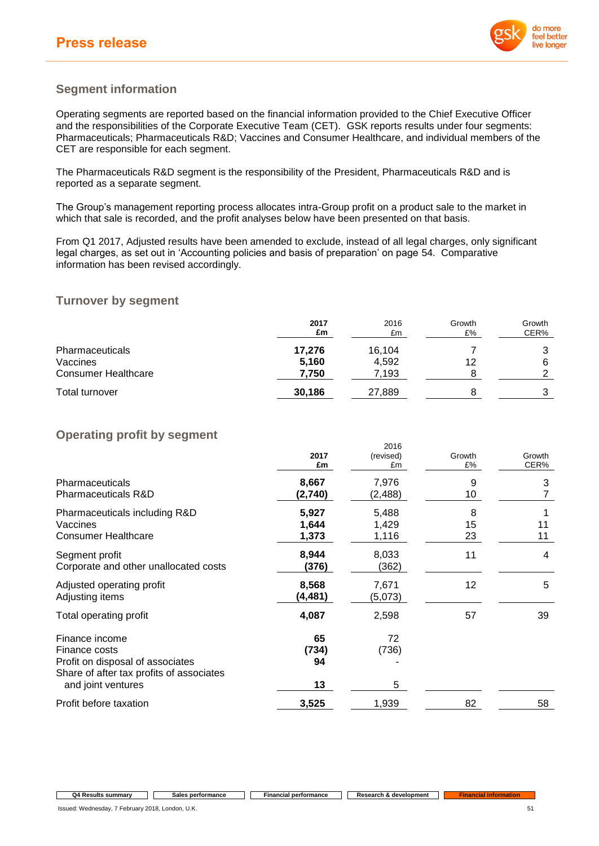

## **Segment information**

Operating segments are reported based on the financial information provided to the Chief Executive Officer and the responsibilities of the Corporate Executive Team (CET). GSK reports results under four segments: Pharmaceuticals; Pharmaceuticals R&D; Vaccines and Consumer Healthcare, and individual members of the CET are responsible for each segment.

The Pharmaceuticals R&D segment is the responsibility of the President, Pharmaceuticals R&D and is reported as a separate segment.

The Group's management reporting process allocates intra-Group profit on a product sale to the market in which that sale is recorded, and the profit analyses below have been presented on that basis.

From Q1 2017, Adjusted results have been amended to exclude, instead of all legal charges, only significant legal charges, as set out in 'Accounting policies and basis of preparation' on page 54. Comparative information has been revised accordingly.

## **Turnover by segment**

|                            | 2017<br>£m | 2016<br>£m | Growth<br>£% | Growth<br>CER% |
|----------------------------|------------|------------|--------------|----------------|
| <b>Pharmaceuticals</b>     | 17,276     | 16,104     |              | ົ              |
| Vaccines                   | 5,160      | 4,592      | 12           | 6              |
| <b>Consumer Healthcare</b> | 7,750      | 7,193      |              | ◠              |
| Total turnover             | 30.186     | 27,889     |              | 3              |

# **Operating profit by segment**

|                                                                                                                                       | 2017<br>£m              | 20 I U<br>(revised)<br>£m | Growth<br>£%  | Growth<br>CER% |
|---------------------------------------------------------------------------------------------------------------------------------------|-------------------------|---------------------------|---------------|----------------|
| <b>Pharmaceuticals</b><br><b>Pharmaceuticals R&amp;D</b>                                                                              | 8,667<br>(2,740)        | 7,976<br>(2,488)          | 9<br>10       | 3<br>7         |
| Pharmaceuticals including R&D<br>Vaccines<br><b>Consumer Healthcare</b>                                                               | 5,927<br>1,644<br>1,373 | 5,488<br>1,429<br>1,116   | 8<br>15<br>23 | 11<br>11       |
| Segment profit<br>Corporate and other unallocated costs                                                                               | 8,944<br>(376)          | 8,033<br>(362)            | 11            | 4              |
| Adjusted operating profit<br>Adjusting items                                                                                          | 8,568<br>(4, 481)       | 7,671<br>(5,073)          | 12            | 5              |
| Total operating profit                                                                                                                | 4,087                   | 2,598                     | 57            | 39             |
| Finance income<br>Finance costs<br>Profit on disposal of associates<br>Share of after tax profits of associates<br>and joint ventures | 65<br>(734)<br>94<br>13 | 72<br>(736)<br>5          |               |                |
| Profit before taxation                                                                                                                | 3,525                   | 1,939                     | 82            | 58             |

#### **Q4 Results summary Sales performance Financial performance Research & development Financial information**

Issued: Wednesday, 7 February 2018, London, U.K. 51

2016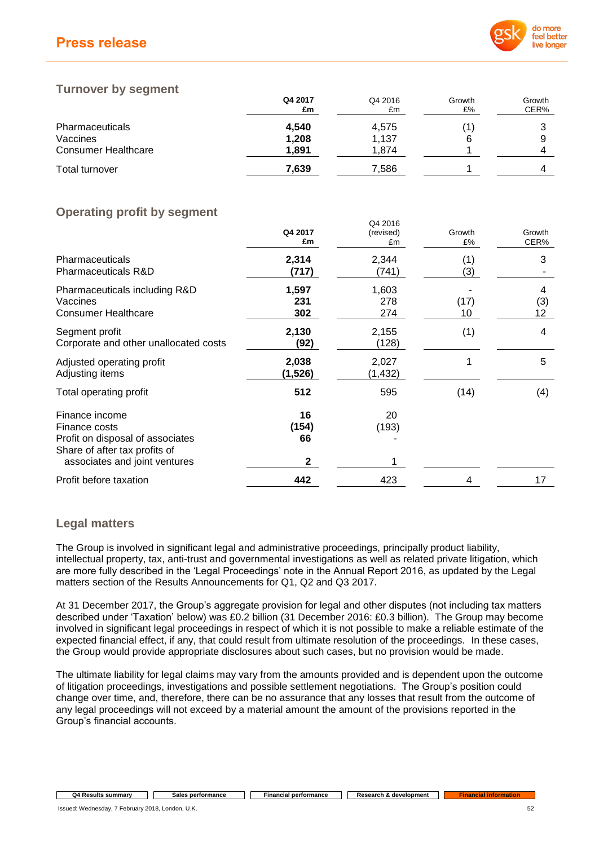# **Press release**



## **Turnover by segment**

|                            | Q4 2017<br>£m | Q4 2016<br>£m | Growth<br>£% | Growth<br>CER% |
|----------------------------|---------------|---------------|--------------|----------------|
| <b>Pharmaceuticals</b>     | 4,540         | 4,575         |              |                |
| Vaccines                   | 1,208         | 1,137         | 6            |                |
| <b>Consumer Healthcare</b> | 1.891         | 1.874         |              |                |
| Total turnover             | 7,639         | 7,586         |              |                |

Q4 2016

# **Operating profit by segment**

|                                                                                                      | Q4 2017<br>£m       | (revised)<br>£m     | Growth<br>£% | Growth<br>CER% |
|------------------------------------------------------------------------------------------------------|---------------------|---------------------|--------------|----------------|
| <b>Pharmaceuticals</b><br>Pharmaceuticals R&D                                                        | 2,314<br>(717)      | 2,344<br>(741)      | (1)<br>(3)   | 3              |
| Pharmaceuticals including R&D<br>Vaccines<br><b>Consumer Healthcare</b>                              | 1,597<br>231<br>302 | 1,603<br>278<br>274 | (17)<br>10   | 4<br>(3)<br>12 |
| Segment profit<br>Corporate and other unallocated costs                                              | 2,130<br>(92)       | 2,155<br>(128)      | (1)          | 4              |
| Adjusted operating profit<br>Adjusting items                                                         | 2,038<br>(1,526)    | 2,027<br>(1,432)    |              | 5              |
| Total operating profit                                                                               | 512                 | 595                 | (14)         | (4)            |
| Finance income<br>Finance costs<br>Profit on disposal of associates<br>Share of after tax profits of | 16<br>(154)<br>66   | 20<br>(193)         |              |                |
| associates and joint ventures                                                                        | 2                   |                     |              |                |
| Profit before taxation                                                                               | 442                 | 423                 | 4            | 17             |

# **Legal matters**

The Group is involved in significant legal and administrative proceedings, principally product liability, intellectual property, tax, anti-trust and governmental investigations as well as related private litigation, which are more fully described in the 'Legal Proceedings' note in the Annual Report 2016, as updated by the Legal matters section of the Results Announcements for Q1, Q2 and Q3 2017.

At 31 December 2017, the Group's aggregate provision for legal and other disputes (not including tax matters described under 'Taxation' below) was £0.2 billion (31 December 2016: £0.3 billion). The Group may become involved in significant legal proceedings in respect of which it is not possible to make a reliable estimate of the expected financial effect, if any, that could result from ultimate resolution of the proceedings. In these cases, the Group would provide appropriate disclosures about such cases, but no provision would be made.

The ultimate liability for legal claims may vary from the amounts provided and is dependent upon the outcome of litigation proceedings, investigations and possible settlement negotiations. The Group's position could change over time, and, therefore, there can be no assurance that any losses that result from the outcome of any legal proceedings will not exceed by a material amount the amount of the provisions reported in the Group's financial accounts.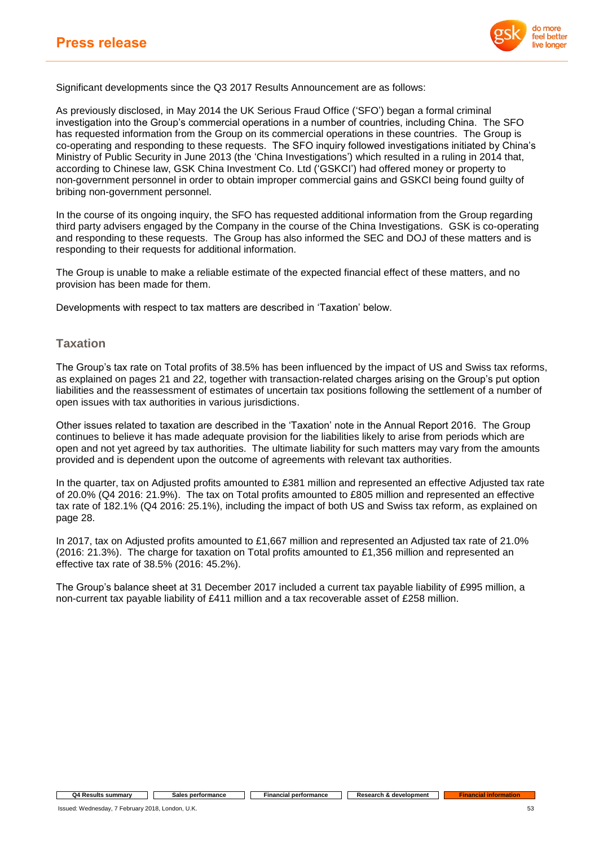

Significant developments since the Q3 2017 Results Announcement are as follows:

As previously disclosed, in May 2014 the UK Serious Fraud Office ('SFO') began a formal criminal investigation into the Group's commercial operations in a number of countries, including China. The SFO has requested information from the Group on its commercial operations in these countries. The Group is co-operating and responding to these requests. The SFO inquiry followed investigations initiated by China's Ministry of Public Security in June 2013 (the 'China Investigations') which resulted in a ruling in 2014 that, according to Chinese law, GSK China Investment Co. Ltd ('GSKCI') had offered money or property to non-government personnel in order to obtain improper commercial gains and GSKCI being found guilty of bribing non-government personnel.

In the course of its ongoing inquiry, the SFO has requested additional information from the Group regarding third party advisers engaged by the Company in the course of the China Investigations. GSK is co-operating and responding to these requests. The Group has also informed the SEC and DOJ of these matters and is responding to their requests for additional information.

The Group is unable to make a reliable estimate of the expected financial effect of these matters, and no provision has been made for them.

Developments with respect to tax matters are described in 'Taxation' below.

## **Taxation**

The Group's tax rate on Total profits of 38.5% has been influenced by the impact of US and Swiss tax reforms, as explained on pages 21 and 22, together with transaction-related charges arising on the Group's put option liabilities and the reassessment of estimates of uncertain tax positions following the settlement of a number of open issues with tax authorities in various jurisdictions.

Other issues related to taxation are described in the 'Taxation' note in the Annual Report 2016. The Group continues to believe it has made adequate provision for the liabilities likely to arise from periods which are open and not yet agreed by tax authorities. The ultimate liability for such matters may vary from the amounts provided and is dependent upon the outcome of agreements with relevant tax authorities.

In the quarter, tax on Adjusted profits amounted to £381 million and represented an effective Adjusted tax rate of 20.0% (Q4 2016: 21.9%). The tax on Total profits amounted to £805 million and represented an effective tax rate of 182.1% (Q4 2016: 25.1%), including the impact of both US and Swiss tax reform, as explained on page 28.

In 2017, tax on Adjusted profits amounted to £1,667 million and represented an Adjusted tax rate of 21.0% (2016: 21.3%). The charge for taxation on Total profits amounted to £1,356 million and represented an effective tax rate of 38.5% (2016: 45.2%).

The Group's balance sheet at 31 December 2017 included a current tax payable liability of £995 million, a non-current tax payable liability of £411 million and a tax recoverable asset of £258 million.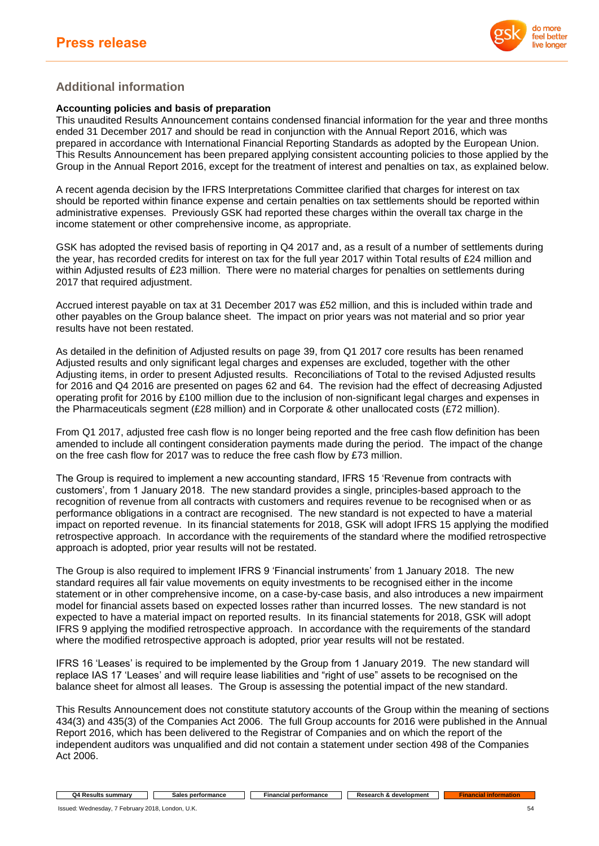

## **Additional information**

## **Accounting policies and basis of preparation**

This unaudited Results Announcement contains condensed financial information for the year and three months ended 31 December 2017 and should be read in conjunction with the Annual Report 2016, which was prepared in accordance with International Financial Reporting Standards as adopted by the European Union. This Results Announcement has been prepared applying consistent accounting policies to those applied by the Group in the Annual Report 2016, except for the treatment of interest and penalties on tax, as explained below.

A recent agenda decision by the IFRS Interpretations Committee clarified that charges for interest on tax should be reported within finance expense and certain penalties on tax settlements should be reported within administrative expenses. Previously GSK had reported these charges within the overall tax charge in the income statement or other comprehensive income, as appropriate.

GSK has adopted the revised basis of reporting in Q4 2017 and, as a result of a number of settlements during the year, has recorded credits for interest on tax for the full year 2017 within Total results of £24 million and within Adjusted results of £23 million. There were no material charges for penalties on settlements during 2017 that required adjustment.

Accrued interest payable on tax at 31 December 2017 was £52 million, and this is included within trade and other payables on the Group balance sheet. The impact on prior years was not material and so prior year results have not been restated.

As detailed in the definition of Adjusted results on page 39, from Q1 2017 core results has been renamed Adjusted results and only significant legal charges and expenses are excluded, together with the other Adjusting items, in order to present Adjusted results. Reconciliations of Total to the revised Adjusted results for 2016 and Q4 2016 are presented on pages 62 and 64. The revision had the effect of decreasing Adjusted operating profit for 2016 by £100 million due to the inclusion of non-significant legal charges and expenses in the Pharmaceuticals segment (£28 million) and in Corporate & other unallocated costs (£72 million).

From Q1 2017, adjusted free cash flow is no longer being reported and the free cash flow definition has been amended to include all contingent consideration payments made during the period. The impact of the change on the free cash flow for 2017 was to reduce the free cash flow by £73 million.

The Group is required to implement a new accounting standard, IFRS 15 'Revenue from contracts with customers', from 1 January 2018. The new standard provides a single, principles-based approach to the recognition of revenue from all contracts with customers and requires revenue to be recognised when or as performance obligations in a contract are recognised. The new standard is not expected to have a material impact on reported revenue. In its financial statements for 2018, GSK will adopt IFRS 15 applying the modified retrospective approach. In accordance with the requirements of the standard where the modified retrospective approach is adopted, prior year results will not be restated.

The Group is also required to implement IFRS 9 'Financial instruments' from 1 January 2018. The new standard requires all fair value movements on equity investments to be recognised either in the income statement or in other comprehensive income, on a case-by-case basis, and also introduces a new impairment model for financial assets based on expected losses rather than incurred losses. The new standard is not expected to have a material impact on reported results. In its financial statements for 2018, GSK will adopt IFRS 9 applying the modified retrospective approach. In accordance with the requirements of the standard where the modified retrospective approach is adopted, prior year results will not be restated.

IFRS 16 'Leases' is required to be implemented by the Group from 1 January 2019. The new standard will replace IAS 17 'Leases' and will require lease liabilities and "right of use" assets to be recognised on the balance sheet for almost all leases. The Group is assessing the potential impact of the new standard.

This Results Announcement does not constitute statutory accounts of the Group within the meaning of sections 434(3) and 435(3) of the Companies Act 2006. The full Group accounts for 2016 were published in the Annual Report 2016, which has been delivered to the Registrar of Companies and on which the report of the independent auditors was unqualified and did not contain a statement under section 498 of the Companies Act 2006.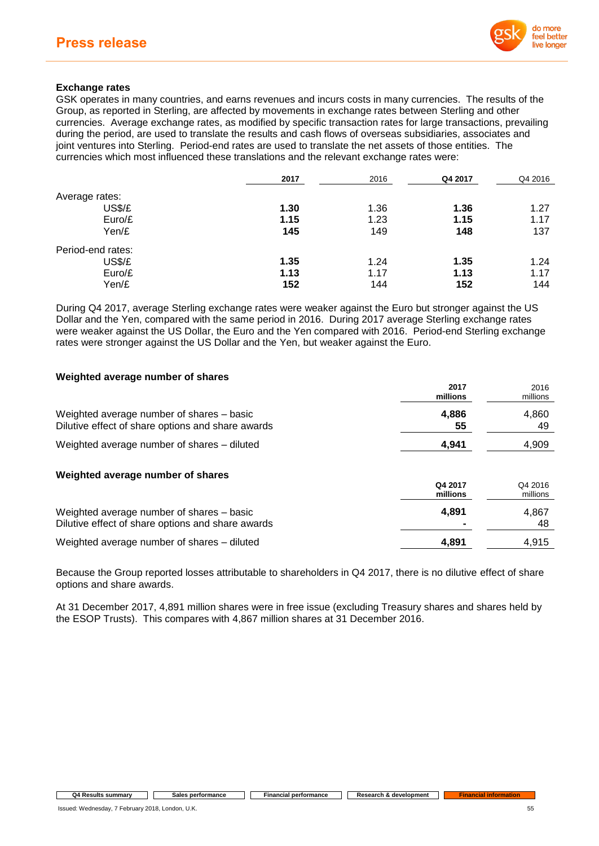

## **Exchange rates**

GSK operates in many countries, and earns revenues and incurs costs in many currencies. The results of the Group, as reported in Sterling, are affected by movements in exchange rates between Sterling and other currencies. Average exchange rates, as modified by specific transaction rates for large transactions, prevailing during the period, are used to translate the results and cash flows of overseas subsidiaries, associates and joint ventures into Sterling. Period-end rates are used to translate the net assets of those entities. The currencies which most influenced these translations and the relevant exchange rates were:

|                   | 2017 | 2016 | Q4 2017 | Q4 2016 |
|-------------------|------|------|---------|---------|
| Average rates:    |      |      |         |         |
| US\$/£            | 1.30 | 1.36 | 1.36    | 1.27    |
| Euro/E            | 1.15 | 1.23 | 1.15    | 1.17    |
| Yen/£             | 145  | 149  | 148     | 137     |
| Period-end rates: |      |      |         |         |
| US\$/£            | 1.35 | 1.24 | 1.35    | 1.24    |
| Euro/E            | 1.13 | 1.17 | 1.13    | 1.17    |
| Yen/£             | 152  | 144  | 152     | 144     |

During Q4 2017, average Sterling exchange rates were weaker against the Euro but stronger against the US Dollar and the Yen, compared with the same period in 2016. During 2017 average Sterling exchange rates were weaker against the US Dollar, the Euro and the Yen compared with 2016. Period-end Sterling exchange rates were stronger against the US Dollar and the Yen, but weaker against the Euro.

### **Weighted average number of shares**

|                                                                                                | 2017<br>millions    | 2016<br>millions    |
|------------------------------------------------------------------------------------------------|---------------------|---------------------|
| Weighted average number of shares – basic<br>Dilutive effect of share options and share awards | 4,886<br>55         | 4,860<br>49         |
| Weighted average number of shares - diluted                                                    | 4.941               | 4,909               |
| Weighted average number of shares                                                              | Q4 2017<br>millions | Q4 2016<br>millions |
| Weighted average number of shares – basic<br>Dilutive effect of share options and share awards | 4,891               | 4,867<br>48         |
| Weighted average number of shares - diluted                                                    | 4.891               | 4.915               |

Because the Group reported losses attributable to shareholders in Q4 2017, there is no dilutive effect of share options and share awards.

At 31 December 2017, 4,891 million shares were in free issue (excluding Treasury shares and shares held by the ESOP Trusts). This compares with 4,867 million shares at 31 December 2016.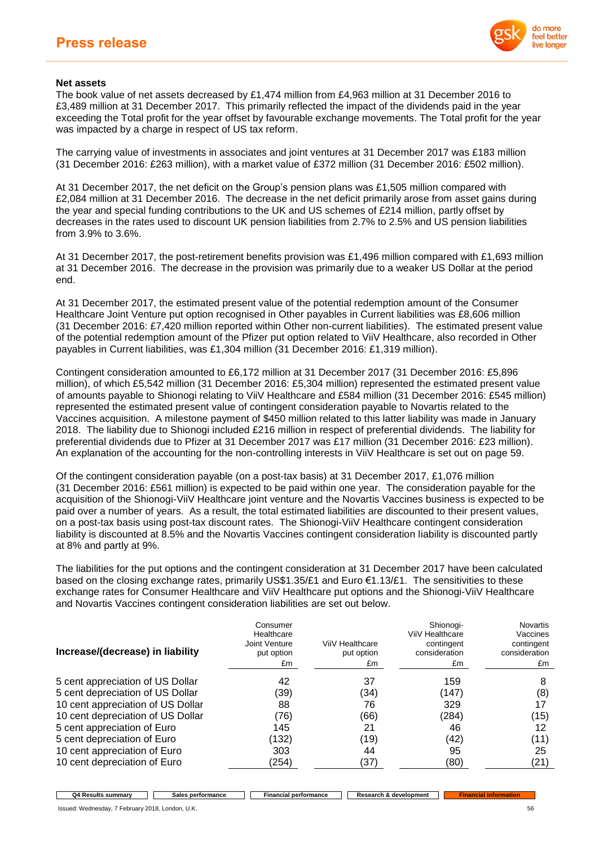

## **Net assets**

The book value of net assets decreased by £1,474 million from £4,963 million at 31 December 2016 to £3,489 million at 31 December 2017. This primarily reflected the impact of the dividends paid in the year exceeding the Total profit for the year offset by favourable exchange movements. The Total profit for the year was impacted by a charge in respect of US tax reform.

The carrying value of investments in associates and joint ventures at 31 December 2017 was £183 million (31 December 2016: £263 million), with a market value of £372 million (31 December 2016: £502 million).

At 31 December 2017, the net deficit on the Group's pension plans was £1,505 million compared with £2,084 million at 31 December 2016. The decrease in the net deficit primarily arose from asset gains during the year and special funding contributions to the UK and US schemes of £214 million, partly offset by decreases in the rates used to discount UK pension liabilities from 2.7% to 2.5% and US pension liabilities from 3.9% to 3.6%.

At 31 December 2017, the post-retirement benefits provision was £1,496 million compared with £1,693 million at 31 December 2016. The decrease in the provision was primarily due to a weaker US Dollar at the period end.

At 31 December 2017, the estimated present value of the potential redemption amount of the Consumer Healthcare Joint Venture put option recognised in Other payables in Current liabilities was £8,606 million (31 December 2016: £7,420 million reported within Other non-current liabilities). The estimated present value of the potential redemption amount of the Pfizer put option related to ViiV Healthcare, also recorded in Other payables in Current liabilities, was £1,304 million (31 December 2016: £1,319 million).

Contingent consideration amounted to £6,172 million at 31 December 2017 (31 December 2016: £5,896 million), of which £5,542 million (31 December 2016: £5,304 million) represented the estimated present value of amounts payable to Shionogi relating to ViiV Healthcare and £584 million (31 December 2016: £545 million) represented the estimated present value of contingent consideration payable to Novartis related to the Vaccines acquisition. A milestone payment of \$450 million related to this latter liability was made in January 2018. The liability due to Shionogi included £216 million in respect of preferential dividends. The liability for preferential dividends due to Pfizer at 31 December 2017 was £17 million (31 December 2016: £23 million). An explanation of the accounting for the non-controlling interests in ViiV Healthcare is set out on page 59.

Of the contingent consideration payable (on a post-tax basis) at 31 December 2017, £1,076 million (31 December 2016: £561 million) is expected to be paid within one year. The consideration payable for the acquisition of the Shionogi-ViiV Healthcare joint venture and the Novartis Vaccines business is expected to be paid over a number of years. As a result, the total estimated liabilities are discounted to their present values, on a post-tax basis using post-tax discount rates. The Shionogi-ViiV Healthcare contingent consideration liability is discounted at 8.5% and the Novartis Vaccines contingent consideration liability is discounted partly at 8% and partly at 9%.

The liabilities for the put options and the contingent consideration at 31 December 2017 have been calculated based on the closing exchange rates, primarily US\$1.35/£1 and Euro  $\epsilon$ 1.13/£1. The sensitivities to these exchange rates for Consumer Healthcare and ViiV Healthcare put options and the Shionogi-ViiV Healthcare and Novartis Vaccines contingent consideration liabilities are set out below.

| Increase/(decrease) in liability  | Consumer<br>Healthcare<br>Joint Venture<br>put option<br>£m | ViiV Healthcare<br>put option<br>£m | Shionogi-<br>ViiV Healthcare<br>contingent<br>consideration<br>£m | <b>Novartis</b><br>Vaccines<br>contingent<br>consideration<br>£m |
|-----------------------------------|-------------------------------------------------------------|-------------------------------------|-------------------------------------------------------------------|------------------------------------------------------------------|
|                                   |                                                             |                                     |                                                                   |                                                                  |
| 5 cent appreciation of US Dollar  | 42                                                          | 37                                  | 159                                                               | 8                                                                |
| 5 cent depreciation of US Dollar  | (39)                                                        | (34)                                | (147)                                                             | (8)                                                              |
| 10 cent appreciation of US Dollar | 88                                                          | 76                                  | 329                                                               | 17                                                               |
| 10 cent depreciation of US Dollar | (76)                                                        | (66)                                | (284)                                                             | (15)                                                             |
| 5 cent appreciation of Euro       | 145                                                         | 21                                  | 46                                                                | 12                                                               |
| 5 cent depreciation of Euro       | (132)                                                       | (19)                                | (42)                                                              | (11)                                                             |
| 10 cent appreciation of Euro      | 303                                                         | 44                                  | 95                                                                | 25                                                               |
| 10 cent depreciation of Euro      | (254)                                                       | (37)                                | (80)                                                              | (21)                                                             |

**Q4 Results summary Sales performance Financial performance Research & development**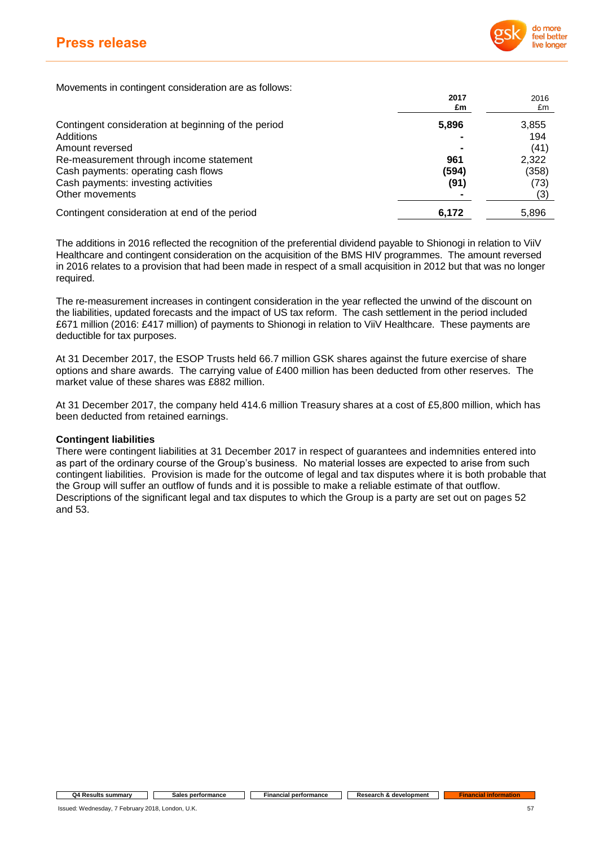

Movements in contingent consideration are as follows:

|                                                     | 2017<br>£m | 2016<br>£m |
|-----------------------------------------------------|------------|------------|
| Contingent consideration at beginning of the period | 5,896      | 3,855      |
| Additions                                           |            | 194        |
| Amount reversed                                     |            | (41)       |
| Re-measurement through income statement             | 961        | 2,322      |
| Cash payments: operating cash flows                 | (594)      | (358)      |
| Cash payments: investing activities                 | (91)       | (73)       |
| Other movements                                     |            | (3)        |
| Contingent consideration at end of the period       | 6,172      | 5,896      |

The additions in 2016 reflected the recognition of the preferential dividend payable to Shionogi in relation to ViiV Healthcare and contingent consideration on the acquisition of the BMS HIV programmes. The amount reversed in 2016 relates to a provision that had been made in respect of a small acquisition in 2012 but that was no longer required.

The re-measurement increases in contingent consideration in the year reflected the unwind of the discount on the liabilities, updated forecasts and the impact of US tax reform. The cash settlement in the period included £671 million (2016: £417 million) of payments to Shionogi in relation to ViiV Healthcare. These payments are deductible for tax purposes.

At 31 December 2017, the ESOP Trusts held 66.7 million GSK shares against the future exercise of share options and share awards. The carrying value of £400 million has been deducted from other reserves. The market value of these shares was £882 million.

At 31 December 2017, the company held 414.6 million Treasury shares at a cost of £5,800 million, which has been deducted from retained earnings.

### **Contingent liabilities**

There were contingent liabilities at 31 December 2017 in respect of guarantees and indemnities entered into as part of the ordinary course of the Group's business. No material losses are expected to arise from such contingent liabilities. Provision is made for the outcome of legal and tax disputes where it is both probable that the Group will suffer an outflow of funds and it is possible to make a reliable estimate of that outflow. Descriptions of the significant legal and tax disputes to which the Group is a party are set out on pages 52 and 53.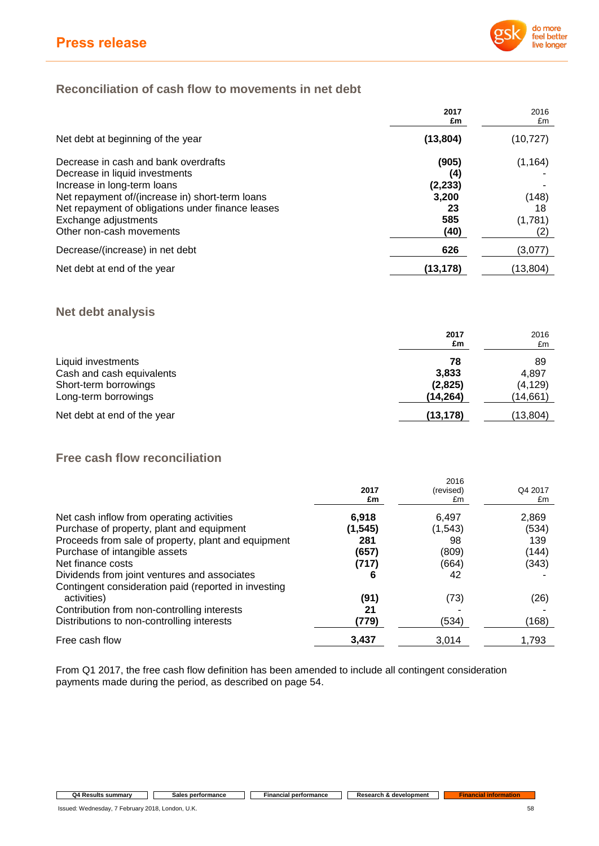

## **Reconciliation of cash flow to movements in net debt**

|                                                                                                      | 2017<br>£m      | 2016<br>£m  |
|------------------------------------------------------------------------------------------------------|-----------------|-------------|
| Net debt at beginning of the year                                                                    | (13, 804)       | (10,727)    |
| Decrease in cash and bank overdrafts                                                                 | (905)           | (1, 164)    |
| Decrease in liquid investments<br>Increase in long-term loans                                        | (4)<br>(2, 233) |             |
| Net repayment of/(increase in) short-term loans<br>Net repayment of obligations under finance leases | 3,200<br>23     | (148)<br>18 |
| Exchange adjustments<br>Other non-cash movements                                                     | 585<br>(40)     | (1,781)     |
| Decrease/(increase) in net debt                                                                      | 626             | (3,077)     |
| Net debt at end of the year                                                                          | (13, 178)       | (13,804)    |

## **Net debt analysis**

|                             | 2017<br>£m | 2016<br>£m |
|-----------------------------|------------|------------|
| Liquid investments          | 78         | 89         |
| Cash and cash equivalents   | 3.833      | 4,897      |
| Short-term borrowings       | (2,825)    | (4, 129)   |
| Long-term borrowings        | (14,264)   | (14,661)   |
| Net debt at end of the year | (13, 178)  | (13,804)   |

# **Free cash flow reconciliation**

|                                                      |          | 2016      |         |
|------------------------------------------------------|----------|-----------|---------|
|                                                      | 2017     | (revised) | Q4 2017 |
|                                                      | £m       | £m        | £m      |
| Net cash inflow from operating activities            | 6.918    | 6,497     | 2,869   |
| Purchase of property, plant and equipment            | (1, 545) | (1, 543)  | (534)   |
| Proceeds from sale of property, plant and equipment  | 281      | 98        | 139     |
| Purchase of intangible assets                        | (657)    | (809)     | (144)   |
| Net finance costs                                    | (717)    | (664)     | (343)   |
| Dividends from joint ventures and associates         | 6        | 42        |         |
| Contingent consideration paid (reported in investing |          |           |         |
| activities)                                          | (91)     | (73)      | (26)    |
| Contribution from non-controlling interests          | 21       |           |         |
| Distributions to non-controlling interests           | (779)    | (534)     | (168)   |
| Free cash flow                                       | 3,437    | 3.014     | 1.793   |

From Q1 2017, the free cash flow definition has been amended to include all contingent consideration payments made during the period, as described on page 54.

## **Q4 Results summary Sales performance Financial performance Research &** development **Financial information**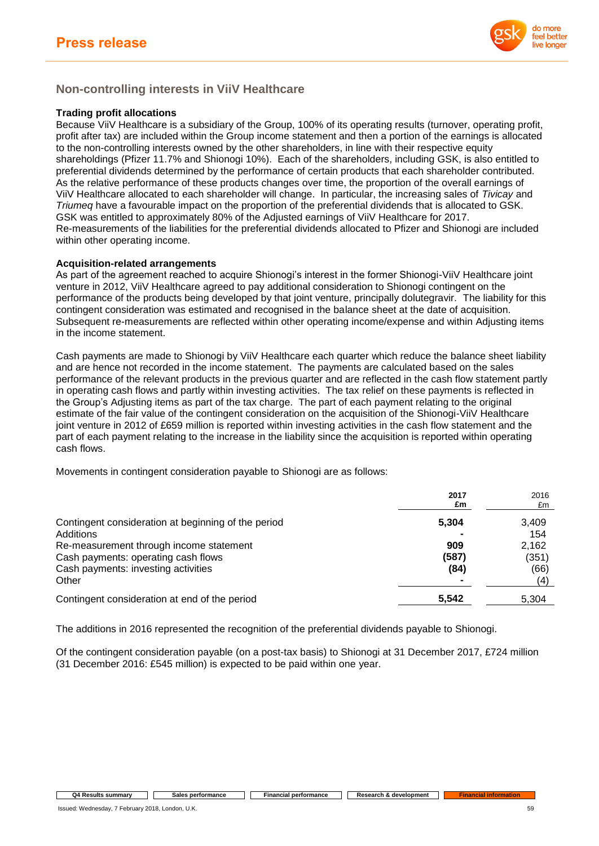

## **Non-controlling interests in ViiV Healthcare**

## **Trading profit allocations**

Because ViiV Healthcare is a subsidiary of the Group, 100% of its operating results (turnover, operating profit, profit after tax) are included within the Group income statement and then a portion of the earnings is allocated to the non-controlling interests owned by the other shareholders, in line with their respective equity shareholdings (Pfizer 11.7% and Shionogi 10%). Each of the shareholders, including GSK, is also entitled to preferential dividends determined by the performance of certain products that each shareholder contributed. As the relative performance of these products changes over time, the proportion of the overall earnings of ViiV Healthcare allocated to each shareholder will change. In particular, the increasing sales of *Tivicay* and *Triumeq* have a favourable impact on the proportion of the preferential dividends that is allocated to GSK. GSK was entitled to approximately 80% of the Adjusted earnings of ViiV Healthcare for 2017. Re-measurements of the liabilities for the preferential dividends allocated to Pfizer and Shionogi are included within other operating income.

## **Acquisition-related arrangements**

As part of the agreement reached to acquire Shionogi's interest in the former Shionogi-ViiV Healthcare joint venture in 2012, ViiV Healthcare agreed to pay additional consideration to Shionogi contingent on the performance of the products being developed by that joint venture, principally dolutegravir. The liability for this contingent consideration was estimated and recognised in the balance sheet at the date of acquisition. Subsequent re-measurements are reflected within other operating income/expense and within Adjusting items in the income statement.

Cash payments are made to Shionogi by ViiV Healthcare each quarter which reduce the balance sheet liability and are hence not recorded in the income statement. The payments are calculated based on the sales performance of the relevant products in the previous quarter and are reflected in the cash flow statement partly in operating cash flows and partly within investing activities. The tax relief on these payments is reflected in the Group's Adjusting items as part of the tax charge. The part of each payment relating to the original estimate of the fair value of the contingent consideration on the acquisition of the Shionogi-ViiV Healthcare joint venture in 2012 of £659 million is reported within investing activities in the cash flow statement and the part of each payment relating to the increase in the liability since the acquisition is reported within operating cash flows.

Movements in contingent consideration payable to Shionogi are as follows:

|                                                                                                                                | 2017<br>£m           | 2016<br>£m                    |
|--------------------------------------------------------------------------------------------------------------------------------|----------------------|-------------------------------|
| Contingent consideration at beginning of the period<br>Additions                                                               | 5,304                | 3,409<br>154                  |
| Re-measurement through income statement<br>Cash payments: operating cash flows<br>Cash payments: investing activities<br>Other | 909<br>(587)<br>(84) | 2.162<br>(351)<br>(66)<br>(4) |
| Contingent consideration at end of the period                                                                                  | 5,542                | 5,304                         |

The additions in 2016 represented the recognition of the preferential dividends payable to Shionogi.

Of the contingent consideration payable (on a post-tax basis) to Shionogi at 31 December 2017, £724 million (31 December 2016: £545 million) is expected to be paid within one year.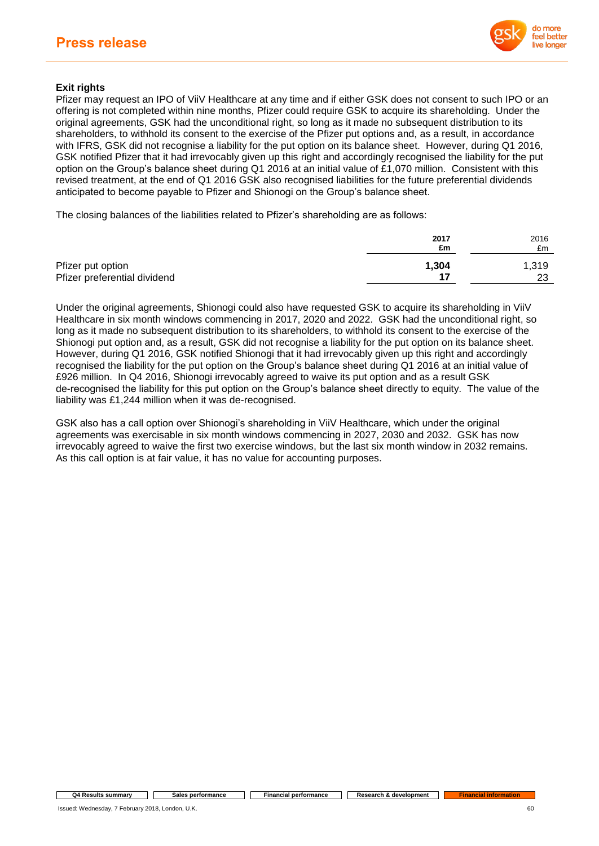

## **Exit rights**

Pfizer may request an IPO of ViiV Healthcare at any time and if either GSK does not consent to such IPO or an offering is not completed within nine months, Pfizer could require GSK to acquire its shareholding. Under the original agreements, GSK had the unconditional right, so long as it made no subsequent distribution to its shareholders, to withhold its consent to the exercise of the Pfizer put options and, as a result, in accordance with IFRS, GSK did not recognise a liability for the put option on its balance sheet. However, during Q1 2016, GSK notified Pfizer that it had irrevocably given up this right and accordingly recognised the liability for the put option on the Group's balance sheet during Q1 2016 at an initial value of £1,070 million. Consistent with this revised treatment, at the end of Q1 2016 GSK also recognised liabilities for the future preferential dividends anticipated to become payable to Pfizer and Shionogi on the Group's balance sheet.

The closing balances of the liabilities related to Pfizer's shareholding are as follows:

|                              | 2017<br>£m | 2016<br>£m |
|------------------------------|------------|------------|
| Pfizer put option            | 1,304      | 1,319      |
| Pfizer preferential dividend | 17         | 23         |

Under the original agreements, Shionogi could also have requested GSK to acquire its shareholding in ViiV Healthcare in six month windows commencing in 2017, 2020 and 2022. GSK had the unconditional right, so long as it made no subsequent distribution to its shareholders, to withhold its consent to the exercise of the Shionogi put option and, as a result, GSK did not recognise a liability for the put option on its balance sheet. However, during Q1 2016, GSK notified Shionogi that it had irrevocably given up this right and accordingly recognised the liability for the put option on the Group's balance sheet during Q1 2016 at an initial value of £926 million. In Q4 2016, Shionogi irrevocably agreed to waive its put option and as a result GSK de-recognised the liability for this put option on the Group's balance sheet directly to equity. The value of the liability was £1,244 million when it was de-recognised.

GSK also has a call option over Shionogi's shareholding in ViiV Healthcare, which under the original agreements was exercisable in six month windows commencing in 2027, 2030 and 2032. GSK has now irrevocably agreed to waive the first two exercise windows, but the last six month window in 2032 remains. As this call option is at fair value, it has no value for accounting purposes.

#### **Q4 Results summary Sales performance Financial performance Research & development**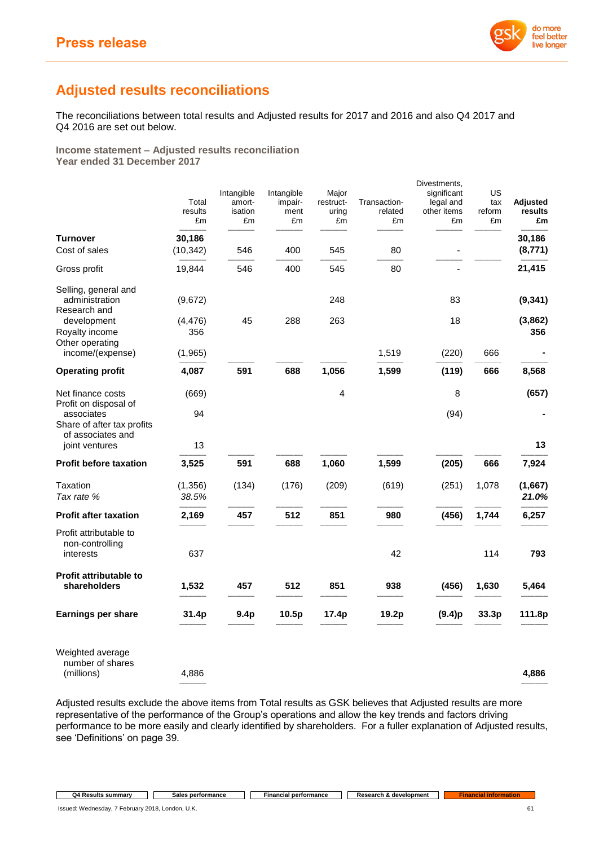

# **Adjusted results reconciliations**

The reconciliations between total results and Adjusted results for 2017 and 2016 and also Q4 2017 and Q4 2016 are set out below.

**Income statement – Adjusted results reconciliation Year ended 31 December 2017**

| Total<br>results<br>£m | Intangible<br>amort-<br>isation<br>£m | Intangible<br>impair-<br>ment<br>£m | Major<br>restruct-<br>uring<br>£m | Transaction-<br>related<br>£m | Divestments,<br>significant<br>legal and<br>other items<br>£m | US<br>tax<br>reform<br>£m | <b>Adjusted</b><br>results<br>£m |
|------------------------|---------------------------------------|-------------------------------------|-----------------------------------|-------------------------------|---------------------------------------------------------------|---------------------------|----------------------------------|
| 30,186<br>(10, 342)    | 546                                   | 400                                 | 545                               | 80                            |                                                               |                           | 30,186<br>(8, 771)               |
| 19,844                 | 546                                   | 400                                 | 545                               | 80                            |                                                               |                           | 21,415                           |
| (9,672)                |                                       |                                     | 248                               |                               | 83                                                            |                           | (9, 341)                         |
| (4, 476)<br>356        | 45                                    | 288                                 | 263                               |                               | 18                                                            |                           | (3,862)<br>356                   |
| (1,965)                |                                       |                                     |                                   | 1,519                         | (220)                                                         | 666                       |                                  |
| 4,087                  | 591                                   | 688                                 | 1,056                             | 1,599                         | (119)                                                         | 666                       | 8,568                            |
| (669)                  |                                       |                                     | 4                                 |                               | 8                                                             |                           | (657)                            |
| 94                     |                                       |                                     |                                   |                               | (94)                                                          |                           |                                  |
| 13                     |                                       |                                     |                                   |                               |                                                               |                           | 13                               |
| 3,525                  | 591                                   | 688                                 | 1,060                             | 1,599                         | (205)                                                         | 666                       | 7,924                            |
| (1, 356)<br>38.5%      | (134)                                 | (176)                               | (209)                             | (619)                         | (251)                                                         | 1,078                     | (1,667)<br>21.0%                 |
| 2,169                  | 457                                   | 512                                 | 851                               | 980                           | (456)                                                         | 1,744                     | 6,257                            |
| 637                    |                                       |                                     |                                   | 42                            |                                                               | 114                       | 793                              |
| 1,532                  | 457                                   | 512                                 | 851                               | 938                           | (456)                                                         | 1,630                     | 5,464                            |
| 31.4p                  | 9.4 <sub>p</sub>                      | 10.5p                               | 17.4p                             | 19.2p                         | (9.4)p                                                        | 33.3p                     | 111.8p                           |
|                        |                                       |                                     |                                   |                               |                                                               |                           |                                  |

Weighted average number of shares (millions) 4,886 **4,886**

Adjusted results exclude the above items from Total results as GSK believes that Adjusted results are more representative of the performance of the Group's operations and allow the key trends and factors driving performance to be more easily and clearly identified by shareholders. For a fuller explanation of Adjusted results, see 'Definitions' on page 39.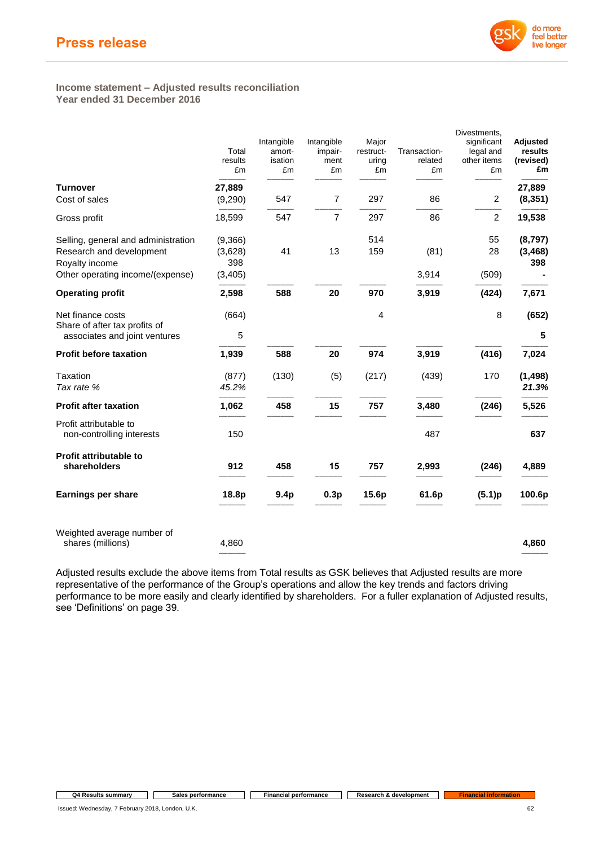

#### **Income statement – Adjusted results reconciliation Year ended 31 December 2016**

|                                                                | Total<br>results<br>£m | Intangible<br>amort-<br>isation<br>£m | Intangible<br>impair-<br>ment<br>£m | Major<br>restruct-<br>uring<br>£m | Transaction-<br>related<br>£m | Divestments,<br>significant<br>legal and<br>other items<br>£m | Adjusted<br>results<br>(revised)<br>£m |
|----------------------------------------------------------------|------------------------|---------------------------------------|-------------------------------------|-----------------------------------|-------------------------------|---------------------------------------------------------------|----------------------------------------|
| <b>Turnover</b>                                                | 27,889                 |                                       |                                     |                                   |                               |                                                               | 27,889                                 |
| Cost of sales                                                  | (9, 290)               | 547                                   | 7                                   | 297                               | 86                            | 2                                                             | (8, 351)                               |
| Gross profit                                                   | 18,599                 | 547                                   | $\overline{7}$                      | 297                               | 86                            | $\overline{c}$                                                | 19,538                                 |
| Selling, general and administration                            | (9,366)                |                                       |                                     | 514                               |                               | 55                                                            | (8,797)                                |
| Research and development                                       | (3,628)                | 41                                    | 13                                  | 159                               | (81)                          | 28                                                            | (3, 468)                               |
| Royalty income<br>Other operating income/(expense)             | 398<br>(3, 405)        |                                       |                                     |                                   | 3,914                         | (509)                                                         | 398                                    |
| <b>Operating profit</b>                                        | 2,598                  | 588                                   | 20                                  | 970                               | 3,919                         | (424)                                                         | 7,671                                  |
| Net finance costs                                              | (664)                  |                                       |                                     | $\overline{4}$                    |                               | 8                                                             | (652)                                  |
| Share of after tax profits of<br>associates and joint ventures | 5                      |                                       |                                     |                                   |                               |                                                               | 5                                      |
| <b>Profit before taxation</b>                                  | 1,939                  | 588                                   | 20                                  | 974                               | 3,919                         | (416)                                                         | 7,024                                  |
| Taxation<br>Tax rate %                                         | (877)<br>45.2%         | (130)                                 | (5)                                 | (217)                             | (439)                         | 170                                                           | (1, 498)<br>21.3%                      |
| <b>Profit after taxation</b>                                   | 1,062                  | 458                                   | 15                                  | 757                               | 3,480                         | (246)                                                         | 5,526                                  |
| Profit attributable to<br>non-controlling interests            | 150                    |                                       |                                     |                                   | 487                           |                                                               | 637                                    |
| Profit attributable to<br>shareholders                         | 912                    | 458                                   | 15                                  | 757                               | 2,993                         | (246)                                                         | 4,889                                  |
| Earnings per share                                             | 18.8p                  | 9.4 <sub>p</sub>                      | 0.3p                                | 15.6p                             | 61.6p                         | (5.1)p                                                        | 100.6p                                 |
| Weighted average number of<br>shares (millions)                | 4,860                  |                                       |                                     |                                   |                               |                                                               | 4,860                                  |

Adjusted results exclude the above items from Total results as GSK believes that Adjusted results are more representative of the performance of the Group's operations and allow the key trends and factors driving performance to be more easily and clearly identified by shareholders. For a fuller explanation of Adjusted results, see 'Definitions' on page 39.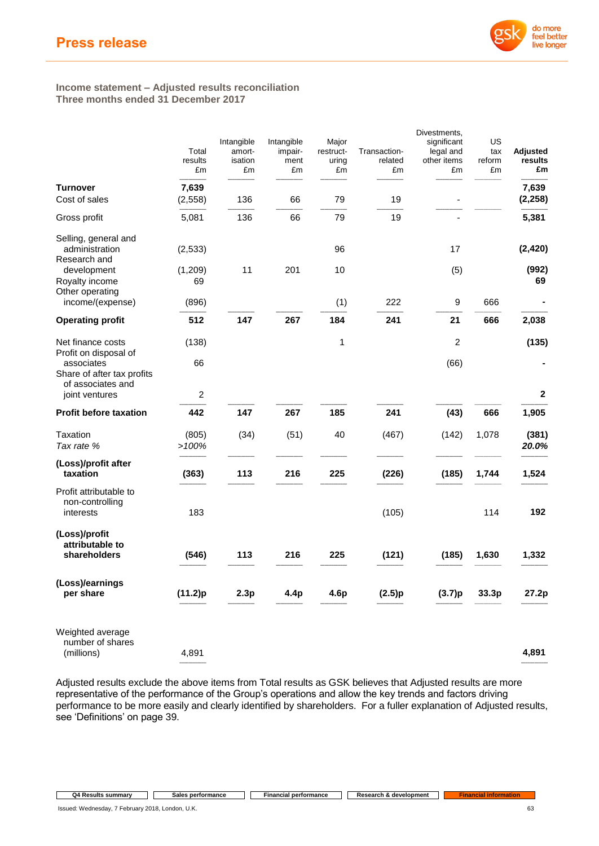

### **Income statement – Adjusted results reconciliation Three months ended 31 December 2017**

|                                                                                        | Total<br>results<br>£m  | Intangible<br>amort-<br>isation<br>£m | Intangible<br>impair-<br>ment<br>£m | Major<br>restruct-<br>uring<br>£m | Transaction-<br>related<br>£m | Divestments,<br>significant<br>legal and<br>other items<br>£m | US<br>tax<br>reform<br>£m | <b>Adjusted</b><br>results<br>£m |
|----------------------------------------------------------------------------------------|-------------------------|---------------------------------------|-------------------------------------|-----------------------------------|-------------------------------|---------------------------------------------------------------|---------------------------|----------------------------------|
| <b>Turnover</b>                                                                        | 7,639                   |                                       |                                     |                                   |                               |                                                               |                           | 7,639                            |
| Cost of sales                                                                          | (2, 558)                | 136                                   | 66                                  | 79                                | 19                            |                                                               |                           | (2, 258)                         |
| Gross profit                                                                           | 5,081                   | 136                                   | 66                                  | 79                                | 19                            |                                                               |                           | 5,381                            |
| Selling, general and<br>administration<br>Research and                                 | (2, 533)                |                                       |                                     | 96                                |                               | 17                                                            |                           | (2, 420)                         |
| development<br>Royalty income<br>Other operating                                       | (1, 209)<br>69          | 11                                    | 201                                 | 10                                |                               | (5)                                                           |                           | (992)<br>69                      |
| income/(expense)                                                                       | (896)                   |                                       |                                     | (1)                               | 222                           | 9                                                             | 666                       |                                  |
| <b>Operating profit</b>                                                                | 512                     | 147                                   | 267                                 | 184                               | 241                           | 21                                                            | 666                       | 2,038                            |
| Net finance costs                                                                      | (138)                   |                                       |                                     | 1                                 |                               | $\overline{c}$                                                |                           | (135)                            |
| Profit on disposal of<br>associates<br>Share of after tax profits<br>of associates and | 66                      |                                       |                                     |                                   |                               | (66)                                                          |                           |                                  |
| joint ventures                                                                         | $\overline{\mathbf{c}}$ |                                       |                                     |                                   |                               |                                                               |                           | $\mathbf{2}$                     |
| <b>Profit before taxation</b>                                                          | 442                     | 147                                   | 267                                 | 185                               | 241                           | (43)                                                          | 666                       | 1,905                            |
| Taxation<br>Tax rate %                                                                 | (805)<br>>100%          | (34)                                  | (51)                                | 40                                | (467)                         | (142)                                                         | 1,078                     | (381)<br>20.0%                   |
| (Loss)/profit after<br>taxation                                                        | (363)                   | 113                                   | 216                                 | 225                               | (226)                         | (185)                                                         | 1,744                     | 1,524                            |
| Profit attributable to<br>non-controlling<br>interests                                 | 183                     |                                       |                                     |                                   | (105)                         |                                                               | 114                       | 192                              |
| (Loss)/profit<br>attributable to<br>shareholders                                       | (546)                   | 113                                   | 216                                 | 225                               | (121)                         | (185)                                                         | 1,630                     | 1,332                            |
| (Loss)/earnings<br>per share                                                           | (11.2)p                 | 2.3p                                  | 4.4p                                | 4.6p                              | (2.5)p                        | (3.7)p                                                        | 33.3p                     | 27.2p                            |
| Weighted average<br>number of shares<br>(millions)                                     | 4,891                   |                                       |                                     |                                   |                               |                                                               |                           | 4,891                            |

Adjusted results exclude the above items from Total results as GSK believes that Adjusted results are more representative of the performance of the Group's operations and allow the key trends and factors driving performance to be more easily and clearly identified by shareholders. For a fuller explanation of Adjusted results, see 'Definitions' on page 39.